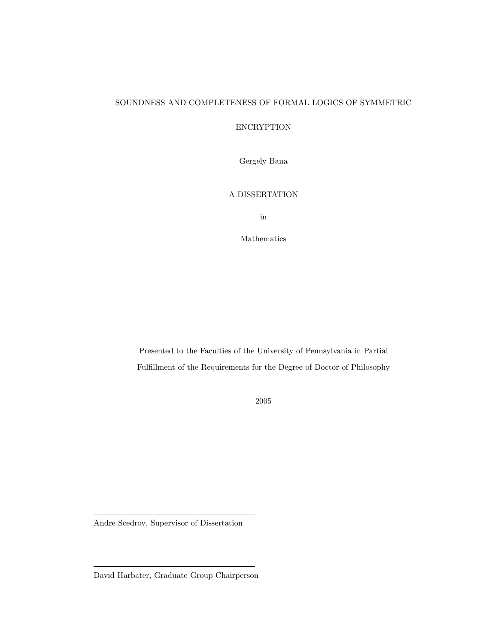### SOUNDNESS AND COMPLETENESS OF FORMAL LOGICS OF SYMMETRIC

## ENCRYPTION

Gergely Bana

### A DISSERTATION

in

Mathematics

Presented to the Faculties of the University of Pennsylvania in Partial Fulfillment of the Requirements for the Degree of Doctor of Philosophy

2005

Andre Scedrov, Supervisor of Dissertation

David Harbater, Graduate Group Chairperson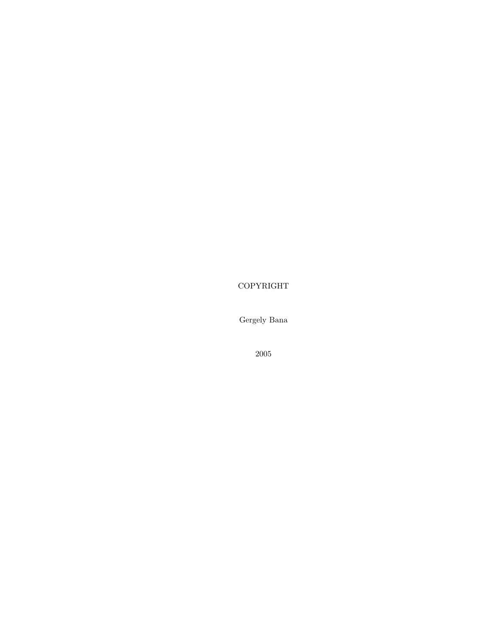COPYRIGHT

Gergely Bana

2005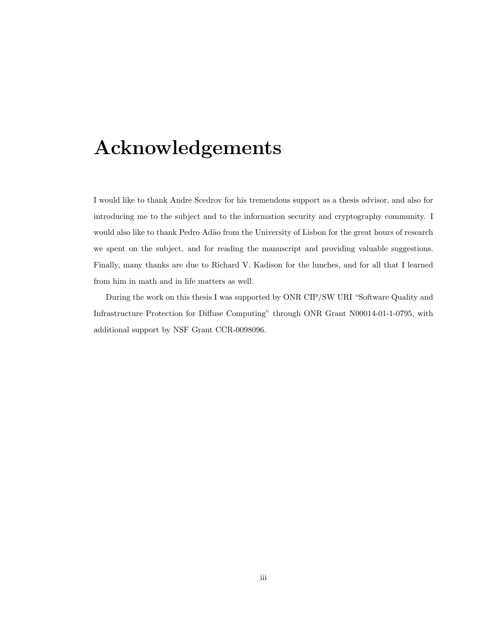## Acknowledgements

I would like to thank Andre Scedrov for his tremendous support as a thesis advisor, and also for introducing me to the subject and to the information security and cryptography community. I would also like to thank Pedro Adão from the University of Lisbon for the great hours of research we spent on the subject, and for reading the manuscript and providing valuable suggestions. Finally, many thanks are due to Richard V. Kadison for the lunches, and for all that I learned from him in math and in life matters as well.

During the work on this thesis I was supported by ONR CIP/SW URI "Software Quality and Infrastructure Protection for Diffuse Computing" through ONR Grant N00014-01-1-0795, with additional support by NSF Grant CCR-0098096.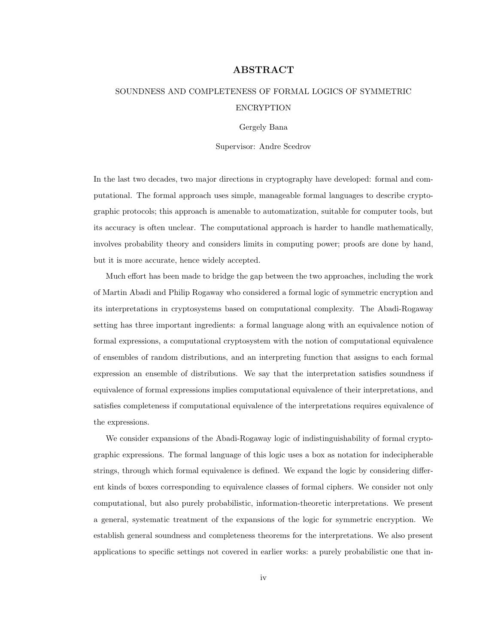#### ABSTRACT

## SOUNDNESS AND COMPLETENESS OF FORMAL LOGICS OF SYMMETRIC ENCRYPTION

Gergely Bana

Supervisor: Andre Scedrov

In the last two decades, two major directions in cryptography have developed: formal and computational. The formal approach uses simple, manageable formal languages to describe cryptographic protocols; this approach is amenable to automatization, suitable for computer tools, but its accuracy is often unclear. The computational approach is harder to handle mathematically, involves probability theory and considers limits in computing power; proofs are done by hand, but it is more accurate, hence widely accepted.

Much effort has been made to bridge the gap between the two approaches, including the work of Martin Abadi and Philip Rogaway who considered a formal logic of symmetric encryption and its interpretations in cryptosystems based on computational complexity. The Abadi-Rogaway setting has three important ingredients: a formal language along with an equivalence notion of formal expressions, a computational cryptosystem with the notion of computational equivalence of ensembles of random distributions, and an interpreting function that assigns to each formal expression an ensemble of distributions. We say that the interpretation satisfies soundness if equivalence of formal expressions implies computational equivalence of their interpretations, and satisfies completeness if computational equivalence of the interpretations requires equivalence of the expressions.

We consider expansions of the Abadi-Rogaway logic of indistinguishability of formal cryptographic expressions. The formal language of this logic uses a box as notation for indecipherable strings, through which formal equivalence is defined. We expand the logic by considering different kinds of boxes corresponding to equivalence classes of formal ciphers. We consider not only computational, but also purely probabilistic, information-theoretic interpretations. We present a general, systematic treatment of the expansions of the logic for symmetric encryption. We establish general soundness and completeness theorems for the interpretations. We also present applications to specific settings not covered in earlier works: a purely probabilistic one that in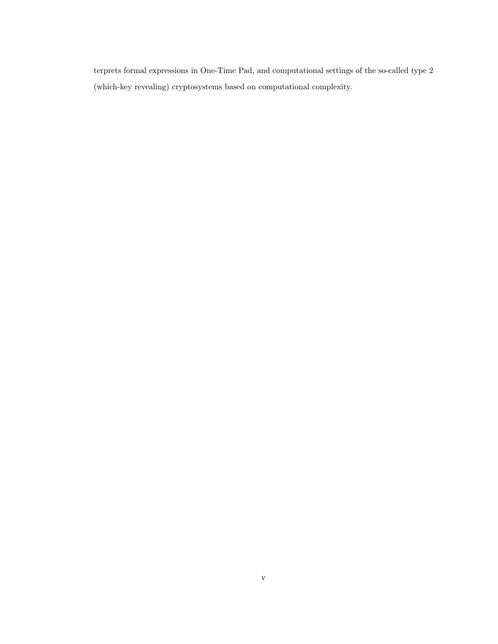terprets formal expressions in One-Time Pad, and computational settings of the so-called type 2 (which-key revealing) cryptosystems based on computational complexity.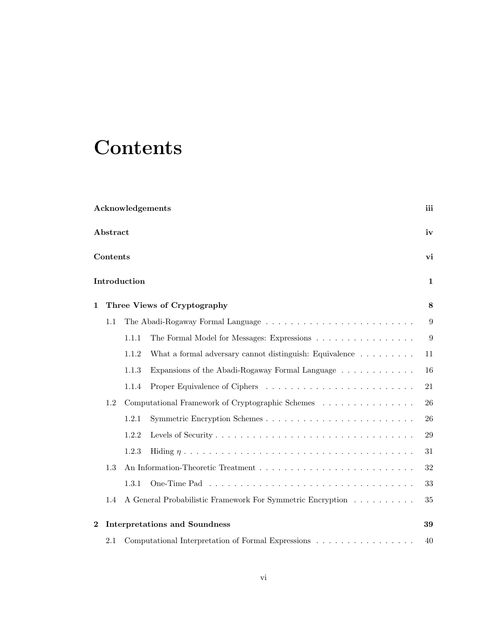# **Contents**

| Acknowledgements |                             |                                                  | iii                                                                         |        |  |
|------------------|-----------------------------|--------------------------------------------------|-----------------------------------------------------------------------------|--------|--|
|                  | Abstract                    |                                                  |                                                                             | iv     |  |
|                  | Contents                    |                                                  |                                                                             | vi     |  |
|                  |                             | Introduction                                     |                                                                             | 1      |  |
| 1                | Three Views of Cryptography |                                                  |                                                                             |        |  |
|                  | 1.1                         |                                                  |                                                                             | 9      |  |
|                  |                             | 1.1.1                                            |                                                                             | 9      |  |
|                  |                             | 1.1.2                                            | What a formal adversary cannot distinguish: Equivalence $\dots \dots \dots$ | 11     |  |
|                  |                             | 1.1.3                                            | Expansions of the Abadi-Rogaway Formal Language                             | 16     |  |
|                  |                             | 1.1.4                                            |                                                                             | 21     |  |
|                  | 1.2                         | Computational Framework of Cryptographic Schemes |                                                                             | 26     |  |
|                  |                             | 1.2.1                                            |                                                                             | 26     |  |
|                  |                             | 1.2.2                                            |                                                                             | 29     |  |
|                  |                             | 1.2.3                                            |                                                                             | 31     |  |
|                  | 1.3                         |                                                  |                                                                             | $32\,$ |  |
|                  |                             | 1.3.1                                            |                                                                             | 33     |  |
|                  | 1.4                         |                                                  | A General Probabilistic Framework For Symmetric Encryption                  | 35     |  |
| $\overline{2}$   |                             |                                                  | <b>Interpretations and Soundness</b>                                        | 39     |  |
|                  | $2.1\,$                     |                                                  | Computational Interpretation of Formal Expressions                          | 40     |  |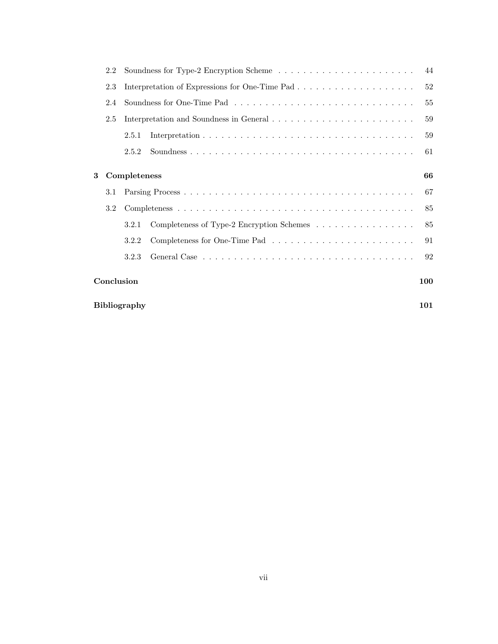|   | 2.2                        |              |                                           |     |  |  |
|---|----------------------------|--------------|-------------------------------------------|-----|--|--|
|   | 2.3                        |              |                                           |     |  |  |
|   | 2.4                        |              |                                           |     |  |  |
|   | 2.5                        |              |                                           |     |  |  |
|   |                            | 2.5.1        |                                           | 59  |  |  |
|   |                            | 2.5.2        |                                           | 61  |  |  |
| 3 |                            | Completeness |                                           | 66  |  |  |
|   | $3.1\,$                    |              |                                           | 67  |  |  |
|   | 3.2                        |              |                                           |     |  |  |
|   |                            | 3.2.1        | Completeness of Type-2 Encryption Schemes | 85  |  |  |
|   |                            | 3.2.2        |                                           | 91  |  |  |
|   |                            | 3.2.3        |                                           | 92  |  |  |
|   | Conclusion                 |              |                                           | 100 |  |  |
|   | <b>Bibliography</b><br>101 |              |                                           |     |  |  |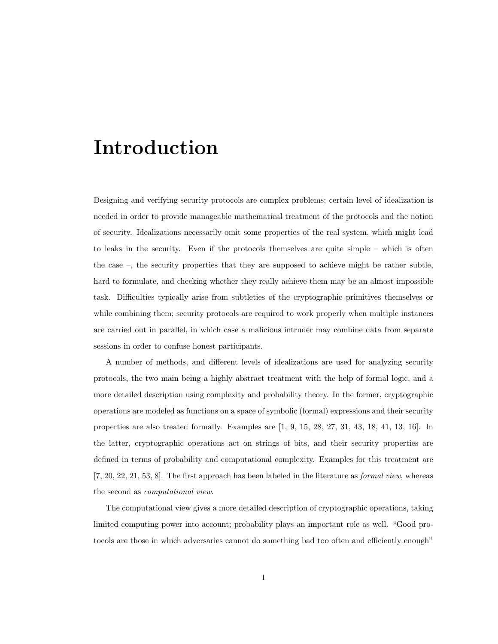## Introduction

Designing and verifying security protocols are complex problems; certain level of idealization is needed in order to provide manageable mathematical treatment of the protocols and the notion of security. Idealizations necessarily omit some properties of the real system, which might lead to leaks in the security. Even if the protocols themselves are quite simple – which is often the case –, the security properties that they are supposed to achieve might be rather subtle, hard to formulate, and checking whether they really achieve them may be an almost impossible task. Difficulties typically arise from subtleties of the cryptographic primitives themselves or while combining them; security protocols are required to work properly when multiple instances are carried out in parallel, in which case a malicious intruder may combine data from separate sessions in order to confuse honest participants.

A number of methods, and different levels of idealizations are used for analyzing security protocols, the two main being a highly abstract treatment with the help of formal logic, and a more detailed description using complexity and probability theory. In the former, cryptographic operations are modeled as functions on a space of symbolic (formal) expressions and their security properties are also treated formally. Examples are [1, 9, 15, 28, 27, 31, 43, 18, 41, 13, 16]. In the latter, cryptographic operations act on strings of bits, and their security properties are defined in terms of probability and computational complexity. Examples for this treatment are  $[7, 20, 22, 21, 53, 8]$ . The first approach has been labeled in the literature as *formal view*, whereas the second as computational view.

The computational view gives a more detailed description of cryptographic operations, taking limited computing power into account; probability plays an important role as well. "Good protocols are those in which adversaries cannot do something bad too often and efficiently enough"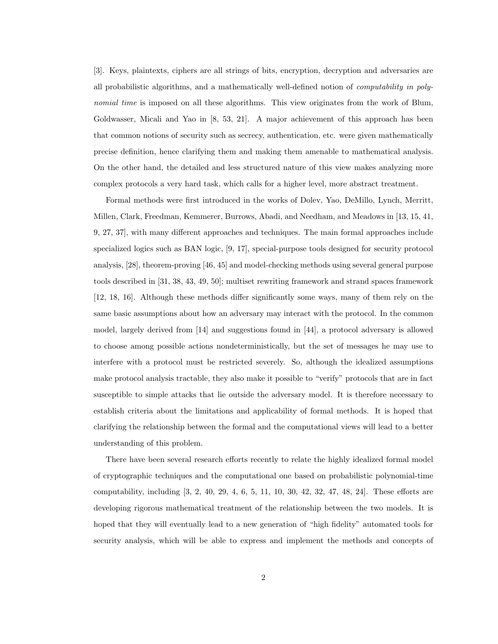[3]. Keys, plaintexts, ciphers are all strings of bits, encryption, decryption and adversaries are all probabilistic algorithms, and a mathematically well-defined notion of computability in polynomial time is imposed on all these algorithms. This view originates from the work of Blum, Goldwasser, Micali and Yao in [8, 53, 21]. A major achievement of this approach has been that common notions of security such as secrecy, authentication, etc. were given mathematically precise definition, hence clarifying them and making them amenable to mathematical analysis. On the other hand, the detailed and less structured nature of this view makes analyzing more complex protocols a very hard task, which calls for a higher level, more abstract treatment.

Formal methods were first introduced in the works of Dolev, Yao, DeMillo, Lynch, Merritt, Millen, Clark, Freedman, Kemmerer, Burrows, Abadi, and Needham, and Meadows in [13, 15, 41, 9, 27, 37], with many different approaches and techniques. The main formal approaches include specialized logics such as BAN logic, [9, 17], special-purpose tools designed for security protocol analysis, [28], theorem-proving [46, 45] and model-checking methods using several general purpose tools described in [31, 38, 43, 49, 50]; multiset rewriting framework and strand spaces framework [12, 18, 16]. Although these methods differ significantly some ways, many of them rely on the same basic assumptions about how an adversary may interact with the protocol. In the common model, largely derived from [14] and suggestions found in [44], a protocol adversary is allowed to choose among possible actions nondeterministically, but the set of messages he may use to interfere with a protocol must be restricted severely. So, although the idealized assumptions make protocol analysis tractable, they also make it possible to "verify" protocols that are in fact susceptible to simple attacks that lie outside the adversary model. It is therefore necessary to establish criteria about the limitations and applicability of formal methods. It is hoped that clarifying the relationship between the formal and the computational views will lead to a better understanding of this problem.

There have been several research efforts recently to relate the highly idealized formal model of cryptographic techniques and the computational one based on probabilistic polynomial-time computability, including [3, 2, 40, 29, 4, 6, 5, 11, 10, 30, 42, 32, 47, 48, 24]. These efforts are developing rigorous mathematical treatment of the relationship between the two models. It is hoped that they will eventually lead to a new generation of "high fidelity" automated tools for security analysis, which will be able to express and implement the methods and concepts of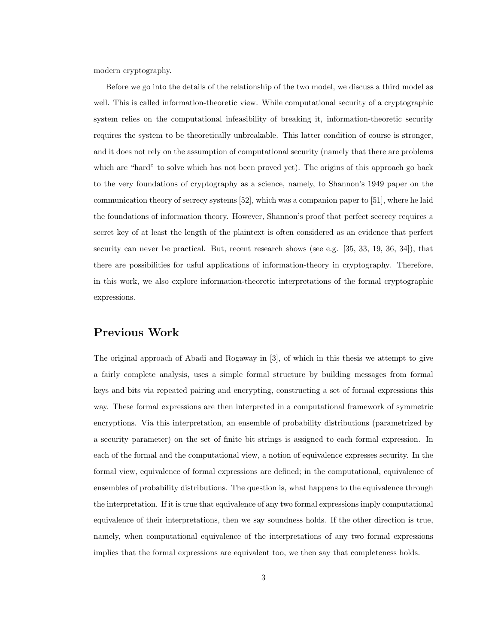modern cryptography.

Before we go into the details of the relationship of the two model, we discuss a third model as well. This is called information-theoretic view. While computational security of a cryptographic system relies on the computational infeasibility of breaking it, information-theoretic security requires the system to be theoretically unbreakable. This latter condition of course is stronger, and it does not rely on the assumption of computational security (namely that there are problems which are "hard" to solve which has not been proved yet). The origins of this approach go back to the very foundations of cryptography as a science, namely, to Shannon's 1949 paper on the communication theory of secrecy systems [52], which was a companion paper to [51], where he laid the foundations of information theory. However, Shannon's proof that perfect secrecy requires a secret key of at least the length of the plaintext is often considered as an evidence that perfect security can never be practical. But, recent research shows (see e.g. [35, 33, 19, 36, 34]), that there are possibilities for usful applications of information-theory in cryptography. Therefore, in this work, we also explore information-theoretic interpretations of the formal cryptographic expressions.

## Previous Work

The original approach of Abadi and Rogaway in [3], of which in this thesis we attempt to give a fairly complete analysis, uses a simple formal structure by building messages from formal keys and bits via repeated pairing and encrypting, constructing a set of formal expressions this way. These formal expressions are then interpreted in a computational framework of symmetric encryptions. Via this interpretation, an ensemble of probability distributions (parametrized by a security parameter) on the set of finite bit strings is assigned to each formal expression. In each of the formal and the computational view, a notion of equivalence expresses security. In the formal view, equivalence of formal expressions are defined; in the computational, equivalence of ensembles of probability distributions. The question is, what happens to the equivalence through the interpretation. If it is true that equivalence of any two formal expressions imply computational equivalence of their interpretations, then we say soundness holds. If the other direction is true, namely, when computational equivalence of the interpretations of any two formal expressions implies that the formal expressions are equivalent too, we then say that completeness holds.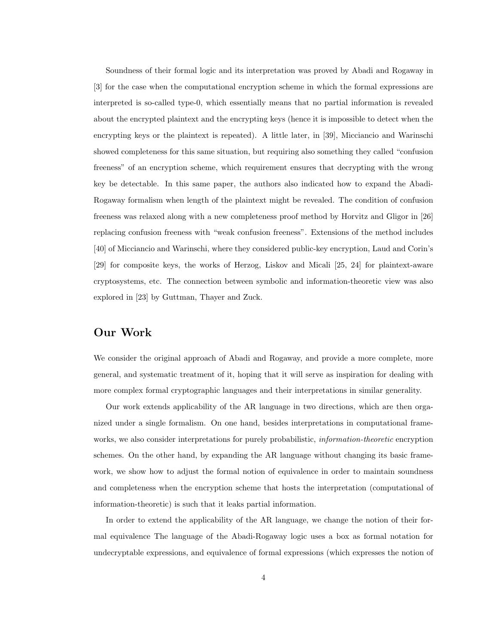Soundness of their formal logic and its interpretation was proved by Abadi and Rogaway in [3] for the case when the computational encryption scheme in which the formal expressions are interpreted is so-called type-0, which essentially means that no partial information is revealed about the encrypted plaintext and the encrypting keys (hence it is impossible to detect when the encrypting keys or the plaintext is repeated). A little later, in [39], Micciancio and Warinschi showed completeness for this same situation, but requiring also something they called "confusion freeness" of an encryption scheme, which requirement ensures that decrypting with the wrong key be detectable. In this same paper, the authors also indicated how to expand the Abadi-Rogaway formalism when length of the plaintext might be revealed. The condition of confusion freeness was relaxed along with a new completeness proof method by Horvitz and Gligor in [26] replacing confusion freeness with "weak confusion freeness". Extensions of the method includes [40] of Micciancio and Warinschi, where they considered public-key encryption, Laud and Corin's [29] for composite keys, the works of Herzog, Liskov and Micali [25, 24] for plaintext-aware cryptosystems, etc. The connection between symbolic and information-theoretic view was also explored in [23] by Guttman, Thayer and Zuck.

## Our Work

We consider the original approach of Abadi and Rogaway, and provide a more complete, more general, and systematic treatment of it, hoping that it will serve as inspiration for dealing with more complex formal cryptographic languages and their interpretations in similar generality.

Our work extends applicability of the AR language in two directions, which are then organized under a single formalism. On one hand, besides interpretations in computational frameworks, we also consider interpretations for purely probabilistic, *information-theoretic* encryption schemes. On the other hand, by expanding the AR language without changing its basic framework, we show how to adjust the formal notion of equivalence in order to maintain soundness and completeness when the encryption scheme that hosts the interpretation (computational of information-theoretic) is such that it leaks partial information.

In order to extend the applicability of the AR language, we change the notion of their formal equivalence The language of the Abadi-Rogaway logic uses a box as formal notation for undecryptable expressions, and equivalence of formal expressions (which expresses the notion of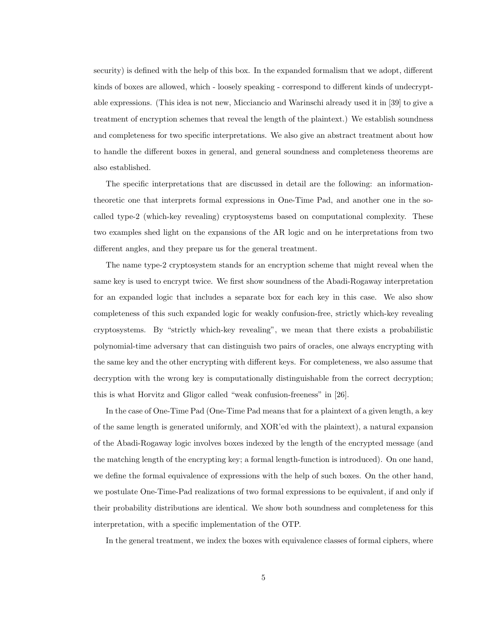security) is defined with the help of this box. In the expanded formalism that we adopt, different kinds of boxes are allowed, which - loosely speaking - correspond to different kinds of undecryptable expressions. (This idea is not new, Micciancio and Warinschi already used it in [39] to give a treatment of encryption schemes that reveal the length of the plaintext.) We establish soundness and completeness for two specific interpretations. We also give an abstract treatment about how to handle the different boxes in general, and general soundness and completeness theorems are also established.

The specific interpretations that are discussed in detail are the following: an informationtheoretic one that interprets formal expressions in One-Time Pad, and another one in the socalled type-2 (which-key revealing) cryptosystems based on computational complexity. These two examples shed light on the expansions of the AR logic and on he interpretations from two different angles, and they prepare us for the general treatment.

The name type-2 cryptosystem stands for an encryption scheme that might reveal when the same key is used to encrypt twice. We first show soundness of the Abadi-Rogaway interpretation for an expanded logic that includes a separate box for each key in this case. We also show completeness of this such expanded logic for weakly confusion-free, strictly which-key revealing cryptosystems. By "strictly which-key revealing", we mean that there exists a probabilistic polynomial-time adversary that can distinguish two pairs of oracles, one always encrypting with the same key and the other encrypting with different keys. For completeness, we also assume that decryption with the wrong key is computationally distinguishable from the correct decryption; this is what Horvitz and Gligor called "weak confusion-freeness" in [26].

In the case of One-Time Pad (One-Time Pad means that for a plaintext of a given length, a key of the same length is generated uniformly, and XOR'ed with the plaintext), a natural expansion of the Abadi-Rogaway logic involves boxes indexed by the length of the encrypted message (and the matching length of the encrypting key; a formal length-function is introduced). On one hand, we define the formal equivalence of expressions with the help of such boxes. On the other hand, we postulate One-Time-Pad realizations of two formal expressions to be equivalent, if and only if their probability distributions are identical. We show both soundness and completeness for this interpretation, with a specific implementation of the OTP.

In the general treatment, we index the boxes with equivalence classes of formal ciphers, where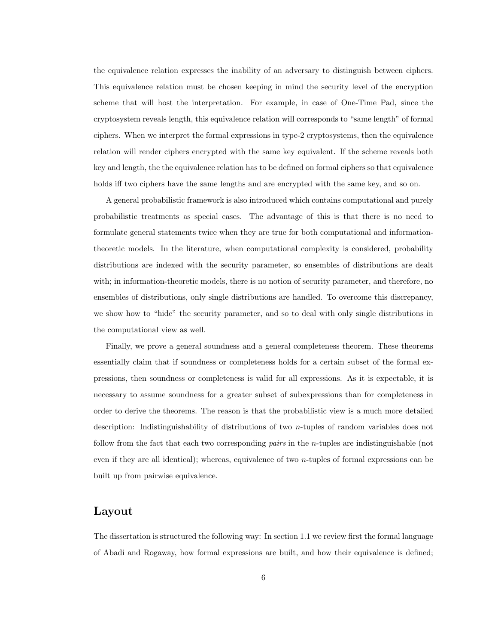the equivalence relation expresses the inability of an adversary to distinguish between ciphers. This equivalence relation must be chosen keeping in mind the security level of the encryption scheme that will host the interpretation. For example, in case of One-Time Pad, since the cryptosystem reveals length, this equivalence relation will corresponds to "same length" of formal ciphers. When we interpret the formal expressions in type-2 cryptosystems, then the equivalence relation will render ciphers encrypted with the same key equivalent. If the scheme reveals both key and length, the the equivalence relation has to be defined on formal ciphers so that equivalence holds iff two ciphers have the same lengths and are encrypted with the same key, and so on.

A general probabilistic framework is also introduced which contains computational and purely probabilistic treatments as special cases. The advantage of this is that there is no need to formulate general statements twice when they are true for both computational and informationtheoretic models. In the literature, when computational complexity is considered, probability distributions are indexed with the security parameter, so ensembles of distributions are dealt with; in information-theoretic models, there is no notion of security parameter, and therefore, no ensembles of distributions, only single distributions are handled. To overcome this discrepancy, we show how to "hide" the security parameter, and so to deal with only single distributions in the computational view as well.

Finally, we prove a general soundness and a general completeness theorem. These theorems essentially claim that if soundness or completeness holds for a certain subset of the formal expressions, then soundness or completeness is valid for all expressions. As it is expectable, it is necessary to assume soundness for a greater subset of subexpressions than for completeness in order to derive the theorems. The reason is that the probabilistic view is a much more detailed description: Indistinguishability of distributions of two n-tuples of random variables does not follow from the fact that each two corresponding pairs in the n-tuples are indistinguishable (not even if they are all identical); whereas, equivalence of two  $n$ -tuples of formal expressions can be built up from pairwise equivalence.

## Layout

The dissertation is structured the following way: In section 1.1 we review first the formal language of Abadi and Rogaway, how formal expressions are built, and how their equivalence is defined;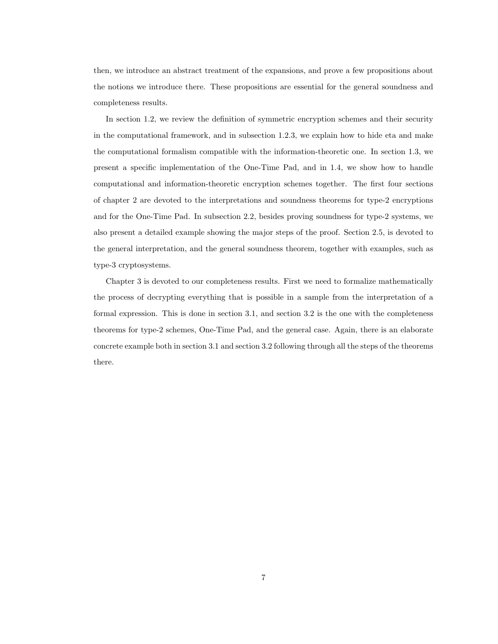then, we introduce an abstract treatment of the expansions, and prove a few propositions about the notions we introduce there. These propositions are essential for the general soundness and completeness results.

In section 1.2, we review the definition of symmetric encryption schemes and their security in the computational framework, and in subsection 1.2.3, we explain how to hide eta and make the computational formalism compatible with the information-theoretic one. In section 1.3, we present a specific implementation of the One-Time Pad, and in 1.4, we show how to handle computational and information-theoretic encryption schemes together. The first four sections of chapter 2 are devoted to the interpretations and soundness theorems for type-2 encryptions and for the One-Time Pad. In subsection 2.2, besides proving soundness for type-2 systems, we also present a detailed example showing the major steps of the proof. Section 2.5, is devoted to the general interpretation, and the general soundness theorem, together with examples, such as type-3 cryptosystems.

Chapter 3 is devoted to our completeness results. First we need to formalize mathematically the process of decrypting everything that is possible in a sample from the interpretation of a formal expression. This is done in section 3.1, and section 3.2 is the one with the completeness theorems for type-2 schemes, One-Time Pad, and the general case. Again, there is an elaborate concrete example both in section 3.1 and section 3.2 following through all the steps of the theorems there.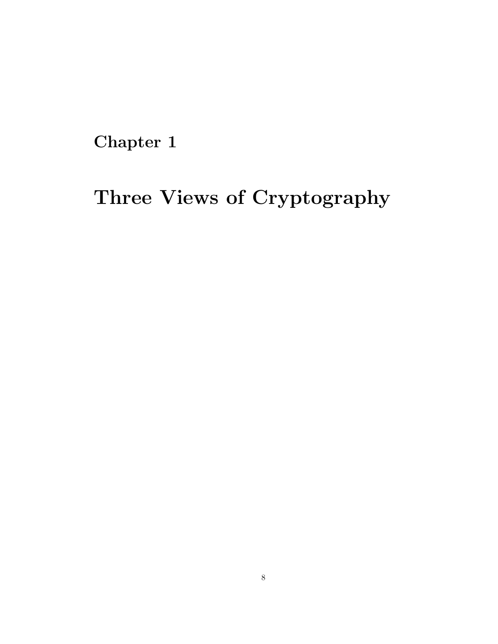Chapter 1

# Three Views of Cryptography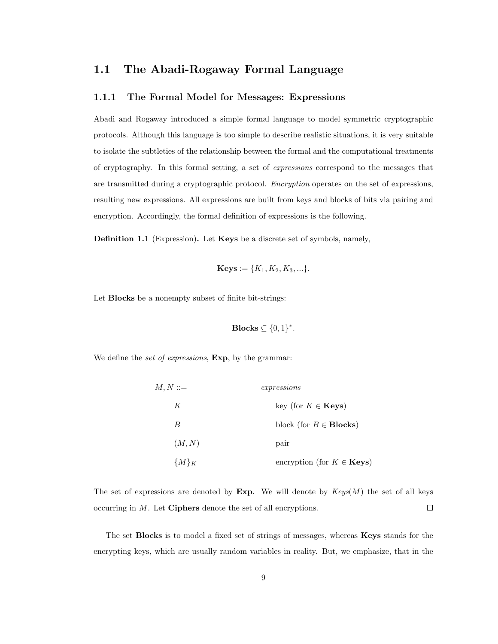## 1.1 The Abadi-Rogaway Formal Language

#### 1.1.1 The Formal Model for Messages: Expressions

Abadi and Rogaway introduced a simple formal language to model symmetric cryptographic protocols. Although this language is too simple to describe realistic situations, it is very suitable to isolate the subtleties of the relationship between the formal and the computational treatments of cryptography. In this formal setting, a set of expressions correspond to the messages that are transmitted during a cryptographic protocol. Encryption operates on the set of expressions, resulting new expressions. All expressions are built from keys and blocks of bits via pairing and encryption. Accordingly, the formal definition of expressions is the following.

Definition 1.1 (Expression). Let Keys be a discrete set of symbols, namely,

**Keys** := 
$$
\{K_1, K_2, K_3, ...\}
$$
.

Let **Blocks** be a nonempty subset of finite bit-strings:

$$
\mathbf{Blocks} \subseteq \{0,1\}^*.
$$

We define the set of expressions,  $Exp$ , by the grammar:

| $M, N ::=$ | expressions                             |  |
|------------|-----------------------------------------|--|
| К          | key (for $K \in \mathbf{Keys}$ )        |  |
| B          | block (for $B \in \text{Blocks}$ )      |  |
| (M, N)     | pair                                    |  |
| ${M}_K$    | encryption (for $K \in \mathbf{Keys}$ ) |  |

The set of expressions are denoted by Exp. We will denote by  $Keys(M)$  the set of all keys occurring in M. Let Ciphers denote the set of all encryptions.  $\Box$ 

The set Blocks is to model a fixed set of strings of messages, whereas Keys stands for the encrypting keys, which are usually random variables in reality. But, we emphasize, that in the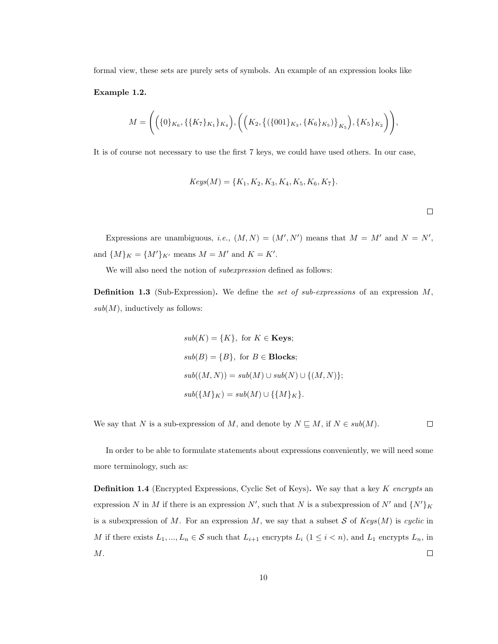formal view, these sets are purely sets of symbols. An example of an expression looks like

Example 1.2.

$$
M = \Bigg(\Big(\{0\}_{K_6}, \{\{K_7\}_{K_1}\}_{K_4}\Big), \Bigg(\Big(K_2, \big\{\{\{001\}_{K_3}, \{K_6\}_{K_5}\}\Big\}_{K_5}\Big), \{K_5\}_{K_2}\Bigg)\Bigg),
$$

It is of course not necessary to use the first 7 keys, we could have used others. In our case,

$$
Keys(M) = \{K_1, K_2, K_3, K_4, K_5, K_6, K_7\}.
$$

 $\Box$ 

Expressions are unambiguous, *i.e.*,  $(M, N) = (M', N')$  means that  $M = M'$  and  $N = N'$ , and  $\{M\}_K = \{M'\}_{K'}$  means  $M = M'$  and  $K = K'.$ 

We will also need the notion of subexpression defined as follows:

**Definition 1.3** (Sub-Expression). We define the set of sub-expressions of an expression  $M$ ,  $sub(M)$ , inductively as follows:

$$
sub(K) = \{K\}, \text{ for } K \in \textbf{Keys};
$$
  
\n
$$
sub(B) = \{B\}, \text{ for } B \in \textbf{Blocks};
$$
  
\n
$$
sub((M, N)) = sub(M) \cup sub(N) \cup \{(M, N)\};
$$
  
\n
$$
sub(\{M\}_K) = sub(M) \cup \{\{M\}_K\}.
$$

We say that N is a sub-expression of M, and denote by  $N \subseteq M$ , if  $N \in sub(M)$ .  $\Box$ 

In order to be able to formulate statements about expressions conveniently, we will need some more terminology, such as:

**Definition 1.4** (Encrypted Expressions, Cyclic Set of Keys). We say that a key  $K$  encrypts an expression N in M if there is an expression  $N'$ , such that N is a subexpression of  $N'$  and  $\{N'\}_K$ is a subexpression of M. For an expression M, we say that a subset S of  $Keys(M)$  is cyclic in M if there exists  $L_1, ..., L_n \in \mathcal{S}$  such that  $L_{i+1}$  encrypts  $L_i$   $(1 \leq i < n)$ , and  $L_1$  encrypts  $L_n$ , in M.  $\Box$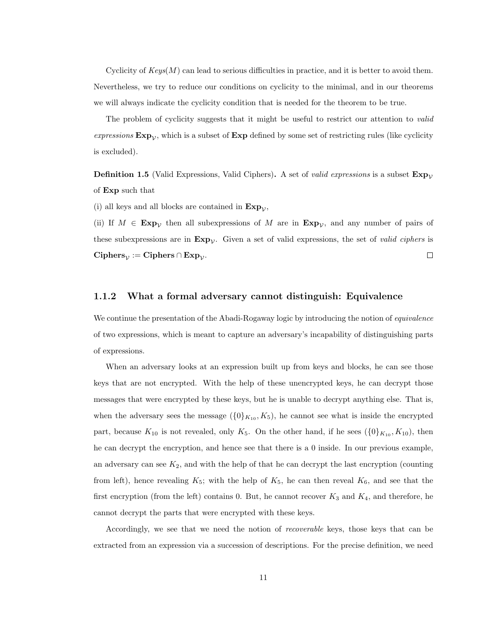Cyclicity of  $Keys(M)$  can lead to serious difficulties in practice, and it is better to avoid them. Nevertheless, we try to reduce our conditions on cyclicity to the minimal, and in our theorems we will always indicate the cyclicity condition that is needed for the theorem to be true.

The problem of cyclicity suggests that it might be useful to restrict our attention to *valid* expressions  $Exp_{\mathcal{V}}$ , which is a subset of  $Exp$  defined by some set of restricting rules (like cyclicity is excluded).

**Definition 1.5** (Valid Expressions, Valid Ciphers). A set of *valid expressions* is a subset  $Exp_{\mathcal{V}}$ of Exp such that

(i) all keys and all blocks are contained in  $Exp_{\mathcal{V}}$ ,

(ii) If  $M \in \mathbf{Exp}_{\mathcal{V}}$  then all subexpressions of M are in  $\mathbf{Exp}_{\mathcal{V}}$ , and any number of pairs of these subexpressions are in  $Exp_{\mathcal{V}}$ . Given a set of valid expressions, the set of valid ciphers is  $\Box$ Ciphers $\psi$  := Ciphers ∩ Exp $\psi$ .

#### 1.1.2 What a formal adversary cannot distinguish: Equivalence

We continue the presentation of the Abadi-Rogaway logic by introducing the notion of *equivalence* of two expressions, which is meant to capture an adversary's incapability of distinguishing parts of expressions.

When an adversary looks at an expression built up from keys and blocks, he can see those keys that are not encrypted. With the help of these unencrypted keys, he can decrypt those messages that were encrypted by these keys, but he is unable to decrypt anything else. That is, when the adversary sees the message  $({0}_{K_{10}}, K_5)$ , he cannot see what is inside the encrypted part, because  $K_{10}$  is not revealed, only  $K_5$ . On the other hand, if he sees  $({0})_{K_{10}}, K_{10})$ , then he can decrypt the encryption, and hence see that there is a 0 inside. In our previous example, an adversary can see  $K_2$ , and with the help of that he can decrypt the last encryption (counting from left), hence revealing  $K_5$ ; with the help of  $K_5$ , he can then reveal  $K_6$ , and see that the first encryption (from the left) contains 0. But, he cannot recover  $K_3$  and  $K_4$ , and therefore, he cannot decrypt the parts that were encrypted with these keys.

Accordingly, we see that we need the notion of recoverable keys, those keys that can be extracted from an expression via a succession of descriptions. For the precise definition, we need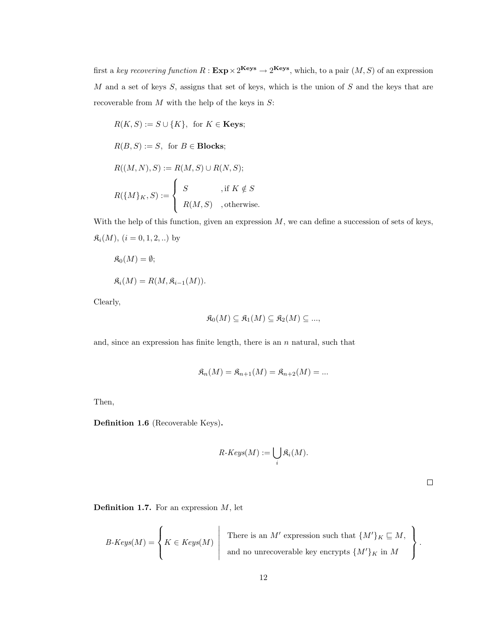first a key recovering function  $R: \textbf{Exp} \times 2^{\textbf{Keys}} \to 2^{\textbf{Keys}}$ , which, to a pair  $(M, S)$  of an expression  $M$  and a set of keys  $S$ , assigns that set of keys, which is the union of  $S$  and the keys that are recoverable from  $M$  with the help of the keys in  $S$ :

$$
R(K, S) := S \cup \{K\}, \text{ for } K \in \text{Keys};
$$
  

$$
R(B, S) := S, \text{ for } B \in \text{Blocks};
$$
  

$$
R((M, N), S) := R(M, S) \cup R(N, S);
$$
  

$$
R(\{M\}_K, S) := \begin{cases} S & \text{, if } K \notin S \\ R(M, S) & \text{, otherwise.} \end{cases}
$$

With the help of this function, given an expression  $M$ , we can define a succession of sets of keys,  $\mathfrak{K}_i(M)$ ,  $(i = 0, 1, 2, ...)$  by

$$
\mathfrak{K}_0(M) = \emptyset;
$$
  

$$
\mathfrak{K}_i(M) = R(M, \mathfrak{K}_{i-1}(M)).
$$

Clearly,

$$
\mathfrak{K}_0(M) \subseteq \mathfrak{K}_1(M) \subseteq \mathfrak{K}_2(M) \subseteq \dots,
$$

and, since an expression has finite length, there is an  $n$  natural, such that

$$
\mathfrak{K}_n(M) = \mathfrak{K}_{n+1}(M) = \mathfrak{K}_{n+2}(M) = \dots
$$

Then,

Definition 1.6 (Recoverable Keys).

$$
R\text{-}Keys(M) := \bigcup_i \mathfrak{K}_i(M).
$$

 $\Box$ 

**Definition 1.7.** For an expression  $M$ , let

$$
B\text{-}Keys(M)=\left\{K\in Keys(M)\;\left|\; \begin{array}{r}\text{There is an $M'$ expression such that }\{M'\}_K\sqsubseteq M, \\ \text{and no unrecoverable key encrypts }\{M'\}_K\text{ in }M\end{array}\right.\right\}.
$$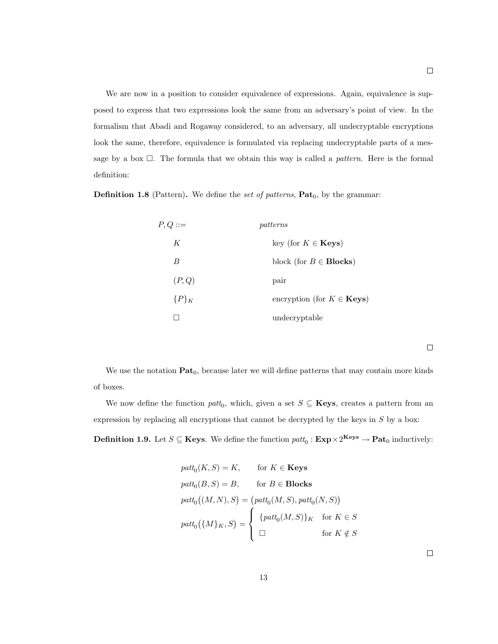We are now in a position to consider equivalence of expressions. Again, equivalence is supposed to express that two expressions look the same from an adversary's point of view. In the formalism that Abadi and Rogaway considered, to an adversary, all undecryptable encryptions look the same, therefore, equivalence is formulated via replacing undecryptable parts of a message by a box  $\Box$ . The formula that we obtain this way is called a *pattern*. Here is the formal definition:

**Definition 1.8** (Pattern). We define the set of patterns,  $Pat_0$ , by the grammar:

| $P, Q ::=$ | patterns                                |  |
|------------|-----------------------------------------|--|
| K          | key (for $K \in \mathbf{Keys}$ )        |  |
| B          | block (for $B \in \text{Blocks}$ )      |  |
| (P,Q)      | pair                                    |  |
| ${P}_{K}$  | encryption (for $K \in \mathbf{Keys}$ ) |  |
|            | undecryptable                           |  |

 $\Box$ 

We use the notation  $\textbf{Pat}_0$ , because later we will define patterns that may contain more kinds of boxes.

We now define the function  $\text{path}_0$ , which, given a set  $S \subseteq \mathbf{Keys}$ , creates a pattern from an expression by replacing all encryptions that cannot be decrypted by the keys in  $S$  by a box:

**Definition 1.9.** Let  $S \subseteq \textbf{Keys}$ . We define the function  $\text{patt}_0 : \textbf{Exp} \times 2^{\textbf{Keys}} \to \textbf{Pat}_0$  inductively:

$$
path_0(K, S) = K, \tfor K \in Keys
$$
  
\n
$$
path_0(B, S) = B, \tfor B \in Blocks
$$
  
\n
$$
path_0((M, N), S) = (path_0(M, S), path_0(N, S))
$$
  
\n
$$
path_0(\{M\}_K, S) = \begin{cases} {path_0(M, S)}_K & \text{for } K \in S \\ \square & \text{for } K \notin S \end{cases}
$$

 $\Box$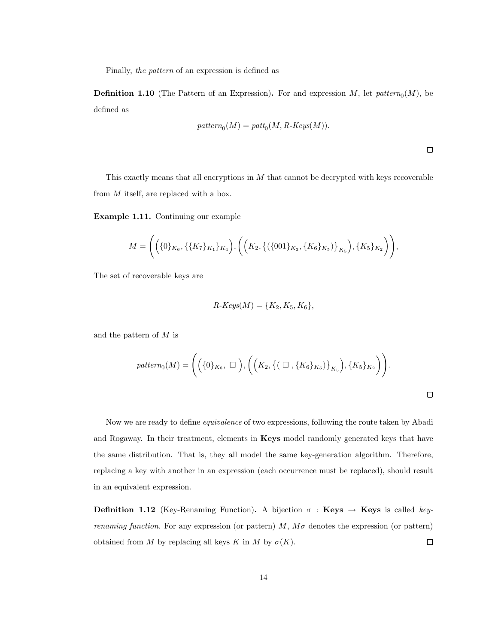Finally, the pattern of an expression is defined as

**Definition 1.10** (The Pattern of an Expression). For and expression  $M$ , let  $pattern_0(M)$ , be defined as

$$
pattern_0(M) = patt_0(M, R \text{-} Keys(M)).
$$

 $\Box$ 

This exactly means that all encryptions in  $M$  that cannot be decrypted with keys recoverable from M itself, are replaced with a box.

Example 1.11. Continuing our example

$$
M = \Bigg(\Big(\{0\}_{K_6}, \{\{K_7\}_{K_1}\}_{K_4}\Big), \Bigg(\Big(K_2, \big\{\left(\{001\}_{K_3}, \{K_6\}_{K_5}\right)\}_{K_5}\Big), \{K_5\}_{K_2}\Bigg)\Bigg),
$$

The set of recoverable keys are

$$
R\text{-}Keys(M) = \{K_2, K_5, K_6\},\
$$

and the pattern of  $M$  is

$$
pattern_0(M) = \Bigg(\Big(\{0\}_{K_6}, \ \Box\ \Big), \Big(\Big(K_2, \{(\ \Box\ , \{K_6\}_{K_5})\}_{K_5}\Big), \{K_5\}_{K_2}\Big)\Bigg).
$$

Now we are ready to define equivalence of two expressions, following the route taken by Abadi and Rogaway. In their treatment, elements in Keys model randomly generated keys that have the same distribution. That is, they all model the same key-generation algorithm. Therefore, replacing a key with another in an expression (each occurrence must be replaced), should result in an equivalent expression.

**Definition 1.12** (Key-Renaming Function). A bijection  $\sigma$  : Keys  $\rightarrow$  Keys is called key*renaming function.* For any expression (or pattern)  $M$ ,  $M\sigma$  denotes the expression (or pattern) obtained from M by replacing all keys K in M by  $\sigma(K)$ .  $\Box$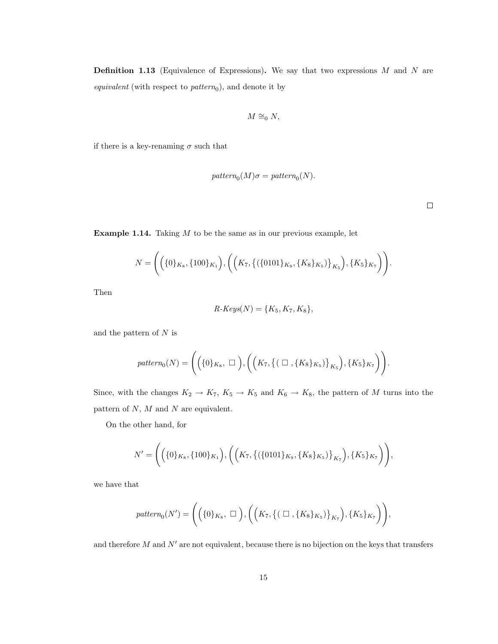**Definition 1.13** (Equivalence of Expressions). We say that two expressions  $M$  and  $N$  are *equivalent* (with respect to  $pattern_0$ ), and denote it by

$$
M \cong_0 N,
$$

if there is a key-renaming  $\sigma$  such that

$$
pattern_0(M)\sigma = pattern_0(N).
$$

 $\Box$ 

**Example 1.14.** Taking  $M$  to be the same as in our previous example, let

$$
N = \Bigg(\Big(\{0\}_{K_8}, \{100\}_{K_1}\Big), \Bigg(\Big(K_7, \big\{\big(\{0101\}_{K_9}, \{K_8\}_{K_5}\big)\big\}_{K_5}\Big), \{K_5\}_{K_7}\Bigg)\Bigg).
$$

Then

$$
R\text{-}Keys(N) = \{K_5, K_7, K_8\},\
$$

and the pattern of  $N$  is

$$
pattern_0(N) = \Bigg(\Big(\{0\}_{K_8}, \ \Box\ \Big), \Bigg(\Big(K_7, \big\{\big(\ \Box\ , \{K_8\}_{K_5}\big)\big\}_{K_5}\Big), \{K_5\}_{K_7}\Big)\Bigg).
$$

Since, with the changes  $K_2 \to K_7$ ,  $K_5 \to K_5$  and  $K_6 \to K_8$ , the pattern of M turns into the pattern of  $N$ ,  $M$  and  $N$  are equivalent.

On the other hand, for

$$
N' = \Bigg(\Big(\{0\}_{K_8}, \{100\}_{K_1}\Big), \Bigg(\Big(K_7, \big\{\big(\{0101\}_{K_9}, \{K_8\}_{K_5}\big)\big\}_{K_7}\Big), \{K_5\}_{K_7}\Bigg)\Bigg),
$$

we have that

$$
pattern_0(N') = \Bigg(\Big(\{0\}_{K_8}, \ \Box\ \Big), \Bigg(\Big(K_7, \big\{\big(\ \Box\ , \{K_8\}_{K_5}\big)\big\}_{K_7}\Big), \{K_5\}_{K_7}\Bigg)\Bigg),
$$

and therefore  $M$  and  $N'$  are not equivalent, because there is no bijection on the keys that transfers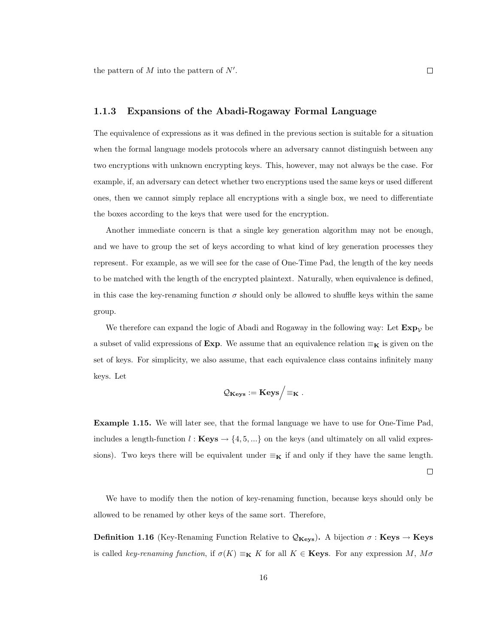the pattern of  $M$  into the pattern of  $N'$ .

#### 1.1.3 Expansions of the Abadi-Rogaway Formal Language

The equivalence of expressions as it was defined in the previous section is suitable for a situation when the formal language models protocols where an adversary cannot distinguish between any two encryptions with unknown encrypting keys. This, however, may not always be the case. For example, if, an adversary can detect whether two encryptions used the same keys or used different ones, then we cannot simply replace all encryptions with a single box, we need to differentiate the boxes according to the keys that were used for the encryption.

Another immediate concern is that a single key generation algorithm may not be enough, and we have to group the set of keys according to what kind of key generation processes they represent. For example, as we will see for the case of One-Time Pad, the length of the key needs to be matched with the length of the encrypted plaintext. Naturally, when equivalence is defined, in this case the key-renaming function  $\sigma$  should only be allowed to shuffle keys within the same group.

We therefore can expand the logic of Abadi and Rogaway in the following way: Let  $\mathbf{Exp}_{\mathcal{V}}$  be a subset of valid expressions of Exp. We assume that an equivalence relation  $\equiv_K$  is given on the set of keys. For simplicity, we also assume, that each equivalence class contains infinitely many keys. Let

$$
\mathcal{Q}_{\mathbf{Keys}} := \mathbf{Keys} \Big/ \mathord{\equiv_{\mathbf{K}}} \; .
$$

Example 1.15. We will later see, that the formal language we have to use for One-Time Pad, includes a length-function  $l : \textbf{Keys} \to \{4, 5, ...\}$  on the keys (and ultimately on all valid expressions). Two keys there will be equivalent under  $\equiv_K$  if and only if they have the same length.

 $\Box$ 

We have to modify then the notion of key-renaming function, because keys should only be allowed to be renamed by other keys of the same sort. Therefore,

**Definition 1.16** (Key-Renaming Function Relative to  $\mathcal{Q}_{\mathbf{Keys}}$ ). A bijection  $\sigma$ : **Keys**  $\rightarrow$  **Keys** is called key-renaming function, if  $\sigma(K) \equiv_K K$  for all  $K \in \mathbf{Keys}$ . For any expression M,  $M\sigma$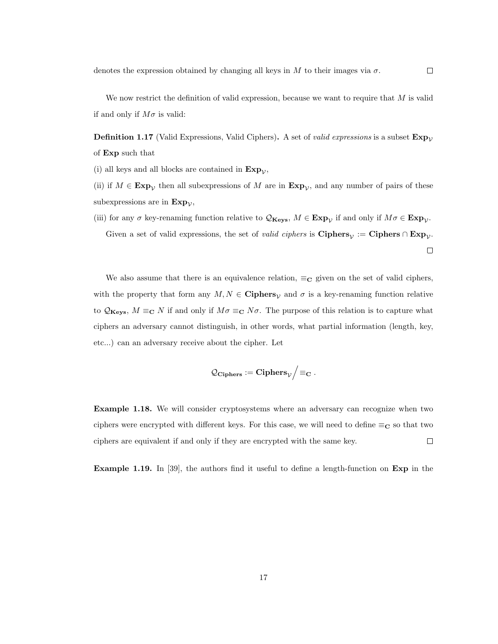We now restrict the definition of valid expression, because we want to require that  $M$  is valid if and only if  $M\sigma$  is valid:

**Definition 1.17** (Valid Expressions, Valid Ciphers). A set of *valid expressions* is a subset  $Exp_{\mathcal{V}}$ of Exp such that

(i) all keys and all blocks are contained in  $Exp_{\mathcal{V}}$ ,

(ii) if  $M \in \mathbf{Exp}_{\mathcal{V}}$  then all subexpressions of M are in  $\mathbf{Exp}_{\mathcal{V}}$ , and any number of pairs of these subexpressions are in  $Exp_{\mathcal{V}}$ ,

(iii) for any  $\sigma$  key-renaming function relative to  $\mathcal{Q}_{\mathbf{Keys}}$ ,  $M \in \mathbf{Exp}_{\mathcal{V}}$  if and only if  $M\sigma \in \mathbf{Exp}_{\mathcal{V}}$ . Given a set of valid expressions, the set of *valid ciphers* is  $\text{Ciphers}_{\mathcal{V}} := \text{Ciphers} \cap \text{Exp}_{\mathcal{V}}$ .  $\Box$ 

We also assume that there is an equivalence relation,  $\equiv_{\mathbf{C}}$  given on the set of valid ciphers, with the property that form any  $M, N \in \mathbf{Ciphers}_{\mathcal{V}}$  and  $\sigma$  is a key-renaming function relative to  $\mathcal{Q}_{\mathbf{Keys}}, M \equiv_{\mathbf{C}} N$  if and only if  $M\sigma \equiv_{\mathbf{C}} N\sigma$ . The purpose of this relation is to capture what ciphers an adversary cannot distinguish, in other words, what partial information (length, key, etc...) can an adversary receive about the cipher. Let

$$
\mathcal{Q}_{\mathbf{Ciphers}}:=\mathbf{Ciphers}_{\mathcal{V}}\Bigl/\equiv_\mathbf{C}.
$$

Example 1.18. We will consider cryptosystems where an adversary can recognize when two ciphers were encrypted with different keys. For this case, we will need to define  $\equiv_{\mathbf{C}}$  so that two ciphers are equivalent if and only if they are encrypted with the same key.  $\Box$ 

Example 1.19. In [39], the authors find it useful to define a length-function on Exp in the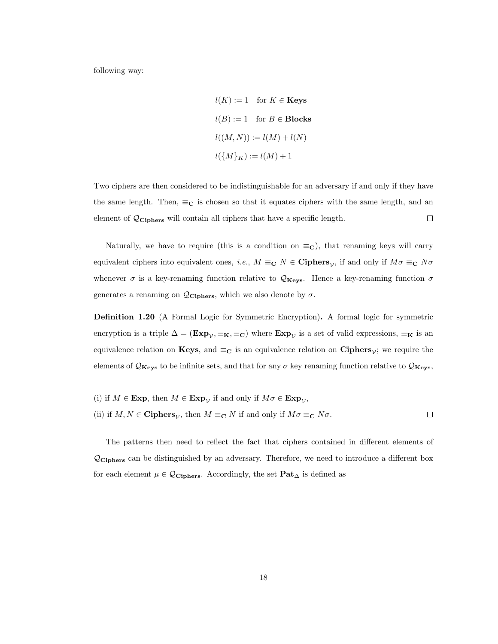following way:

$$
l(K) := 1 \quad \text{for } K \in \text{Keys}
$$

$$
l(B) := 1 \quad \text{for } B \in \text{Blocks}
$$

$$
l((M, N)) := l(M) + l(N)
$$

$$
l(\{M\}_K) := l(M) + 1
$$

Two ciphers are then considered to be indistinguishable for an adversary if and only if they have the same length. Then,  $\equiv_{\mathbf{C}}$  is chosen so that it equates ciphers with the same length, and an element of  $\mathcal{Q}_{\text{Ciphers}}$  will contain all ciphers that have a specific length.  $\Box$ 

Naturally, we have to require (this is a condition on  $\equiv_C$ ), that renaming keys will carry equivalent ciphers into equivalent ones, *i.e.*,  $M \equiv_{\mathbf{C}} N \in \mathbf{Ciphers}_{\mathcal{V}}$ , if and only if  $M\sigma \equiv_{\mathbf{C}} N\sigma$ whenever  $\sigma$  is a key-renaming function relative to  $\mathcal{Q}_{\mathbf{Keys}}$ . Hence a key-renaming function  $\sigma$ generates a renaming on  $\mathcal{Q}_{\text{Ciphers}}$ , which we also denote by  $\sigma$ .

Definition 1.20 (A Formal Logic for Symmetric Encryption). A formal logic for symmetric encryption is a triple  $\Delta = (\mathbf{Exp}_{\mathcal{V}}, \equiv_{\mathbf{K}}, \equiv_{\mathbf{C}})$  where  $\mathbf{Exp}_{\mathcal{V}}$  is a set of valid expressions,  $\equiv_{\mathbf{K}}$  is an equivalence relation on **Keys**, and  $\equiv_{\mathbf{C}}$  is an equivalence relation on **Ciphers**<sub>*V*</sub>; we require the elements of  $\mathcal{Q}_{\mathbf{Keys}}$  to be infinite sets, and that for any  $\sigma$  key renaming function relative to  $\mathcal{Q}_{\mathbf{Keys}}$ ,

\n- (i) if 
$$
M \in \mathbf{Exp}
$$
, then  $M \in \mathbf{Exp}_{\mathcal{V}}$  if and only if  $M\sigma \in \mathbf{Exp}_{\mathcal{V}}$ ,
\n- (ii) if  $M, N \in \mathbf{Ciphers}_{\mathcal{V}}$ , then  $M \equiv_{\mathbf{C}} N$  if and only if  $M\sigma \equiv_{\mathbf{C}} N\sigma$ .
\n

The patterns then need to reflect the fact that ciphers contained in different elements of  $\mathcal{Q}_{\text{Ciphers}}$  can be distinguished by an adversary. Therefore, we need to introduce a different box for each element  $\mu \in \mathcal{Q}_{\text{Ciphers}}$ . Accordingly, the set  $\text{Pat}_{\Delta}$  is defined as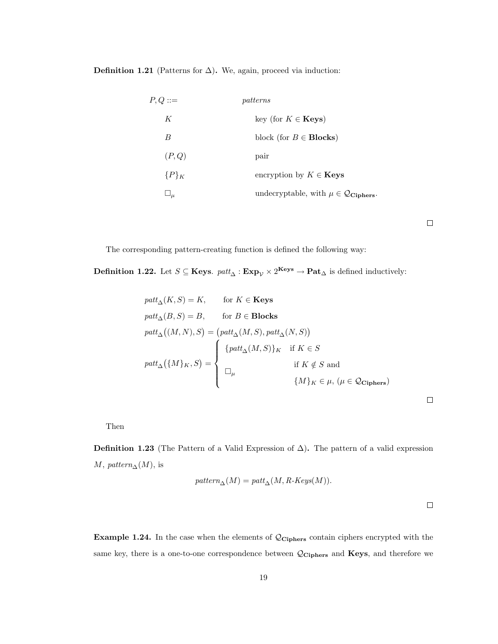**Definition 1.21** (Patterns for  $\Delta$ ). We, again, proceed via induction:

| $P, Q ::=$   | patterns                                                     |
|--------------|--------------------------------------------------------------|
| K            | key (for $K \in \mathbf{Keys}$ )                             |
| B            | block (for $B \in \text{Blocks}$ )                           |
| (P,Q)        | pair                                                         |
| ${P}_{K}$    | encryption by $K \in \mathbf{Keys}$                          |
| $\sqcup_\mu$ | undecryptable, with $\mu \in \mathcal{Q}_{\text{Ciphers}}$ . |

 $\Box$ 

The corresponding pattern-creating function is defined the following way:

Definition 1.22. Let  $S \subseteq \text{Keys. } patt_{\Delta} : \text{Exp}_{\mathcal{V}} \times 2^{\text{Keys}} \to \text{Pat}_{\Delta}$  is defined inductively:

$$
path_{\Delta}(K, S) = K, \quad \text{for } K \in \textbf{Keys}
$$
\n
$$
path_{\Delta}(B, S) = B, \quad \text{for } B \in \textbf{Blocks}
$$
\n
$$
path_{\Delta}((M, N), S) = (path_{\Delta}(M, S), path_{\Delta}(N, S))
$$
\n
$$
path_{\Delta}(\{M\}_K, S) = \begin{cases}\n\{path_{\Delta}(M, S)\}_K & \text{if } K \in S \\
\text{if } K \notin S \text{ and} \\
\Box_{\mu} & \{M\}_K \in \mu, (\mu \in \mathcal{Q}_{\textbf{Ciphers}})\n\end{cases}
$$

Then

**Definition 1.23** (The Pattern of a Valid Expression of  $\Delta$ ). The pattern of a valid expression  $M$ , pattern<sub>∆</sub>( $M$ ), is

$$
pattern_{\Delta}(M) = patt_{\Delta}(M, R\text{-}Keys(M)).
$$

 $\Box$ 

 $\Box$ 

Example 1.24. In the case when the elements of QCiphers contain ciphers encrypted with the same key, there is a one-to-one correspondence between  $\mathcal{Q}_{\text{Ciphers}}$  and Keys, and therefore we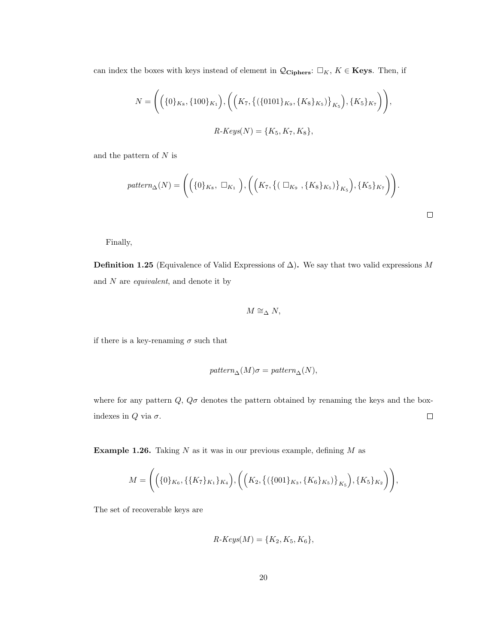can index the boxes with keys instead of element in  $\mathcal{Q}_{\text{Ciphers}}$ :  $\Box_K$ ,  $K \in \text{Keys}$ . Then, if

$$
N = \Bigg( \Big( \{0\}_{K_8}, \{100\}_{K_1} \Big), \Bigg( \Big( K_7, \big\{ (\{0101\}_{K_9}, \{K_8\}_{K_5} \big)\big\}_{K_5} \Big), \{K_5\}_{K_7} \Bigg) \Bigg),
$$
  

$$
R \cdot Keys(N) = \{K_5, K_7, K_8 \},
$$

and the pattern of  $N$  is

$$
pattern_{\Delta}(N) = \Bigg( \Big( \{0\}_{K_8}, \ \Box_{K_1} \ \Big), \Big( \Big( K_7, \big\{ (\ \Box_{K_9} \ , \{K_8\}_{K_5})\big\}_{K_5} \Big), \{K_5\}_{K_7} \Big) \Bigg).
$$

Finally,

**Definition 1.25** (Equivalence of Valid Expressions of  $\Delta$ ). We say that two valid expressions M and  $N$  are *equivalent*, and denote it by

$$
M \cong_{\Delta} N,
$$

if there is a key-renaming  $\sigma$  such that

$$
pattern_{\Delta}(M)\sigma = pattern_{\Delta}(N),
$$

where for any pattern  $Q$ ,  $Q\sigma$  denotes the pattern obtained by renaming the keys and the boxindexes in  $Q$  via  $\sigma$ .  $\Box$ 

**Example 1.26.** Taking  $N$  as it was in our previous example, defining  $M$  as

$$
M = \Bigg(\Big(\{0\}_{K_6}, \{\{K_7\}_{K_1}\}_{K_4}\Big), \Bigg(\Big(K_2, \big\{\left(\{001\}_{K_3}, \{K_6\}_{K_5}\right)\}_{K_5}\Big), \{K_5\}_{K_2}\Bigg)\Bigg),
$$

The set of recoverable keys are

$$
R\text{-}Keys(M) = \{K_2, K_5, K_6\},\
$$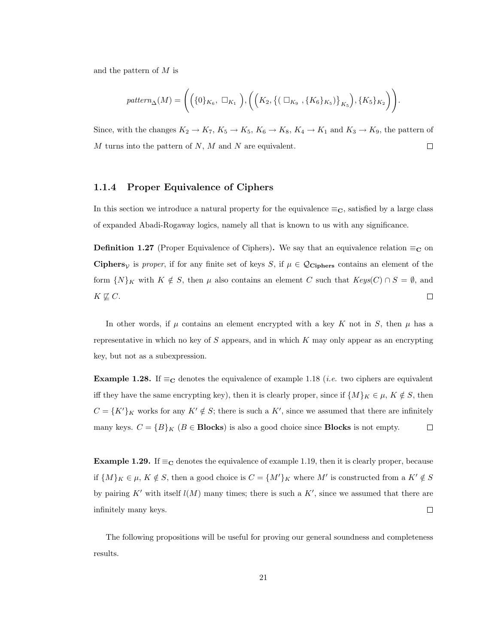and the pattern of M is

$$
pattern_{\Delta}(M) = \Bigg(\Big(\{0\}_{K_6}, \ \Box_{K_1}\ \Big), \Big(\Big(K_2, \big\{\big(\Box_{K_9}, \{K_6\}_{K_5}\big)\big\}_{K_5}\Big), \{K_5\}_{K_2}\Big)\Bigg).
$$

Since, with the changes  $K_2 \to K_7$ ,  $K_5 \to K_5$ ,  $K_6 \to K_8$ ,  $K_4 \to K_1$  and  $K_3 \to K_9$ , the pattern of  $M$  turns into the pattern of  $N$ ,  $M$  and  $N$  are equivalent.  $\Box$ 

#### 1.1.4 Proper Equivalence of Ciphers

In this section we introduce a natural property for the equivalence  $\equiv_C$ , satisfied by a large class of expanded Abadi-Rogaway logics, namely all that is known to us with any significance.

**Definition 1.27** (Proper Equivalence of Ciphers). We say that an equivalence relation  $\equiv_{\mathbf{C}}$  on Ciphers<sub>V</sub> is proper, if for any finite set of keys S, if  $\mu \in \mathcal{Q}_{\text{Ciphers}}$  contains an element of the form  $\{N\}_K$  with  $K \notin S$ , then  $\mu$  also contains an element C such that  $Keys(C) \cap S = \emptyset$ , and  $K \not\sqsubseteq C$ .  $\Box$ 

In other words, if  $\mu$  contains an element encrypted with a key K not in S, then  $\mu$  has a representative in which no key of  $S$  appears, and in which  $K$  may only appear as an encrypting key, but not as a subexpression.

**Example 1.28.** If  $\equiv_{\mathbf{C}}$  denotes the equivalence of example 1.18 (*i.e.* two ciphers are equivalent iff they have the same encrypting key), then it is clearly proper, since if  $\{M\}_K \in \mu$ ,  $K \notin S$ , then  $C = {K'}_K$  works for any  $K' \notin S$ ; there is such a  $K'$ , since we assumed that there are infinitely many keys.  $C = {B}_{K} (B \in \text{Blocks})$  is also a good choice since **Blocks** is not empty.  $\Box$ 

Example 1.29. If  $\equiv_{\mathbf{C}}$  denotes the equivalence of example 1.19, then it is clearly proper, because if  $\{M\}_K \in \mu$ ,  $K \notin S$ , then a good choice is  $C = \{M'\}_K$  where M' is constructed from a  $K' \notin S$ by pairing K' with itself  $l(M)$  many times; there is such a K', since we assumed that there are infinitely many keys.  $\Box$ 

The following propositions will be useful for proving our general soundness and completeness results.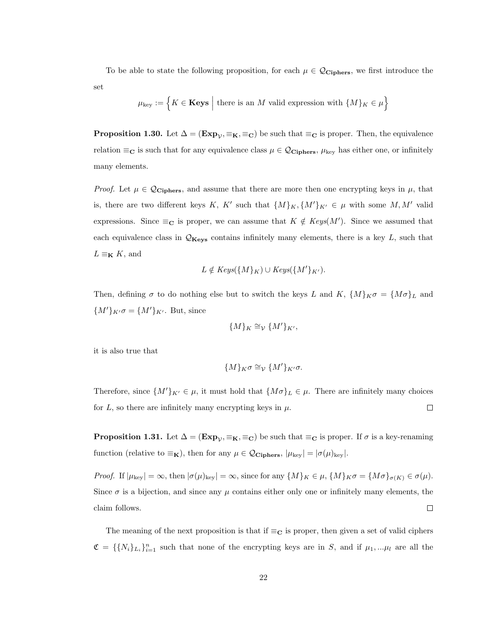To be able to state the following proposition, for each  $\mu \in \mathcal{Q}_{\text{Ciphers}}$ , we first introduce the set

$$
\mu_{\text{key}} := \Big\{ K \in \textbf{Keys} \ \Big| \ \text{there is an } M \text{ valid expression with } \{M\}_K \in \mu \Big\}
$$

**Proposition 1.30.** Let  $\Delta = (\mathbf{Exp}_v, \equiv_{\mathbf{K}}, \equiv_{\mathbf{C}})$  be such that  $\equiv_{\mathbf{C}}$  is proper. Then, the equivalence relation  $\equiv_C$  is such that for any equivalence class  $\mu \in \mathcal{Q}_{\text{Ciphers}}$ ,  $\mu_{\text{key}}$  has either one, or infinitely many elements.

*Proof.* Let  $\mu \in \mathcal{Q}_{\text{Ciphers}}$ , and assume that there are more then one encrypting keys in  $\mu$ , that is, there are two different keys K, K' such that  $\{M\}_K, \{M'\}_K \in \mu$  with some  $M, M'$  valid expressions. Since  $\equiv_{\mathbf{C}}$  is proper, we can assume that  $K \notin Keys(M')$ . Since we assumed that each equivalence class in  $\mathcal{Q}_{\mathbf{Keys}}$  contains infinitely many elements, there is a key L, such that  $L \equiv_{\mathbf{K}} K$ , and

$$
L \notin Keys(\{M\}_K) \cup Keys(\{M'\}_{K'}).
$$

Then, defining  $\sigma$  to do nothing else but to switch the keys L and K,  $\{M\}_K \sigma = \{M\sigma\}_L$  and  ${M'}_{K'}\sigma = {M'}_{K'}$ . But, since

$$
\{M\}_K \cong_V \{M'\}_{K'},
$$

it is also true that

$$
\{M\}_{K}\sigma \cong_{\mathcal{V}} \{M'\}_{K'}\sigma.
$$

Therefore, since  $\{M'\}_{K'} \in \mu$ , it must hold that  $\{M\sigma\}_L \in \mu$ . There are infinitely many choices for L, so there are infinitely many encrypting keys in  $\mu$ .  $\Box$ 

**Proposition 1.31.** Let  $\Delta = (\mathbf{Exp}_{\mathcal{V}}, \equiv_{\mathbf{K}}, \equiv_{\mathbf{C}})$  be such that  $\equiv_{\mathbf{C}}$  is proper. If  $\sigma$  is a key-renaming function (relative to  $\equiv_{\mathbf{K}}$ ), then for any  $\mu \in \mathcal{Q}_{\mathbf{Ciphers}}$ ,  $|\mu_{\text{key}}| = |\sigma(\mu)_{\text{key}}|$ .

Proof. If  $|\mu_{\text{key}}| = \infty$ , then  $|\sigma(\mu)_{\text{key}}| = \infty$ , since for any  $\{M\}_K \in \mu$ ,  $\{M\}_K \sigma = \{M\sigma\}_{\sigma(K)} \in \sigma(\mu)$ . Since  $\sigma$  is a bijection, and since any  $\mu$  contains either only one or infinitely many elements, the claim follows.  $\Box$ 

The meaning of the next proposition is that if  $\equiv_{\mathbf{C}}$  is proper, then given a set of valid ciphers  $\mathfrak{C} = \{\{N_i\}_{i=1}^n\}$  such that none of the encrypting keys are in S, and if  $\mu_1, \ldots, \mu_l$  are all the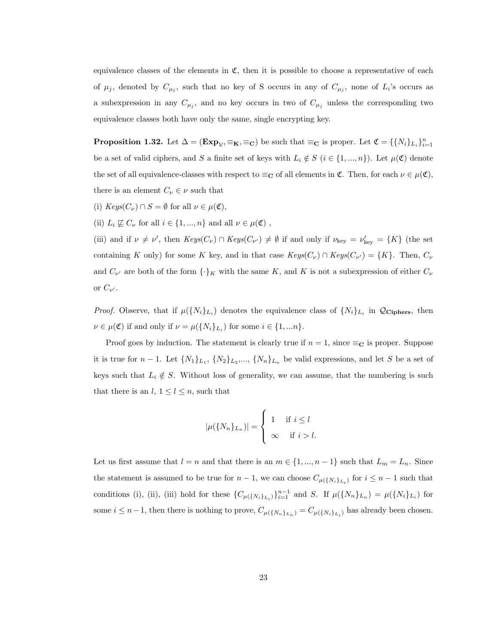equivalence classes of the elements in  $\mathfrak{C}$ , then it is possible to choose a representative of each of  $\mu_j$ , denoted by  $C_{\mu_j}$ , such that no key of S occurs in any of  $C_{\mu_j}$ , none of  $L_i$ 's occurs as a subexpression in any  $C_{\mu_j}$ , and no key occurs in two of  $C_{\mu_j}$  unless the corresponding two equivalence classes both have only the same, single encrypting key.

**Proposition 1.32.** Let  $\Delta = (\mathbf{Exp}_{\mathcal{V}}, \equiv_{\mathbf{K}}, \equiv_{\mathbf{C}})$  be such that  $\equiv_{\mathbf{C}}$  is proper. Let  $\mathfrak{C} = \{\{N_i\}_{L_i}\}_{i=1}^n$ be a set of valid ciphers, and S a finite set of keys with  $L_i \notin S$   $(i \in \{1, ..., n\})$ . Let  $\mu(\mathfrak{C})$  denote the set of all equivalence-classes with respect to  $\equiv_C$  of all elements in  $\mathfrak{C}$ . Then, for each  $\nu \in \mu(\mathfrak{C})$ , there is an element  $C_{\nu} \in \nu$  such that

- (i)  $Keys(C_{\nu}) \cap S = \emptyset$  for all  $\nu \in \mu(\mathfrak{C}),$
- (ii)  $L_i \not\sqsubseteq C_{\nu}$  for all  $i \in \{1, ..., n\}$  and all  $\nu \in \mu(\mathfrak{C})$ ,

(iii) and if  $\nu \neq \nu'$ , then  $Keys(C_{\nu}) \cap Keys(C_{\nu'}) \neq \emptyset$  if and only if  $\nu_{\text{key}} = \nu'_{\text{key}} = \{K\}$  (the set containing K only) for some K key, and in that case  $Keys(C_{\nu}) \cap Keys(C_{\nu'}) = \{K\}.$  Then,  $C_{\nu}$ and  $C_{\nu'}$  are both of the form  $\{\cdot\}_K$  with the same K, and K is not a subexpression of either  $C_{\nu'}$ or  $C_{\nu'}$ .

*Proof.* Observe, that if  $\mu({N_i}_{L_i})$  denotes the equivalence class of  ${N_i}_{L_i}$  in  $\mathcal{Q}_{\text{Ciphers}}$ , then  $\nu \in \mu(\mathfrak{C})$  if and only if  $\nu = \mu(\lbrace N_i \rbrace_{L_i})$  for some  $i \in \lbrace 1, ... n \rbrace$ .

Proof goes by induction. The statement is clearly true if  $n = 1$ , since  $\equiv_{\mathbf{C}}$  is proper. Suppose it is true for  $n-1$ . Let  $\{N_1\}_{L_1}$ ,  $\{N_2\}_{L_2}$ ,...,  $\{N_n\}_{L_n}$  be valid expressions, and let S be a set of keys such that  $L_i \notin S$ . Without loss of generality, we can assume, that the numbering is such that there is an  $l, 1 \leq l \leq n$ , such that

$$
|\mu({N_n}_{L_n})| = \begin{cases} 1 & \text{if } i \leq l \\ \infty & \text{if } i > l. \end{cases}
$$

Let us first assume that  $l = n$  and that there is an  $m \in \{1, ..., n-1\}$  such that  $L_m = L_n$ . Since the statement is assumed to be true for  $n-1$ , we can choose  $C_{\mu(\lbrace N_i \rbrace_{L_i})}$  for  $i \leq n-1$  such that conditions (i), (ii), (iii) hold for these  $\{C_{\mu(\{N_i\}_{L_i})}\}_{i=1}^{n-1}$  and S. If  $\mu(\{N_n\}_{L_n}) = \mu(\{N_i\}_{L_i})$  for some  $i \leq n-1$ , then there is nothing to prove,  $C_{\mu(\{N_n\}_{L_n})} = C_{\mu(\{N_i\}_{L_i})}$  has already been chosen.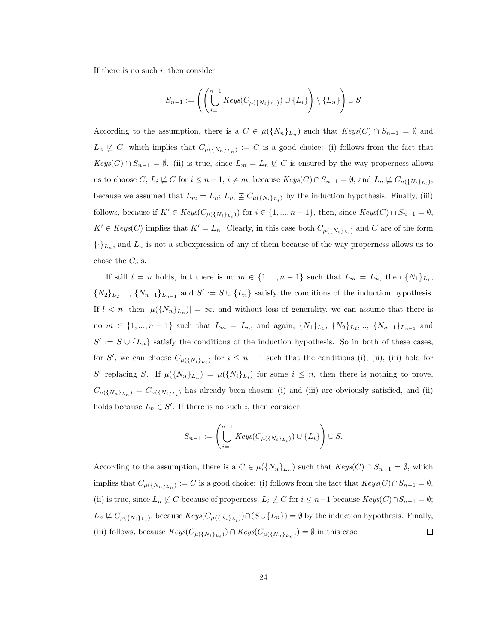If there is no such  $i$ , then consider

$$
S_{n-1} := \left( \left( \bigcup_{i=1}^{n-1} \text{Keys}(C_{\mu(\{N_i\}_{L_i})}) \cup \{L_i\} \right) \setminus \{L_n\} \right) \cup S
$$

According to the assumption, there is a  $C \in \mu({N_n}_{L_n})$  such that  $Keys(C) \cap S_{n-1} = \emptyset$  and  $L_n \not\subseteq C$ , which implies that  $C_{\mu(\{N_n\}_{L_n})} := C$  is a good choice: (i) follows from the fact that  $Keys(C) \cap S_{n-1} = \emptyset$ . (ii) is true, since  $L_m = L_n \not\sqsubseteq C$  is ensured by the way properness allows us to choose  $C; L_i \not\subseteq C$  for  $i \leq n-1, i \neq m$ , because  $Keys(C) \cap S_{n-1} = \emptyset$ , and  $L_n \not\subseteq C_{\mu(\lbrace N_i \rbrace_{L_i})}$ , because we assumed that  $L_m = L_n$ ;  $L_m \not\subseteq C_{\mu({N_i})_{L_i}}$  by the induction hypothesis. Finally, (iii) follows, because if  $K' \in Keys(C_{\mu({N_i})_{L_i}})$  for  $i \in \{1, ..., n-1\}$ , then, since  $Keys(C) \cap S_{n-1} = \emptyset$ ,  $K' \in Keys(C)$  implies that  $K' = L_n$ . Clearly, in this case both  $C_{\mu(\lbrace N_i \rbrace_{L_i})}$  and C are of the form  ${\{\cdot\}}L_n$ , and  $L_n$  is not a subexpression of any of them because of the way properness allows us to chose the  $C_{\nu}$ 's.

If still  $l = n$  holds, but there is no  $m \in \{1, ..., n-1\}$  such that  $L_m = L_n$ , then  $\{N_1\}_{L_1}$ ,  $\{N_2\}_{L_2},\ldots,\{N_{n-1}\}_{L_{n-1}}$  and  $S' := S \cup \{L_n\}$  satisfy the conditions of the induction hypothesis. If  $l < n$ , then  $|\mu({N_n}_{L_n})| = \infty$ , and without loss of generality, we can assume that there is no  $m \in \{1, ..., n-1\}$  such that  $L_m = L_n$ , and again,  $\{N_1\}_{L_1}$ ,  $\{N_2\}_{L_2}$ ,...,  $\{N_{n-1}\}_{L_{n-1}}$  and  $S' := S \cup \{L_n\}$  satisfy the conditions of the induction hypothesis. So in both of these cases, for S', we can choose  $C_{\mu(\{N_i\}_{L_i})}$  for  $i \leq n-1$  such that the conditions (i), (ii), (iii) hold for S' replacing S. If  $\mu({N_n}_{L_n}) = \mu({N_i}_{L_i})$  for some  $i \leq n$ , then there is nothing to prove,  $C_{\mu(\{N_n\}_{L_n})}=C_{\mu(\{N_i\}_{L_i})}$  has already been chosen; (i) and (iii) are obviously satisfied, and (ii) holds because  $L_n \in S'$ . If there is no such *i*, then consider

$$
S_{n-1} := \left(\bigcup_{i=1}^{n-1} Keys(C_{\mu(\{N_i\}_{L_i})}) \cup \{L_i\}\right) \cup S.
$$

According to the assumption, there is a  $C \in \mu({N_n}_{L_n})$  such that  $Keys(C) \cap S_{n-1} = \emptyset$ , which implies that  $C_{\mu(\{N_n\}_{L_n})} := C$  is a good choice: (i) follows from the fact that  $Keys(C) \cap S_{n-1} = \emptyset$ . (ii) is true, since  $L_n \not\sqsubseteq C$  because of properness;  $L_i \not\sqsubseteq C$  for  $i \leq n-1$  because  $Keys(C) \cap S_{n-1} = \emptyset$ ;  $L_n \not\subseteq C_{\mu(\{N_i\}_{L_i})}$ , because  $Keys(C_{\mu(\{N_i\}_{L_i})}) \cap (S \cup \{L_n\}) = \emptyset$  by the induction hypothesis. Finally, (iii) follows, because  $Keys(C_{\mu({N_i}_{L_i})}) \cap Keys(C_{\mu({N_n}_{L_n})}) = \emptyset$  in this case.  $\Box$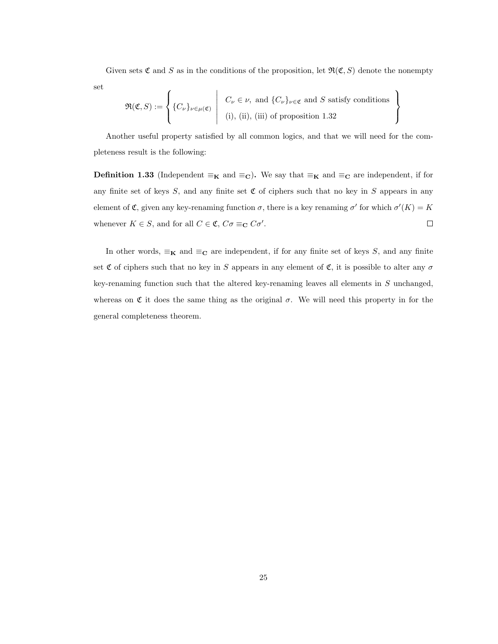Given sets  $\mathfrak C$  and S as in the conditions of the proposition, let  $\mathfrak R(\mathfrak C,S)$  denote the nonempty set

 $\mathcal{L}$  $\mathcal{L}$ 

 $\int$ 

$$
\mathfrak{R}(\mathfrak{C},S) := \left\{ \{C_{\nu}\}_{\nu \in \mu(\mathfrak{C})} \middle| \begin{array}{c} C_{\nu} \in \nu, \text{ and } \{C_{\nu}\}_{\nu \in \mathfrak{C}} \text{ and } S \text{ satisfy conditions} \\ \text{(i), (ii), (iii) of proposition 1.32} \end{array} \right.
$$

Another useful property satisfied by all common logics, and that we will need for the completeness result is the following:

**Definition 1.33** (Independent  $\equiv_K$  and  $\equiv_C$ ). We say that  $\equiv_K$  and  $\equiv_C$  are independent, if for any finite set of keys S, and any finite set  $\mathfrak C$  of ciphers such that no key in S appears in any element of  $\mathfrak{C}$ , given any key-renaming function  $\sigma$ , there is a key renaming  $\sigma'$  for which  $\sigma'(K) = K$ whenever  $K \in S$ , and for all  $C \in \mathfrak{C}$ ,  $C\sigma \equiv_{\mathbf{C}} C\sigma'$ .  $\Box$ 

In other words,  $\equiv_{\mathbf{K}}$  and  $\equiv_{\mathbf{C}}$  are independent, if for any finite set of keys S, and any finite set  $\mathfrak C$  of ciphers such that no key in S appears in any element of  $\mathfrak C$ , it is possible to alter any  $\sigma$ key-renaming function such that the altered key-renaming leaves all elements in S unchanged, whereas on  $\mathfrak C$  it does the same thing as the original  $\sigma$ . We will need this property in for the general completeness theorem.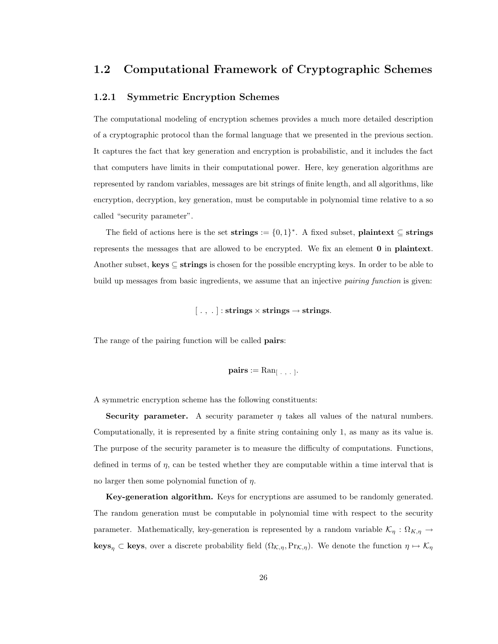## 1.2 Computational Framework of Cryptographic Schemes

#### 1.2.1 Symmetric Encryption Schemes

The computational modeling of encryption schemes provides a much more detailed description of a cryptographic protocol than the formal language that we presented in the previous section. It captures the fact that key generation and encryption is probabilistic, and it includes the fact that computers have limits in their computational power. Here, key generation algorithms are represented by random variables, messages are bit strings of finite length, and all algorithms, like encryption, decryption, key generation, must be computable in polynomial time relative to a so called "security parameter".

The field of actions here is the set strings  $:= \{0,1\}^*$ . A fixed subset, plaintext  $\subseteq$  strings represents the messages that are allowed to be encrypted. We fix an element 0 in plaintext. Another subset, keys  $\subseteq$  strings is chosen for the possible encrypting keys. In order to be able to build up messages from basic ingredients, we assume that an injective *pairing function* is given:

 $[\, . \, , \, . \,] : \textbf{strings} \times \textbf{strings} \rightarrow \textbf{strings}.$ 

The range of the pairing function will be called **pairs**:

$$
\mathbf{pairs} := \mathrm{Ran}_{[-,+,+]}.
$$

A symmetric encryption scheme has the following constituents:

Security parameter. A security parameter  $\eta$  takes all values of the natural numbers. Computationally, it is represented by a finite string containing only 1, as many as its value is. The purpose of the security parameter is to measure the difficulty of computations. Functions, defined in terms of  $\eta$ , can be tested whether they are computable within a time interval that is no larger then some polynomial function of  $\eta$ .

Key-generation algorithm. Keys for encryptions are assumed to be randomly generated. The random generation must be computable in polynomial time with respect to the security parameter. Mathematically, key-generation is represented by a random variable  $\mathcal{K}_{\eta} : \Omega_{K,\eta} \to$ **keys**<sub>η</sub> ⊂ **keys**, over a discrete probability field  $(\Omega_{\mathcal{K},\eta},\Pr_{\mathcal{K},\eta})$ . We denote the function  $\eta \mapsto \mathcal{K}_{\eta}$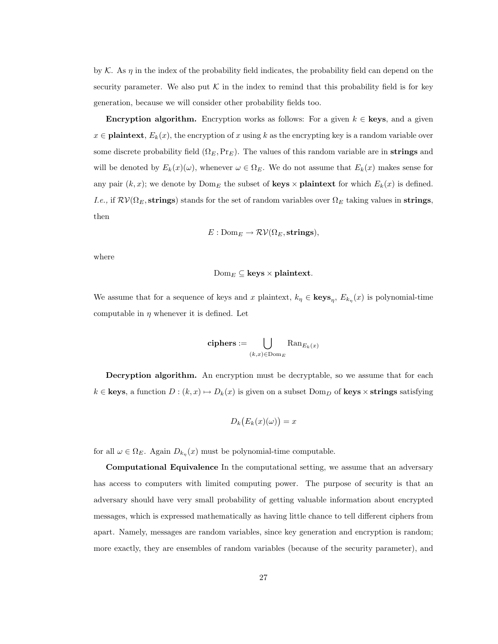by K. As  $\eta$  in the index of the probability field indicates, the probability field can depend on the security parameter. We also put  $\mathcal K$  in the index to remind that this probability field is for key generation, because we will consider other probability fields too.

**Encryption algorithm.** Encryption works as follows: For a given  $k \in \textbf{keys}$ , and a given  $x \in \textbf{plaintext}, E_k(x)$ , the encryption of x using k as the encrypting key is a random variable over some discrete probability field  $(\Omega_E, \Pr_E)$ . The values of this random variable are in strings and will be denoted by  $E_k(x)(\omega)$ , whenever  $\omega \in \Omega_E$ . We do not assume that  $E_k(x)$  makes sense for any pair  $(k, x)$ ; we denote by  $\text{Dom}_E$  the subset of **keys**  $\times$  **plaintext** for which  $E_k(x)$  is defined. *I.e.*, if  $\mathcal{RV}(\Omega_E, \text{strings})$  stands for the set of random variables over  $\Omega_E$  taking values in strings, then

$$
E: \mathrm{Dom}_E \to \mathcal{RV}(\Omega_E, \mathbf{strings}),
$$

where

$$
\mathrm{Dom}_E \subseteq \mathbf{keys} \times \mathbf{plaintext}.
$$

We assume that for a sequence of keys and x plaintext,  $k_{\eta} \in \text{keys}_{\eta}, E_{k_{\eta}}(x)$  is polynomial-time computable in  $\eta$  whenever it is defined. Let

$$
\mathbf{ciphers} := \bigcup_{(k,x)\in \mathrm{Dom}_E} \mathrm{Ran}_{E_k(x)}
$$

Decryption algorithm. An encryption must be decryptable, so we assume that for each  $k \in \textbf{keys},$  a function  $D : (k, x) \mapsto D_k(x)$  is given on a subset  $\text{Dom}_D$  of  $\textbf{keys} \times \textbf{strings}$  satisfying

$$
D_k(E_k(x)(\omega)) = x
$$

for all  $\omega \in \Omega_E$ . Again  $D_{k_{\eta}}(x)$  must be polynomial-time computable.

Computational Equivalence In the computational setting, we assume that an adversary has access to computers with limited computing power. The purpose of security is that an adversary should have very small probability of getting valuable information about encrypted messages, which is expressed mathematically as having little chance to tell different ciphers from apart. Namely, messages are random variables, since key generation and encryption is random; more exactly, they are ensembles of random variables (because of the security parameter), and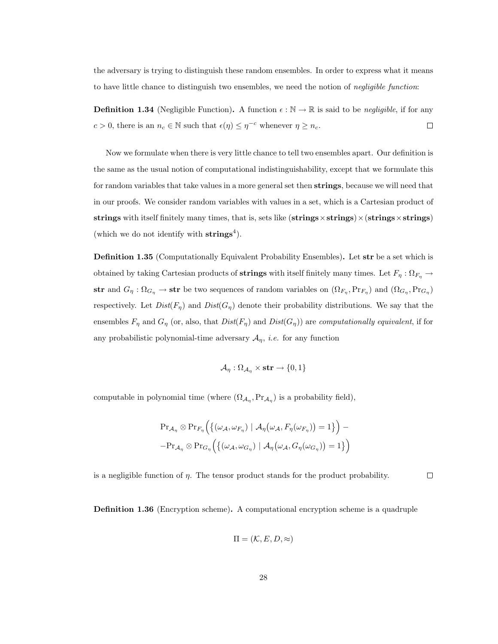the adversary is trying to distinguish these random ensembles. In order to express what it means to have little chance to distinguish two ensembles, we need the notion of negligible function:

**Definition 1.34** (Negligible Function). A function  $\epsilon : \mathbb{N} \to \mathbb{R}$  is said to be negligible, if for any  $c > 0$ , there is an  $n_c \in \mathbb{N}$  such that  $\epsilon(\eta) \leq \eta^{-c}$  whenever  $\eta \geq n_c$ .  $\Box$ 

Now we formulate when there is very little chance to tell two ensembles apart. Our definition is the same as the usual notion of computational indistinguishability, except that we formulate this for random variables that take values in a more general set then strings, because we will need that in our proofs. We consider random variables with values in a set, which is a Cartesian product of strings with itself finitely many times, that is, sets like (strings  $\times$  strings)  $\times$  (strings  $\times$  strings) (which we do not identify with  $\text{strings}^4$ ).

Definition 1.35 (Computationally Equivalent Probability Ensembles). Let str be a set which is obtained by taking Cartesian products of **strings** with itself finitely many times. Let  $F_\eta : \Omega_{F_\eta} \to$ str and  $G_\eta$ :  $\Omega_{G_\eta} \to$  str be two sequences of random variables on  $(\Omega_{F_\eta}, Pr_{F_\eta})$  and  $(\Omega_{G_\eta}, Pr_{G_\eta})$ respectively. Let  $Dist(F_n)$  and  $Dist(G_n)$  denote their probability distributions. We say that the ensembles  $F_\eta$  and  $G_\eta$  (or, also, that  $Dist(F_\eta)$  and  $Dist(G_\eta)$ ) are computationally equivalent, if for any probabilistic polynomial-time adversary  $A_{\eta}$ , *i.e.* for any function

$$
\mathcal{A}_{\eta}: \Omega_{\mathcal{A}_{\eta}} \times \mathbf{str} \to \{0,1\}
$$

computable in polynomial time (where  $(\Omega_{A_{\eta}}, Pr_{A_{\eta}})$  is a probability field),

$$
\Pr_{\mathcal{A}_{\eta}} \otimes \Pr_{F_{\eta}} \Big( \{ (\omega_{\mathcal{A}}, \omega_{F_{\eta}}) \mid \mathcal{A}_{\eta}(\omega_{\mathcal{A}}, F_{\eta}(\omega_{F_{\eta}})) = 1 \} \Big) - \Pr_{\mathcal{A}_{\eta}} \otimes \Pr_{G_{\eta}} \Big( \{ (\omega_{\mathcal{A}}, \omega_{G_{\eta}}) \mid \mathcal{A}_{\eta}(\omega_{\mathcal{A}}, G_{\eta}(\omega_{G_{\eta}})) = 1 \} \Big)
$$

is a negligible function of  $\eta$ . The tensor product stands for the product probability.

Definition 1.36 (Encryption scheme). A computational encryption scheme is a quadruple

$$
\Pi=(\mathcal{K},E,D,\approx)
$$

 $\Box$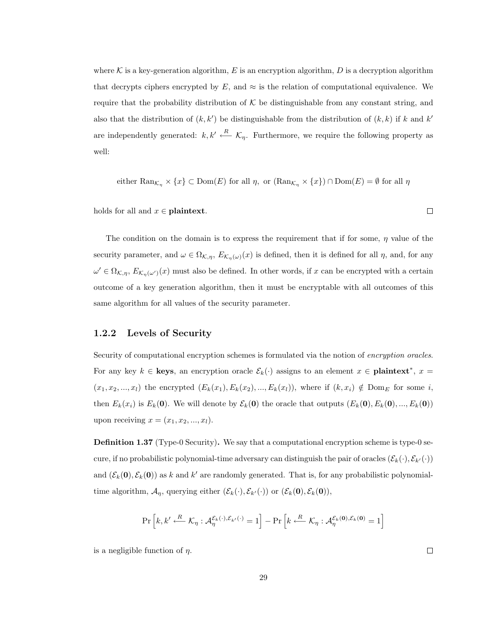where  $K$  is a key-generation algorithm, E is an encryption algorithm, D is a decryption algorithm that decrypts ciphers encrypted by  $E$ , and  $\approx$  is the relation of computational equivalence. We require that the probability distribution of  $K$  be distinguishable from any constant string, and also that the distribution of  $(k, k')$  be distinguishable from the distribution of  $(k, k)$  if k and k' are independently generated:  $k, k' \stackrel{R}{\longleftarrow} \mathcal{K}_\eta$ . Furthermore, we require the following property as well:

either 
$$
\text{Ran}_{\mathcal{K}_{\eta}} \times \{x\} \subset \text{Dom}(E)
$$
 for all  $\eta$ , or  $(\text{Ran}_{\mathcal{K}_{\eta}} \times \{x\}) \cap \text{Dom}(E) = \emptyset$  for all  $\eta$ 

holds for all and  $x \in \textbf{plaintext}$ .

The condition on the domain is to express the requirement that if for some,  $\eta$  value of the security parameter, and  $\omega \in \Omega_{\mathcal{K},\eta}, E_{\mathcal{K}_{\eta}(\omega)}(x)$  is defined, then it is defined for all  $\eta$ , and, for any  $\omega' \in \Omega_{\mathcal{K},\eta}, E_{\mathcal{K}_{\eta}(\omega')}(x)$  must also be defined. In other words, if x can be encrypted with a certain outcome of a key generation algorithm, then it must be encryptable with all outcomes of this same algorithm for all values of the security parameter.

#### 1.2.2 Levels of Security

Security of computational encryption schemes is formulated via the notion of encryption oracles. For any key  $k \in \text{keys}$ , an encryption oracle  $\mathcal{E}_k(\cdot)$  assigns to an element  $x \in \text{plaintext}^*, x =$  $(x_1, x_2, ..., x_l)$  the encrypted  $(E_k(x_1), E_k(x_2), ..., E_k(x_l))$ , where if  $(k, x_i) \notin \text{Dom}_E$  for some i, then  $E_k(x_i)$  is  $E_k(0)$ . We will denote by  $\mathcal{E}_k(0)$  the oracle that outputs  $(E_k(0), E_k(0), ..., E_k(0))$ upon receiving  $x = (x_1, x_2, \ldots, x_l).$ 

Definition 1.37 (Type-0 Security). We say that a computational encryption scheme is type-0 secure, if no probabilistic polynomial-time adversary can distinguish the pair of oracles  $(\mathcal{E}_k(\cdot), \mathcal{E}_{k'}(\cdot))$ and  $(\mathcal{E}_k(0), \mathcal{E}_k(0))$  as k and k' are randomly generated. That is, for any probabilistic polynomialtime algorithm,  $\mathcal{A}_{\eta}$ , querying either  $(\mathcal{E}_k(\cdot), \mathcal{E}_{k'}(\cdot))$  or  $(\mathcal{E}_k(\mathbf{0}), \mathcal{E}_k(\mathbf{0})),$ 

$$
\Pr\left[k, k' \xleftarrow{R} \mathcal{K}_{\eta}: \mathcal{A}_{\eta}^{\mathcal{E}_{k}(\cdot), \mathcal{E}_{k'}(\cdot)} = 1\right] - \Pr\left[k \xleftarrow{R} \mathcal{K}_{\eta}: \mathcal{A}_{\eta}^{\mathcal{E}_{k}(\mathbf{0}), \mathcal{E}_{k}(\mathbf{0})} = 1\right]
$$

is a negligible function of  $\eta$ .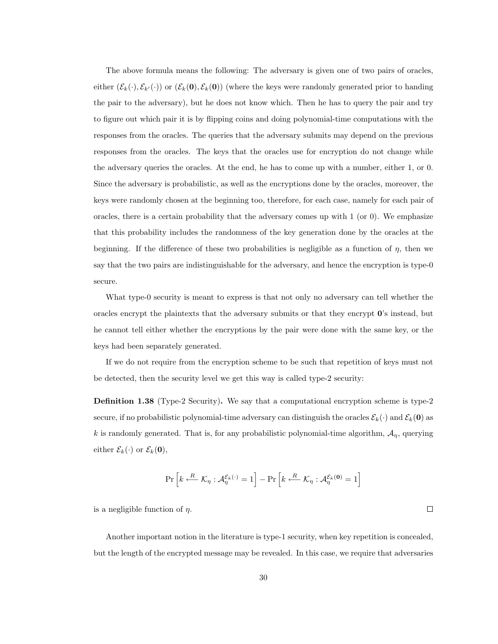The above formula means the following: The adversary is given one of two pairs of oracles, either  $(\mathcal{E}_k(\cdot), \mathcal{E}_{k'}(\cdot))$  or  $(\mathcal{E}_k(\mathbf{0}), \mathcal{E}_k(\mathbf{0}))$  (where the keys were randomly generated prior to handing the pair to the adversary), but he does not know which. Then he has to query the pair and try to figure out which pair it is by flipping coins and doing polynomial-time computations with the responses from the oracles. The queries that the adversary submits may depend on the previous responses from the oracles. The keys that the oracles use for encryption do not change while the adversary queries the oracles. At the end, he has to come up with a number, either 1, or 0. Since the adversary is probabilistic, as well as the encryptions done by the oracles, moreover, the keys were randomly chosen at the beginning too, therefore, for each case, namely for each pair of oracles, there is a certain probability that the adversary comes up with  $1$  (or 0). We emphasize that this probability includes the randomness of the key generation done by the oracles at the beginning. If the difference of these two probabilities is negligible as a function of  $\eta$ , then we say that the two pairs are indistinguishable for the adversary, and hence the encryption is type-0 secure.

What type-0 security is meant to express is that not only no adversary can tell whether the oracles encrypt the plaintexts that the adversary submits or that they encrypt  $\mathbf{0}$ 's instead, but he cannot tell either whether the encryptions by the pair were done with the same key, or the keys had been separately generated.

If we do not require from the encryption scheme to be such that repetition of keys must not be detected, then the security level we get this way is called type-2 security:

Definition 1.38 (Type-2 Security). We say that a computational encryption scheme is type-2 secure, if no probabilistic polynomial-time adversary can distinguish the oracles  $\mathcal{E}_k(\cdot)$  and  $\mathcal{E}_k(\mathbf{0})$  as k is randomly generated. That is, for any probabilistic polynomial-time algorithm,  $A_{\eta}$ , querying either  $\mathcal{E}_k(\cdot)$  or  $\mathcal{E}_k(\mathbf{0}),$ 

$$
\Pr\left[k \xleftarrow{R} \mathcal{K}_{\eta}: \mathcal{A}^{\mathcal{E}_{k}(\cdot)}_{\eta} = 1\right] - \Pr\left[k \xleftarrow{R} \mathcal{K}_{\eta}: \mathcal{A}^{\mathcal{E}_{k}(\mathbf{0})}_{\eta} = 1\right]
$$

 $\Box$ 

is a negligible function of  $\eta$ .

Another important notion in the literature is type-1 security, when key repetition is concealed, but the length of the encrypted message may be revealed. In this case, we require that adversaries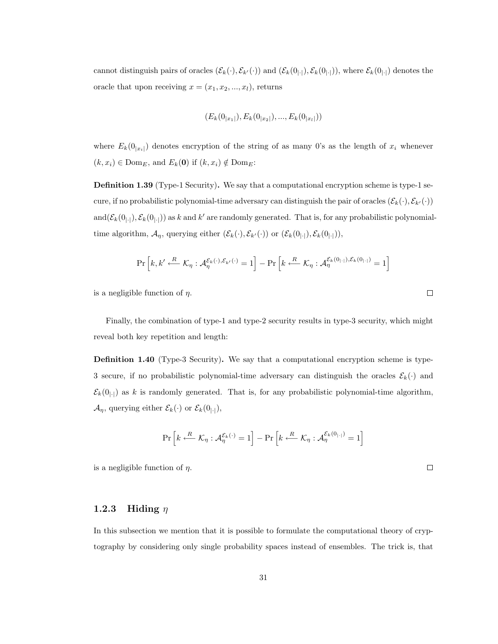cannot distinguish pairs of oracles  $(\mathcal{E}_k(\cdot), \mathcal{E}_{k'}(\cdot))$  and  $(\mathcal{E}_k(0_{|\cdot|}), \mathcal{E}_k(0_{|\cdot|}))$ , where  $\mathcal{E}_k(0_{|\cdot|})$  denotes the oracle that upon receiving  $x = (x_1, x_2, ..., x_l)$ , returns

$$
(E_k(0_{|x_1|}),E_k(0_{|x_2|}),...,E_k(0_{|x_l|}))
$$

where  $E_k(0_{|x_i|})$  denotes encryption of the string of as many 0's as the length of  $x_i$  whenever  $(k, x_i) \in \text{Dom}_E$ , and  $E_k(\mathbf{0})$  if  $(k, x_i) \notin \text{Dom}_E$ :

Definition 1.39 (Type-1 Security). We say that a computational encryption scheme is type-1 secure, if no probabilistic polynomial-time adversary can distinguish the pair of oracles  $(\mathcal{E}_k(\cdot), \mathcal{E}_{k'}(\cdot))$ and $(\mathcal{E}_k(0_{|\cdot|}), \mathcal{E}_k(0_{|\cdot|}))$  as k and k' are randomly generated. That is, for any probabilistic polynomialtime algorithm,  $\mathcal{A}_{\eta}$ , querying either  $(\mathcal{E}_k(\cdot), \mathcal{E}_{k'}(\cdot))$  or  $(\mathcal{E}_k(0_{|\cdot|}), \mathcal{E}_k(0_{|\cdot|})),$ 

$$
\Pr\left[k, k' \xleftarrow{R} \mathcal{K}_{\eta} : \mathcal{A}_{\eta}^{\mathcal{E}_{k}(\cdot), \mathcal{E}_{k'}(\cdot)} = 1\right] - \Pr\left[k \xleftarrow{R} \mathcal{K}_{\eta} : \mathcal{A}_{\eta}^{\mathcal{E}_{k}(0_{|\cdot|}), \mathcal{E}_{k}(0_{|\cdot|})} = 1\right]
$$

is a negligible function of  $\eta$ .

Finally, the combination of type-1 and type-2 security results in type-3 security, which might reveal both key repetition and length:

Definition 1.40 (Type-3 Security). We say that a computational encryption scheme is type-3 secure, if no probabilistic polynomial-time adversary can distinguish the oracles  $\mathcal{E}_k(\cdot)$  and  $\mathcal{E}_k(0_{|\cdot|})$  as k is randomly generated. That is, for any probabilistic polynomial-time algorithm,  $\mathcal{A}_{\eta}$ , querying either  $\mathcal{E}_{k}(\cdot)$  or  $\mathcal{E}_{k}(0_{|\cdot|}),$ 

$$
\Pr\left[k \stackrel{R}{\longleftarrow} \mathcal{K}_{\eta} : \mathcal{A}_{\eta}^{\mathcal{E}_{k}(\cdot)} = 1\right] - \Pr\left[k \stackrel{R}{\longleftarrow} \mathcal{K}_{\eta} : \mathcal{A}_{\eta}^{\mathcal{E}_{k}(0_{|\cdot|})} = 1\right]
$$

is a negligible function of  $\eta$ .

#### 1.2.3 Hiding  $\eta$

In this subsection we mention that it is possible to formulate the computational theory of cryptography by considering only single probability spaces instead of ensembles. The trick is, that

 $\Box$ 

 $\Box$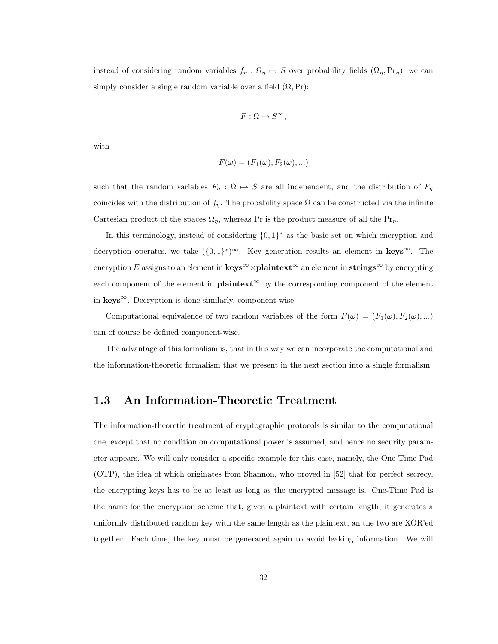instead of considering random variables  $f_{\eta} : \Omega_{\eta} \mapsto S$  over probability fields  $(\Omega_{\eta}, Pr_{\eta})$ , we can simply consider a single random variable over a field  $(\Omega, \Pr)$ :

$$
F: \Omega \mapsto S^{\infty},
$$

with

$$
F(\omega) = (F_1(\omega), F_2(\omega), \ldots)
$$

such that the random variables  $F_{\eta} : \Omega \mapsto S$  are all independent, and the distribution of  $F_{\eta}$ coincides with the distribution of  $f_{\eta}$ . The probability space  $\Omega$  can be constructed via the infinite Cartesian product of the spaces  $\Omega_{\eta}$ , whereas Pr is the product measure of all the Pr<sub>η</sub>.

In this terminology, instead of considering  $\{0,1\}^*$  as the basic set on which encryption and decryption operates, we take  $({0,1}^*)^{\infty}$ . Key generation results an element in keys<sup>∞</sup>. The encryption E assigns to an element in  $\text{keys}^{\infty} \times \text{plaintext}^{\infty}$  an element in  $\text{strings}^{\infty}$  by encrypting each component of the element in **plaintext**<sup>∞</sup> by the corresponding component of the element in  $keys^{\infty}$ . Decryption is done similarly, component-wise.

Computational equivalence of two random variables of the form  $F(\omega) = (F_1(\omega), F_2(\omega), ...)$ can of course be defined component-wise.

The advantage of this formalism is, that in this way we can incorporate the computational and the information-theoretic formalism that we present in the next section into a single formalism.

## 1.3 An Information-Theoretic Treatment

The information-theoretic treatment of cryptographic protocols is similar to the computational one, except that no condition on computational power is assumed, and hence no security parameter appears. We will only consider a specific example for this case, namely, the One-Time Pad (OTP), the idea of which originates from Shannon, who proved in [52] that for perfect secrecy, the encrypting keys has to be at least as long as the encrypted message is. One-Time Pad is the name for the encryption scheme that, given a plaintext with certain length, it generates a uniformly distributed random key with the same length as the plaintext, an the two are XOR'ed together. Each time, the key must be generated again to avoid leaking information. We will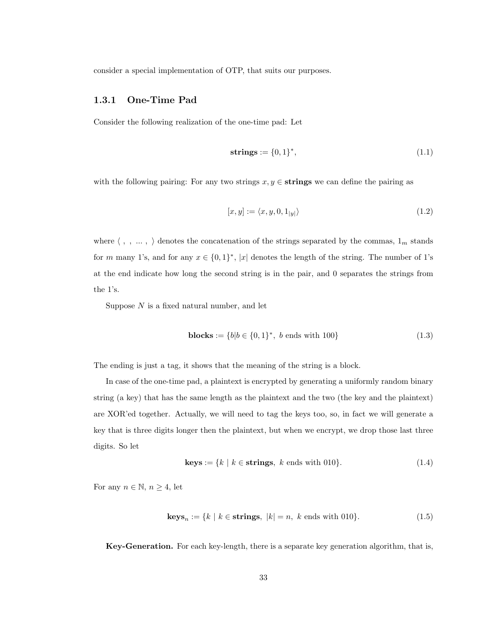consider a special implementation of OTP, that suits our purposes.

#### 1.3.1 One-Time Pad

Consider the following realization of the one-time pad: Let

$$
strings := \{0, 1\}^*,\tag{1.1}
$$

with the following pairing: For any two strings  $x, y \in$  strings we can define the pairing as

$$
[x, y] := \langle x, y, 0, 1_{|y|} \rangle \tag{1.2}
$$

where  $\langle$  , ,  $\dots$  ,  $\rangle$  denotes the concatenation of the strings separated by the commas,  $1_m$  stands for m many 1's, and for any  $x \in \{0,1\}^*$ , |x| denotes the length of the string. The number of 1's at the end indicate how long the second string is in the pair, and 0 separates the strings from the 1's.

Suppose  $N$  is a fixed natural number, and let

**blocks** := 
$$
\{b|b \in \{0,1\}^*, b \text{ ends with } 100\}
$$
 (1.3)

The ending is just a tag, it shows that the meaning of the string is a block.

In case of the one-time pad, a plaintext is encrypted by generating a uniformly random binary string (a key) that has the same length as the plaintext and the two (the key and the plaintext) are XOR'ed together. Actually, we will need to tag the keys too, so, in fact we will generate a key that is three digits longer then the plaintext, but when we encrypt, we drop those last three digits. So let

$$
keys := \{ k \mid k \in \text{strings}, \ k \text{ ends with 010} \}. \tag{1.4}
$$

For any  $n \in \mathbb{N}$ ,  $n \geq 4$ , let

$$
\mathbf{keys}_n := \{ k \mid k \in \mathbf{strings}, \ |k| = n, \ k \text{ ends with } 010 \}. \tag{1.5}
$$

Key-Generation. For each key-length, there is a separate key generation algorithm, that is,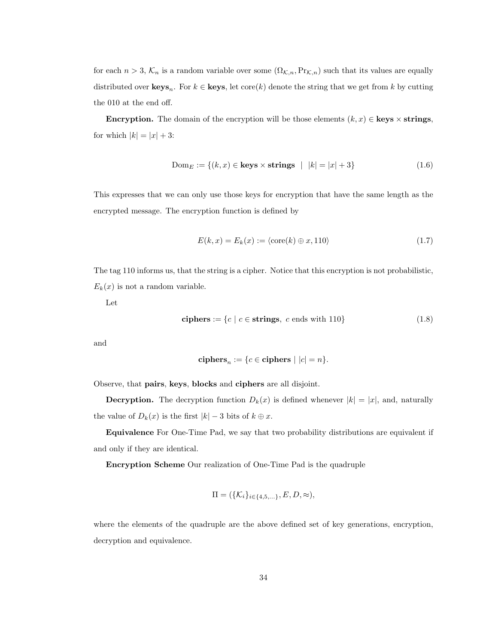for each  $n > 3$ ,  $\mathcal{K}_n$  is a random variable over some  $(\Omega_{\mathcal{K},n},\Pr_{\mathcal{K},n})$  such that its values are equally distributed over  $\mathbf{keys}_n$ . For  $k \in \mathbf{keys}$ , let  $\text{core}(k)$  denote the string that we get from k by cutting the 010 at the end off.

Encryption. The domain of the encryption will be those elements  $(k, x) \in \text{keys} \times \text{strings}$ , for which  $|k| = |x| + 3$ :

$$
\text{Dom}_E := \{(k, x) \in \text{keys} \times \text{strings} \mid |k| = |x| + 3\} \tag{1.6}
$$

This expresses that we can only use those keys for encryption that have the same length as the encrypted message. The encryption function is defined by

$$
E(k, x) = E_k(x) := \langle \text{core}(k) \oplus x, 110 \rangle \tag{1.7}
$$

The tag 110 informs us, that the string is a cipher. Notice that this encryption is not probabilistic,  $E_k(x)$  is not a random variable.

Let

ciphers := 
$$
\{c \mid c \in \text{strings}, c \text{ ends with } 110\}
$$
 (1.8)

and

ciphers<sub>n</sub> := 
$$
{c \in ciphers \mid |c| = n}.
$$

Observe, that pairs, keys, blocks and ciphers are all disjoint.

**Decryption.** The decryption function  $D_k(x)$  is defined whenever  $|k| = |x|$ , and, naturally the value of  $D_k(x)$  is the first  $|k| - 3$  bits of  $k \oplus x$ .

Equivalence For One-Time Pad, we say that two probability distributions are equivalent if and only if they are identical.

Encryption Scheme Our realization of One-Time Pad is the quadruple

$$
\Pi=(\{\mathcal{K}_i\}_{i\in\{4,5,\ldots\}},E,D,\approx),
$$

where the elements of the quadruple are the above defined set of key generations, encryption, decryption and equivalence.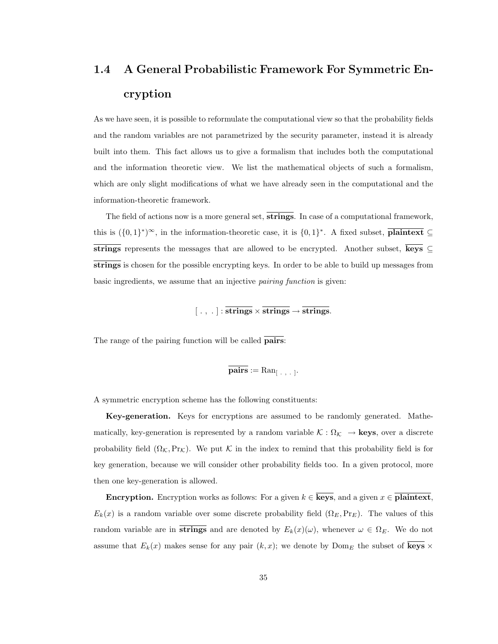# 1.4 A General Probabilistic Framework For Symmetric Encryption

As we have seen, it is possible to reformulate the computational view so that the probability fields and the random variables are not parametrized by the security parameter, instead it is already built into them. This fact allows us to give a formalism that includes both the computational and the information theoretic view. We list the mathematical objects of such a formalism, which are only slight modifications of what we have already seen in the computational and the information-theoretic framework.

The field of actions now is a more general set, **strings**. In case of a computational framework, this is  $({0,1}^*)^{\infty}$ , in the information-theoretic case, it is  ${0,1}^*$ . A fixed subset, **plaintext**  $\subseteq$ strings represents the messages that are allowed to be encrypted. Another subset, keys  $\subseteq$ strings is chosen for the possible encrypting keys. In order to be able to build up messages from basic ingredients, we assume that an injective pairing function is given:

 $[\, . \, , \, . \,] : \overline{\text{strings}} \times \overline{\text{strings}} \rightarrow \overline{\text{strings}}.$ 

The range of the pairing function will be called **pairs**:

$$
\overline{\mathbf{pairs}} := \mathrm{Ran}_{[-,+,+]}.
$$

A symmetric encryption scheme has the following constituents:

Key-generation. Keys for encryptions are assumed to be randomly generated. Mathematically, key-generation is represented by a random variable  $\mathcal{K} : \Omega_{\mathcal{K}} \to \text{keys}$ , over a discrete probability field  $(\Omega_{\mathcal{K}},\mathrm{Pr}_{\mathcal{K}})$ . We put  $\mathcal{K}$  in the index to remind that this probability field is for key generation, because we will consider other probability fields too. In a given protocol, more then one key-generation is allowed.

**Encryption.** Encryption works as follows: For a given  $k \in \overline{\textbf{keys}}$ , and a given  $x \in \overline{\textbf{plaintext}}$ ,  $E_k(x)$  is a random variable over some discrete probability field  $(\Omega_E, \Pr_E)$ . The values of this random variable are in strings and are denoted by  $E_k(x)(\omega)$ , whenever  $\omega \in \Omega_E$ . We do not assume that  $E_k(x)$  makes sense for any pair  $(k, x)$ ; we denote by  $\text{Dom}_E$  the subset of  $\overline{\text{keys}} \times$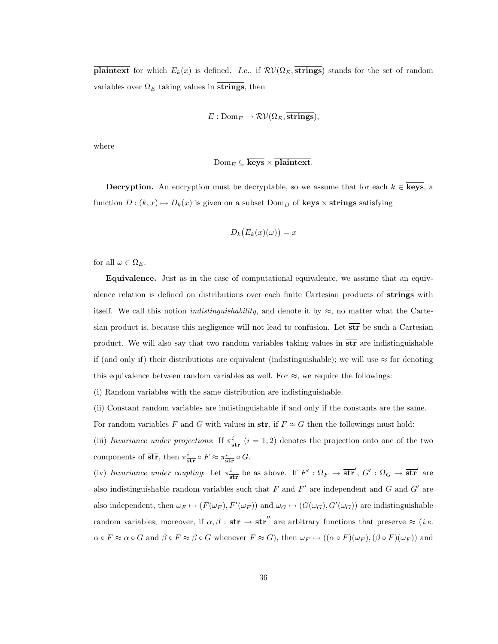**plaintext** for which  $E_k(x)$  is defined. I.e., if  $\mathcal{RV}(\Omega_E, \overline{\textbf{strings}})$  stands for the set of random variables over  $\Omega_E$  taking values in strings, then

$$
E: \mathrm{Dom}_E \to \mathcal{RV}(\Omega_E, \overline{\textbf{strings}}),
$$

where

$$
\mathrm{Dom}_E \subseteq \mathbf{keys} \times \mathbf{plaintext}.
$$

**Decryption.** An encryption must be decryptable, so we assume that for each  $k \in \overline{\text{keys}}$ , a function  $D : (k, x) \mapsto D_k(x)$  is given on a subset  $Dom_D$  of  $\overline{\text{keys}} \times \overline{\text{strings}}$  satisfying

$$
D_k(E_k(x)(\omega)) = x
$$

for all  $\omega \in \Omega_E$ .

Equivalence. Just as in the case of computational equivalence, we assume that an equivalence relation is defined on distributions over each finite Cartesian products of strings with itself. We call this notion *indistinguishability*, and denote it by  $\approx$ , no matter what the Cartesian product is, because this negligence will not lead to confusion. Let  $\overline{str}$  be such a Cartesian product. We will also say that two random variables taking values in  $\overline{str}$  are indistinguishable if (and only if) their distributions are equivalent (indistinguishable); we will use  $\approx$  for denoting this equivalence between random variables as well. For  $\approx$ , we require the followings:

(i) Random variables with the same distribution are indistinguishable.

(ii) Constant random variables are indistinguishable if and only if the constants are the same.

For random variables F and G with values in  $\overline{str}$ , if  $F \approx G$  then the followings must hold:

(iii) Invariance under projections: If  $\pi^i_{\rm str}$   $(i = 1, 2)$  denotes the projection onto one of the two components of  $\overline{str}$ , then  $\pi^i_{\text{str}} \circ F \approx \pi^i_{\text{str}} \circ G$ .

(iv) Invariance under coupling: Let  $\pi_{str}^i$  be as above. If  $F' : \Omega_F \to \overline{str}'$ ,  $G' : \Omega_G \to \overline{str}'$  are also indistinguishable random variables such that  $F$  and  $F'$  are independent and  $G$  and  $G'$  are also independent, then  $\omega_F \mapsto (F(\omega_F), F'(\omega_F))$  and  $\omega_G \mapsto (G(\omega_G), G'(\omega_G))$  are indistinguishable random variables; moreover, if  $\alpha, \beta : \overline{\textbf{str}} \to \overline{\textbf{str}}''$  are arbitrary functions that preserve  $\approx (i.e.$  $\alpha \circ F \approx \alpha \circ G$  and  $\beta \circ F \approx \beta \circ G$  whenever  $F \approx G$ , then  $\omega_F \mapsto ((\alpha \circ F)(\omega_F),(\beta \circ F)(\omega_F))$  and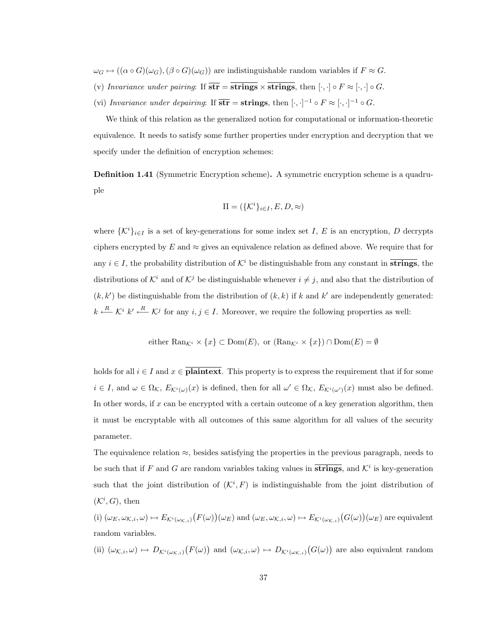$\omega_G \mapsto ((\alpha \circ G)(\omega_G),(\beta \circ G)(\omega_G))$  are indistinguishable random variables if  $F \approx G$ .

- (v) Invariance under pairing: If  $\overline{str} = \overline{strings} \times \overline{strings}$ , then  $[\cdot, \cdot] \circ F \approx [\cdot, \cdot] \circ G$ .
- (vi) Invariance under depairing: If  $\overline{str} = \text{strings, then } [\cdot, \cdot]^{-1} \circ F \approx [\cdot, \cdot]^{-1} \circ G$ .

We think of this relation as the generalized notion for computational or information-theoretic equivalence. It needs to satisfy some further properties under encryption and decryption that we specify under the definition of encryption schemes:

Definition 1.41 (Symmetric Encryption scheme). A symmetric encryption scheme is a quadruple

$$
\Pi = (\{\mathcal{K}^i\}_{i \in I}, E, D, \approx)
$$

where  $\{\mathcal{K}^i\}_{i\in I}$  is a set of key-generations for some index set I, E is an encryption, D decrypts ciphers encrypted by E and  $\approx$  gives an equivalence relation as defined above. We require that for any  $i \in I$ , the probability distribution of  $K^i$  be distinguishable from any constant in **strings**, the distributions of  $K^i$  and of  $K^j$  be distinguishable whenever  $i \neq j$ , and also that the distribution of  $(k, k')$  be distinguishable from the distribution of  $(k, k)$  if k and k' are independently generated:  $k \stackrel{R}{\longleftarrow} \mathcal{K}^i k' \stackrel{R}{\longleftarrow} \mathcal{K}^j$  for any  $i, j \in I$ . Moreover, we require the following properties as well:

either 
$$
\text{Ran}_{\mathcal{K}^i} \times \{x\} \subset \text{Dom}(E)
$$
, or  $(\text{Ran}_{\mathcal{K}^i} \times \{x\}) \cap \text{Dom}(E) = \emptyset$ 

holds for all  $i \in I$  and  $x \in \mathbf{plaintext}$ . This property is to express the requirement that if for some  $i \in I$ , and  $\omega \in \Omega_{\mathcal{K}}$ ,  $E_{\mathcal{K}^i(\omega)}(x)$  is defined, then for all  $\omega' \in \Omega_{\mathcal{K}}$ ,  $E_{\mathcal{K}^i(\omega')}(x)$  must also be defined. In other words, if x can be encrypted with a certain outcome of a key generation algorithm, then it must be encryptable with all outcomes of this same algorithm for all values of the security parameter.

The equivalence relation  $\approx$ , besides satisfying the properties in the previous paragraph, needs to be such that if F and G are random variables taking values in  $\overline{strings}$ , and  $\mathcal{K}^i$  is key-generation such that the joint distribution of  $({\cal K}^i, F)$  is indistinguishable from the joint distribution of  $({\mathcal K}^i, G)$ , then

(i)  $(\omega_E, \omega_{K,i}, \omega) \mapsto E_{\mathcal{K}^i(\omega_{K,i})}(F(\omega))(\omega_E)$  and  $(\omega_E, \omega_{K,i}, \omega) \mapsto E_{\mathcal{K}^i(\omega_{K,i})}(G(\omega))(\omega_E)$  are equivalent random variables.

(ii)  $(\omega_{\mathcal{K},i},\omega) \mapsto D_{\mathcal{K}^i(\omega_{\mathcal{K},i})}(F(\omega))$  and  $(\omega_{\mathcal{K},i},\omega) \mapsto D_{\mathcal{K}^i(\omega_{\mathcal{K},i})}(G(\omega))$  are also equivalent random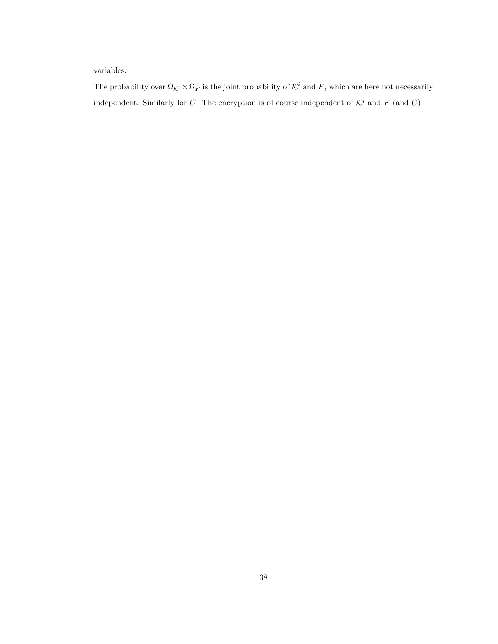variables.

The probability over  $\Omega_{\mathcal{K}^i} \times \Omega_F$  is the joint probability of  $\mathcal{K}^i$  and  $F$ , which are here not necessarily independent. Similarly for G. The encryption is of course independent of  $\mathcal{K}^i$  and  $F$  (and G).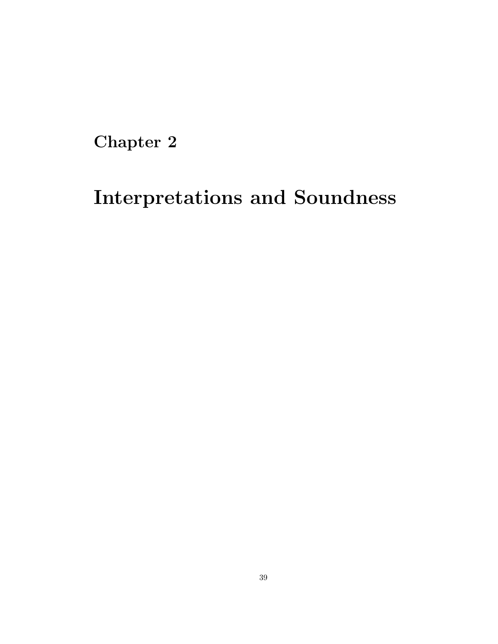Chapter 2

# Interpretations and Soundness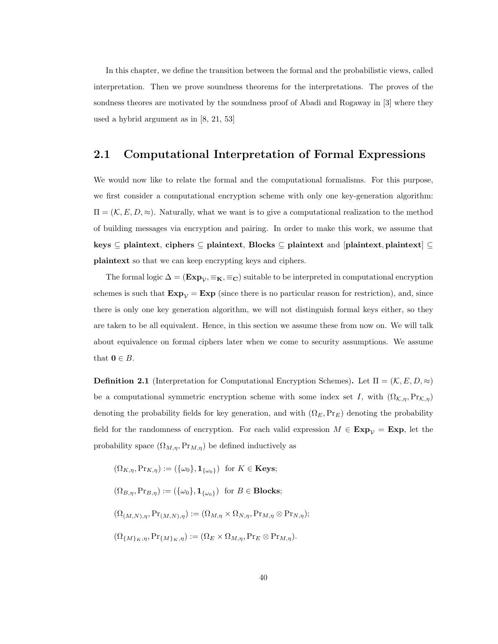In this chapter, we define the transition between the formal and the probabilistic views, called interpretation. Then we prove soundness theorems for the interpretations. The proves of the sondness theores are motivated by the soundness proof of Abadi and Rogaway in [3] where they used a hybrid argument as in [8, 21, 53]

# 2.1 Computational Interpretation of Formal Expressions

We would now like to relate the formal and the computational formalisms. For this purpose, we first consider a computational encryption scheme with only one key-generation algorithm:  $\Pi = (K, E, D, \approx)$ . Naturally, what we want is to give a computational realization to the method of building messages via encryption and pairing. In order to make this work, we assume that keys ⊆ plaintext, ciphers ⊆ plaintext, Blocks ⊆ plaintext and [plaintext, plaintext] ⊆ plaintext so that we can keep encrypting keys and ciphers.

The formal logic  $\Delta = (\mathbf{Exp}_{\mathcal{V}}, \equiv_{\mathbf{K}}, \equiv_{\mathbf{C}})$  suitable to be interpreted in computational encryption schemes is such that  $\text{Exp}_{\mathcal{V}} = \text{Exp}$  (since there is no particular reason for restriction), and, since there is only one key generation algorithm, we will not distinguish formal keys either, so they are taken to be all equivalent. Hence, in this section we assume these from now on. We will talk about equivalence on formal ciphers later when we come to security assumptions. We assume that  $\mathbf{0} \in B$ .

**Definition 2.1** (Interpretation for Computational Encryption Schemes). Let  $\Pi = (K, E, D, \approx)$ be a computational symmetric encryption scheme with some index set I, with  $(\Omega_{\mathcal{K},\eta},Pr_{\mathcal{K},\eta})$ denoting the probability fields for key generation, and with  $(\Omega_E, \Pr_E)$  denoting the probability field for the randomness of encryption. For each valid expression  $M \in \mathbf{Exp}_{\mathcal{V}} = \mathbf{Exp}$ , let the probability space  $(\Omega_{M,\eta},\Pr_{M,\eta})$  be defined inductively as

$$
(\Omega_{K,\eta}, \Pr_{K,\eta}) := (\{\omega_0\}, \mathbf{1}_{\{\omega_0\}}) \text{ for } K \in \mathbf{Keys};
$$
  

$$
(\Omega_{B,\eta}, \Pr_{B,\eta}) := (\{\omega_0\}, \mathbf{1}_{\{\omega_0\}}) \text{ for } B \in \mathbf{Blocks};
$$
  

$$
(\Omega_{(M,N),\eta}, \Pr_{(M,N),\eta}) := (\Omega_{M,\eta} \times \Omega_{N,\eta}, \Pr_{M,\eta} \otimes \Pr_{N,\eta});
$$
  

$$
(\Omega_{\{M\}_{K,\eta}, \Pr_{\{M\}_{K,\eta\}}) := (\Omega_{E} \times \Omega_{M,\eta}, \Pr_{E} \otimes \Pr_{M,\eta}).
$$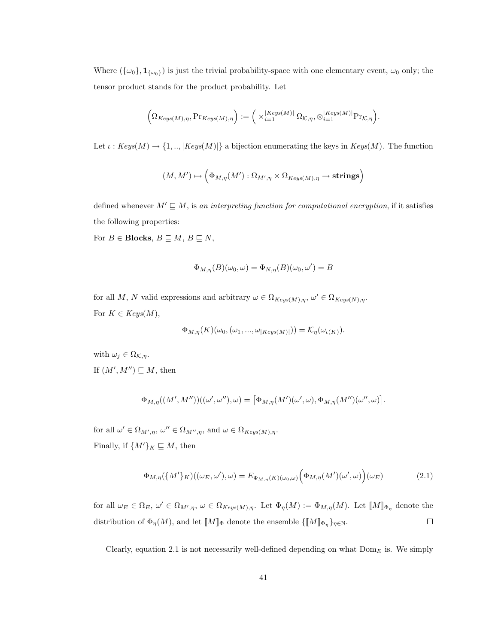Where  $(\{\omega_0\}, \mathbf{1}_{\{\omega_0\}})$  is just the trivial probability-space with one elementary event,  $\omega_0$  only; the tensor product stands for the product probability. Let

$$
\Big(\Omega_{Keys(M),\eta}, \Pr_{Keys(M),\eta}\Big) := \Big(\times_{i=1}^{\left \lvert Keys(M) \right \rvert} \Omega_{\mathcal{K},\eta}, \otimes_{i=1}^{\left \lvert Keys(M) \right \rvert} \Pr_{\mathcal{K},\eta}\Big).
$$

Let  $\iota : Keys(M) \to \{1, ..., |Keys(M)|\}$  a bijection enumerating the keys in  $Keys(M)$ . The function

$$
(M,M')\mapsto \Bigl(\Phi_{M,\eta}(M'):\Omega_{M',\eta}\times \Omega_{Keys(M),\eta}\to \text{strings}\Bigr)
$$

defined whenever  $M' \sqsubseteq M$ , is an interpreting function for computational encryption, if it satisfies the following properties:

For  $B \in \text{Blocks}, B \sqsubseteq M, B \sqsubseteq N,$ 

$$
\Phi_{M,\eta}(B)(\omega_0,\omega)=\Phi_{N,\eta}(B)(\omega_0,\omega')=B
$$

for all M, N valid expressions and arbitrary  $\omega \in \Omega_{Keys(M),\eta}$ ,  $\omega' \in \Omega_{Keys(N),\eta}$ . For  $K \in Keys(M)$ ,

$$
\Phi_{M,\eta}(K)(\omega_0,(\omega_1,...,\omega_{|Keys(M)|})) = \mathcal{K}_{\eta}(\omega_{\iota(K)}).
$$

with  $\omega_j \in \Omega_{\mathcal{K},\eta}$ . If  $(M', M'') \sqsubseteq M$ , then

$$
\Phi_{M,\eta}((M',M''))((\omega',\omega''),\omega) = \big[\Phi_{M,\eta}(M')(\omega',\omega),\Phi_{M,\eta}(M'')(\omega'',\omega)\big].
$$

for all  $\omega' \in \Omega_{M',\eta}$ ,  $\omega'' \in \Omega_{M'',\eta}$ , and  $\omega \in \Omega_{Keys(M),\eta}$ . Finally, if  $\{M'\}_K \sqsubseteq M$ , then

$$
\Phi_{M,\eta}(\{M'\}_K)((\omega_E, \omega'), \omega) = E_{\Phi_{M,\eta}(K)(\omega_0, \omega)}\Big(\Phi_{M,\eta}(M')(\omega', \omega)\Big)(\omega_E) \tag{2.1}
$$

for all  $\omega_E \in \Omega_E$ ,  $\omega' \in \Omega_{M',\eta}$ ,  $\omega \in \Omega_{Keys(M),\eta}$ . Let  $\Phi_{\eta}(M) := \Phi_{M,\eta}(M)$ . Let  $\llbracket M \rrbracket_{\Phi_{\eta}}$  denote the distribution of  $\Phi_{\eta}(M)$ , and let  $\llbracket M \rrbracket_{\Phi}$  denote the ensemble  $\{\llbracket M \rrbracket_{\Phi_{\eta}}\}_{\eta \in \mathbb{N}}$ .  $\Box$ 

Clearly, equation 2.1 is not necessarily well-defined depending on what  $Dom_E$  is. We simply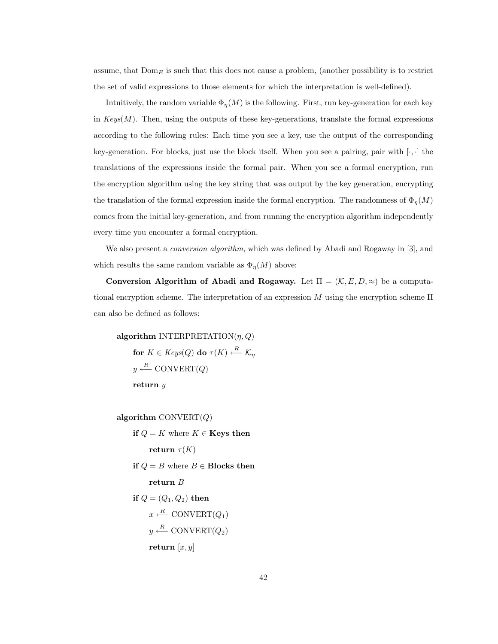assume, that  $Dom_E$  is such that this does not cause a problem, (another possibility is to restrict the set of valid expressions to those elements for which the interpretation is well-defined).

Intuitively, the random variable  $\Phi_{\eta}(M)$  is the following. First, run key-generation for each key in  $Keys(M)$ . Then, using the outputs of these key-generations, translate the formal expressions according to the following rules: Each time you see a key, use the output of the corresponding key-generation. For blocks, just use the block itself. When you see a pairing, pair with  $[\cdot, \cdot]$  the translations of the expressions inside the formal pair. When you see a formal encryption, run the encryption algorithm using the key string that was output by the key generation, encrypting the translation of the formal expression inside the formal encryption. The randomness of  $\Phi_{\eta}(M)$ comes from the initial key-generation, and from running the encryption algorithm independently every time you encounter a formal encryption.

We also present a *conversion algorithm*, which was defined by Abadi and Rogaway in [3], and which results the same random variable as  $\Phi_{\eta}(M)$  above:

Conversion Algorithm of Abadi and Rogaway. Let  $\Pi = (\mathcal{K}, E, D, \approx)$  be a computational encryption scheme. The interpretation of an expression M using the encryption scheme  $\Pi$ can also be defined as follows:

algorithm INTERPRETATION $(n, Q)$ for  $K\in \mathit{Keys}(Q)$  do  $\tau(K)\stackrel{R}{\longleftarrow}\mathcal{K}_\eta$  $y \stackrel{R}{\longleftarrow} \text{CONVERT}(Q)$ return y

algorithm CONVERT $(Q)$ 

if  $Q = K$  where  $K \in \mathbf{Keys}$  then return  $\tau(K)$ if  $Q = B$  where  $B \in$  Blocks then return B if  $Q = (Q_1, Q_2)$  then  $x \stackrel{R}{\longleftarrow} \text{CONVERT}(Q_1)$  $y \stackrel{R}{\longleftarrow} \text{CONVERT}(Q_2)$ return  $[x, y]$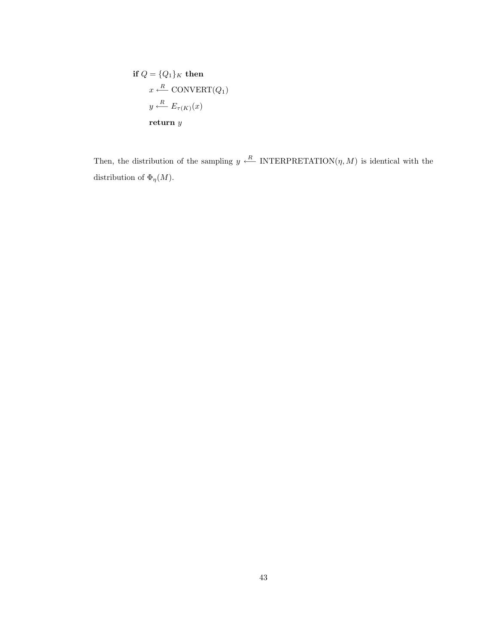if 
$$
Q = \{Q_1\}_K
$$
 then  
\n $x \stackrel{R}{\longleftarrow} \text{CONVERT}(Q_1)$   
\n $y \stackrel{R}{\longleftarrow} E_{\tau(K)}(x)$   
\nreturn y

Then, the distribution of the sampling  $y \stackrel{R}{\longleftarrow}$  INTERPRETATION( $\eta$ , M) is identical with the distribution of  $\Phi_{\eta}(M)$ .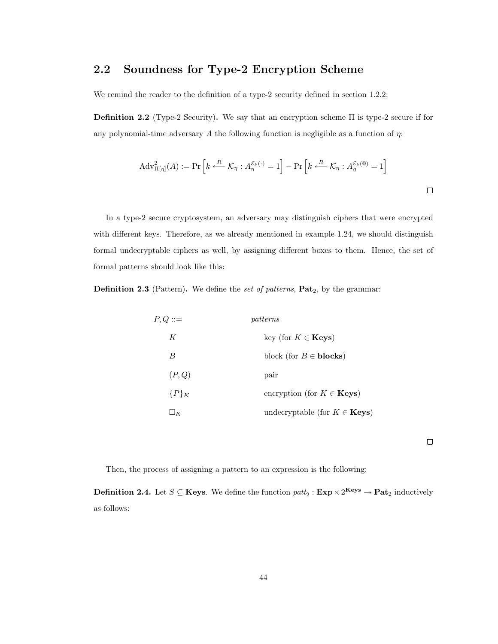# 2.2 Soundness for Type-2 Encryption Scheme

We remind the reader to the definition of a type-2 security defined in section 1.2.2:

**Definition 2.2** (Type-2 Security). We say that an encryption scheme  $\Pi$  is type-2 secure if for any polynomial-time adversary A the following function is negligible as a function of  $\eta$ :

$$
Adv_{\Pi[\eta]}^2(A) := \Pr\left[k \xleftarrow{R} \mathcal{K}_{\eta} : A_{\eta}^{\mathcal{E}_k(\cdot)} = 1\right] - \Pr\left[k \xleftarrow{R} \mathcal{K}_{\eta} : A_{\eta}^{\mathcal{E}_k(0)} = 1\right]
$$

In a type-2 secure cryptosystem, an adversary may distinguish ciphers that were encrypted with different keys. Therefore, as we already mentioned in example 1.24, we should distinguish formal undecryptable ciphers as well, by assigning different boxes to them. Hence, the set of formal patterns should look like this:

**Definition 2.3** (Pattern). We define the set of patterns,  $\textbf{Pat}_2$ , by the grammar:

| $P,Q ::=$ | patterns                                   |
|-----------|--------------------------------------------|
| K         | key (for $K \in \mathbf{Keys}$ )           |
| B         | block (for $B \in \text{blocks}$ )         |
| (P,Q)     | pair                                       |
| ${P}_{K}$ | encryption (for $K \in \mathbf{Keys}$ )    |
| $\Box_K$  | undecryptable (for $K \in \mathbf{Keys}$ ) |

 $\Box$ 

Then, the process of assigning a pattern to an expression is the following:

**Definition 2.4.** Let  $S \subseteq \mathbf{Keys}$ . We define the function  $\text{pat}_2 : \mathbf{Exp} \times 2^{\mathbf{Keys}} \to \mathbf{Pat}_2$  inductively as follows: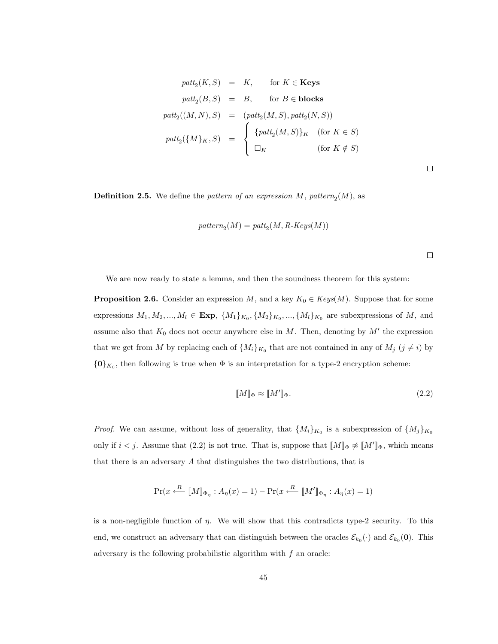$$
path_2(K, S) = K, \quad \text{for } K \in \text{Keys}
$$
\n
$$
path_2(B, S) = B, \quad \text{for } B \in \text{blocks}
$$
\n
$$
path_2((M, N), S) = (path_2(M, S), path_2(N, S))
$$
\n
$$
path_2(\{M\}_K, S) = \begin{cases} \{path_2(M, S)\}_K & \text{(for } K \in S) \\ \Box_K & \text{(for } K \notin S) \end{cases}
$$

 $\Box$ 

**Definition 2.5.** We define the *pattern of an expression*  $M$ ,  $pattern_2(M)$ , as

$$
\mathit{pattern}_2(M) = \mathit{patt}_2(M, \mathit{R-Keys}(M))
$$

| ۰ | I |
|---|---|
|   |   |
|   |   |
|   |   |

We are now ready to state a lemma, and then the soundness theorem for this system:

**Proposition 2.6.** Consider an expression M, and a key  $K_0 \in Keys(M)$ . Suppose that for some expressions  $M_1, M_2, ..., M_l \in \text{Exp}, \{M_1\}_{K_0}, \{M_2\}_{K_0}, ..., \{M_l\}_{K_0}$  are subexpressions of M, and assume also that  $K_0$  does not occur anywhere else in M. Then, denoting by  $M'$  the expression that we get from M by replacing each of  $\{M_i\}_{K_0}$  that are not contained in any of  $M_j$   $(j \neq i)$  by  $\{0\}_{K_0}$ , then following is true when  $\Phi$  is an interpretation for a type-2 encryption scheme:

$$
\llbracket M \rrbracket_{\Phi} \approx \llbracket M' \rrbracket_{\Phi}.\tag{2.2}
$$

*Proof.* We can assume, without loss of generality, that  $\{M_i\}_{K_0}$  is a subexpression of  $\{M_j\}_{K_0}$ only if  $i < j$ . Assume that  $(2.2)$  is not true. That is, suppose that  $\llbracket M \rrbracket_{\Phi} \not\approx \llbracket M' \rrbracket_{\Phi}$ , which means that there is an adversary A that distinguishes the two distributions, that is

$$
\Pr(x \xleftarrow{R} [M]_{\Phi_{\eta}} : A_{\eta}(x) = 1) - \Pr(x \xleftarrow{R} [M']_{\Phi_{\eta}} : A_{\eta}(x) = 1)
$$

is a non-negligible function of  $\eta$ . We will show that this contradicts type-2 security. To this end, we construct an adversary that can distinguish between the oracles  $\mathcal{E}_{k_0}(\cdot)$  and  $\mathcal{E}_{k_0}(\mathbf{0})$ . This adversary is the following probabilistic algorithm with  $f$  an oracle: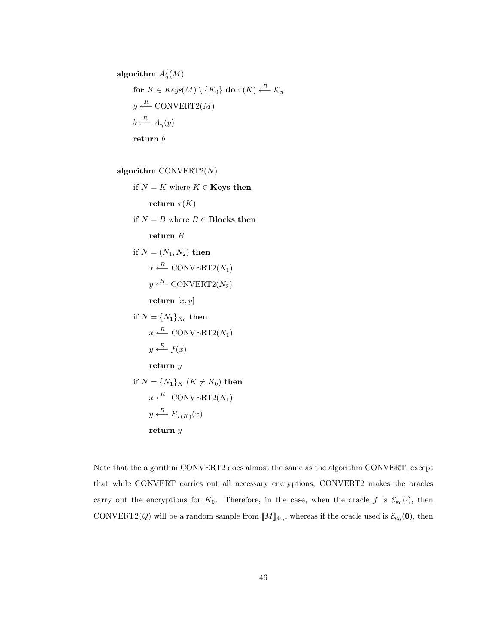algorithm  $A_{\eta}^f(M)$  $\textbf{for}\,\,K\in Keys(M)\setminus\{K_0\}\textbf{ do }\tau(K)\stackrel{R}{\longleftarrow}\mathcal{K}_\eta$  $y \stackrel{R}{\longleftarrow} \text{CONVERT2}(M)$  $b \stackrel{R}{\longleftarrow} A_{\eta}(y)$ return $\boldsymbol{b}$ 

algorithm CONVERT2 $(N)$ 

if  $N = K$  where  $K \in \mathbf{Keys}$  then return  $\tau(K)$ if  $N = B$  where  $B \in$  Blocks then return B if  $N = (N_1, N_2)$  then  $x \stackrel{R}{\longleftarrow} \text{CONVERT2}(N_1)$  $y \stackrel{R}{\longleftarrow} \text{CONVERT2}(N_2)$ return  $[x, y]$ if  $N = \{N_1\}_{K_0}$  then  $x \stackrel{R}{\longleftarrow} \text{CONVERT2}(N_1)$  $y \stackrel{R}{\longleftarrow} f(x)$ return y if  $N = \{N_1\}_K$   $(K \neq K_0)$  then  $x \stackrel{R}{\longleftarrow} \text{CONVERT2}(N_1)$  $y \stackrel{R}{\longleftarrow} E_{\tau(K)}(x)$ return y

Note that the algorithm CONVERT2 does almost the same as the algorithm CONVERT, except that while CONVERT carries out all necessary encryptions, CONVERT2 makes the oracles carry out the encryptions for  $K_0$ . Therefore, in the case, when the oracle f is  $\mathcal{E}_{k_0}(\cdot)$ , then CONVERT2(Q) will be a random sample from  $[M]_{\Phi_{\eta}}$ , whereas if the oracle used is  $\mathcal{E}_{k_0}(\mathbf{0})$ , then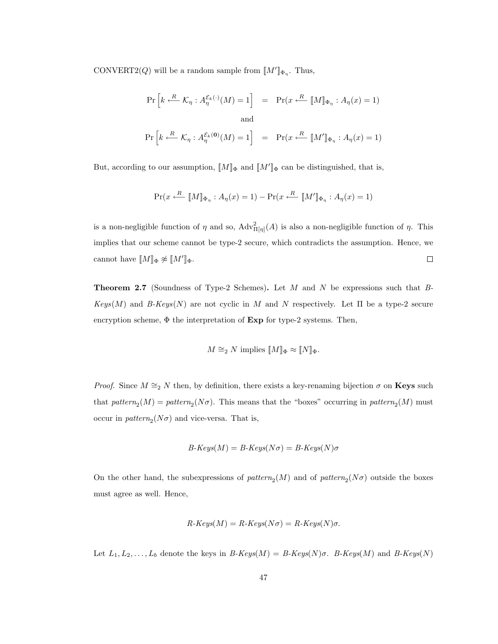CONVERT2(Q) will be a random sample from  $\llbracket M' \rrbracket_{\Phi_{\eta}}$ . Thus,

$$
\Pr\left[k \stackrel{R}{\longleftarrow} \mathcal{K}_{\eta}: A_{\eta}^{\mathcal{E}_{k}(\cdot)}(M) = 1\right] = \Pr(x \stackrel{R}{\longleftarrow} \llbracket M \rrbracket_{\Phi_{\eta}}: A_{\eta}(x) = 1)
$$
  
and  

$$
\Pr\left[k \stackrel{R}{\longleftarrow} \mathcal{K}_{\eta}: A_{\eta}^{\mathcal{E}_{k}(\mathbf{0})}(M) = 1\right] = \Pr(x \stackrel{R}{\longleftarrow} \llbracket M' \rrbracket_{\Phi_{\eta}}: A_{\eta}(x) = 1)
$$

But, according to our assumption,  $[M]_{\Phi}$  and  $[M']_{\Phi}$  can be distinguished, that is,

$$
\Pr(x \xleftarrow{R} [\![M]\!]_{\Phi_{\eta}} : A_{\eta}(x) = 1) - \Pr(x \xleftarrow{R} [\![M']\!]_{\Phi_{\eta}} : A_{\eta}(x) = 1)
$$

is a non-negligible function of  $\eta$  and so,  $\text{Adv}_{\Pi[\eta]}^2(A)$  is also a non-negligible function of  $\eta$ . This implies that our scheme cannot be type-2 secure, which contradicts the assumption. Hence, we cannot have  $[M]_{\Phi} \not\approx [M']_{\Phi}$ .  $\Box$ 

**Theorem 2.7** (Soundness of Type-2 Schemes). Let  $M$  and  $N$  be expressions such that  $B$ - $Keys(M)$  and B-Keys(N) are not cyclic in M and N respectively. Let  $\Pi$  be a type-2 secure encryption scheme,  $\Phi$  the interpretation of  $Exp$  for type-2 systems. Then,

$$
M \cong_2 N \text{ implies } [M]_{\Phi} \approx [N]_{\Phi}.
$$

*Proof.* Since  $M \cong_2 N$  then, by definition, there exists a key-renaming bijection  $\sigma$  on **Keys** such that  $pattern_2(M) = pattern_2(N\sigma)$ . This means that the "boxes" occurring in  $pattern_2(M)$  must occur in  $pattern_2(N\sigma)$  and vice-versa. That is,

$$
B\text{-}Keys(M) = B\text{-}Keys(N\sigma) = B\text{-}Keys(N)\sigma
$$

On the other hand, the subexpressions of  $pattern_2(M)$  and of  $pattern_2(N\sigma)$  outside the boxes must agree as well. Hence,

$$
R\text{-}Keys(M) = R\text{-}Keys(N\sigma) = R\text{-}Keys(N)\sigma.
$$

Let  $L_1, L_2, \ldots, L_b$  denote the keys in  $B\text{-}Keys(M) = B\text{-}Keys(N)\sigma$ .  $B\text{-}Keys(M)$  and  $B\text{-}Keys(N)$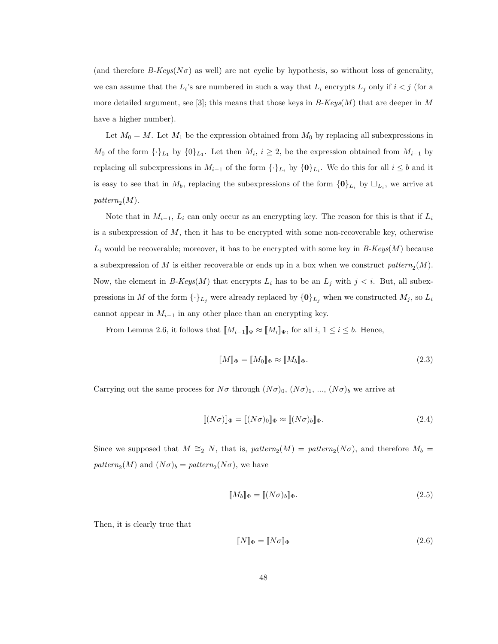(and therefore  $B-Keys(N\sigma)$  as well) are not cyclic by hypothesis, so without loss of generality, we can assume that the  $L_i$ 's are numbered in such a way that  $L_i$  encrypts  $L_j$  only if  $i < j$  (for a more detailed argument, see [3]; this means that those keys in  $B\text{-}Keys(M)$  that are deeper in M have a higher number).

Let  $M_0 = M$ . Let  $M_1$  be the expression obtained from  $M_0$  by replacing all subexpressions in  $M_0$  of the form  $\{\cdot\}_{L_1}$  by  $\{0\}_{L_1}$ . Let then  $M_i$ ,  $i \geq 2$ , be the expression obtained from  $M_{i-1}$  by replacing all subexpressions in  $M_{i-1}$  of the form  $\{\cdot\}_{L_i}$  by  $\{0\}_{L_i}$ . We do this for all  $i \leq b$  and it is easy to see that in  $M_b$ , replacing the subexpressions of the form  $\{0\}_L$  by  $\square_{L_i}$ , we arrive at pattern<sub>2</sub> $(M)$ .

Note that in  $M_{i-1}$ ,  $L_i$  can only occur as an encrypting key. The reason for this is that if  $L_i$ is a subexpression of  $M$ , then it has to be encrypted with some non-recoverable key, otherwise  $L_i$  would be recoverable; moreover, it has to be encrypted with some key in  $B\text{-}Keys(M)$  because a subexpression of M is either recoverable or ends up in a box when we construct  $pattern_2(M)$ . Now, the element in B-Keys(M) that encrypts  $L_i$  has to be an  $L_j$  with  $j < i$ . But, all subexpressions in M of the form  $\{\cdot\}_L$  were already replaced by  $\{0\}_L$  when we constructed  $M_j$ , so  $L_i$ cannot appear in  $M_{i-1}$  in any other place than an encrypting key.

From Lemma 2.6, it follows that  $\llbracket M_{i-1} \rrbracket_{\Phi} \approx \llbracket M_i \rrbracket_{\Phi}$ , for all  $i, 1 \leq i \leq b$ . Hence,

$$
\llbracket M \rrbracket_{\Phi} = \llbracket M_0 \rrbracket_{\Phi} \approx \llbracket M_b \rrbracket_{\Phi}.
$$
\n(2.3)

Carrying out the same process for  $N\sigma$  through  $(N\sigma)_0$ ,  $(N\sigma)_1$ , ...,  $(N\sigma)_b$  we arrive at

$$
[[(N\sigma)]]_{\Phi} = [[(N\sigma)_0]]_{\Phi} \approx [[(N\sigma)_b]]_{\Phi}.
$$
\n(2.4)

Since we supposed that  $M \cong_2 N$ , that is,  $pattern_2(M) = pattern_2(N\sigma)$ , and therefore  $M_b =$ pattern<sub>2</sub> $(M)$  and  $(N\sigma)_b = pattern_2(N\sigma)$ , we have

$$
\llbracket M_b \rrbracket_{\Phi} = \llbracket (N\sigma)_b \rrbracket_{\Phi}.
$$
\n(2.5)

Then, it is clearly true that

$$
\llbracket N \rrbracket_{\Phi} = \llbracket N\sigma \rrbracket_{\Phi} \tag{2.6}
$$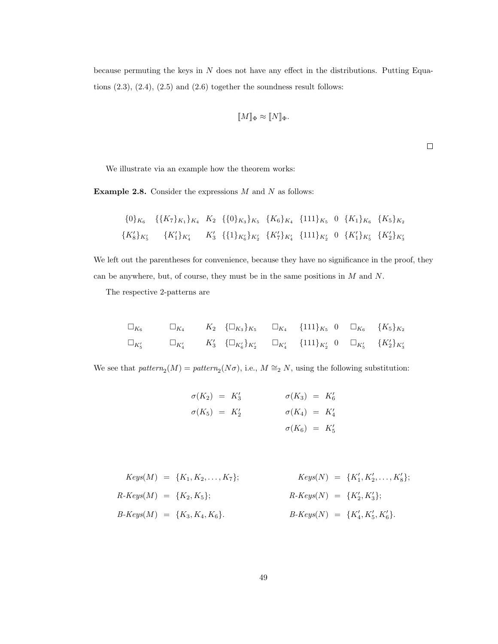because permuting the keys in  $N$  does not have any effect in the distributions. Putting Equations  $(2.3)$ ,  $(2.4)$ ,  $(2.5)$  and  $(2.6)$  together the soundness result follows:

$$
[\![M]\!]_{\Phi} \approx [\![N]\!]_{\Phi}.
$$

 $\Box$ 

We illustrate via an example how the theorem works:

**Example 2.8.** Consider the expressions  $M$  and  $N$  as follows:

$$
\{0\}_{K_6} \quad \{\{K_7\}_{K_1}\}_{K_4} \quad K_2 \quad \{\{0\}_{K_3}\}_{K_5} \quad \{K_6\}_{K_4} \quad \{111\}_{K_5} \quad 0 \quad \{K_1\}_{K_6} \quad \{K_5\}_{K_2} \quad \{K_8'\}_{K_5'} \quad \{K_1'\}_{K_4'} \quad K_3' \quad \{\{1\}_{K_6'}\}_{K_2'} \quad \{K_7'\}_{K_4'} \quad \{\{111\}_{K_2'} \quad 0 \quad \{K_1'\}_{K_5'} \quad \{K_2'\}_{K_3'} \quad \{K_1\}_{K_4'} \quad \{\{111\}_{K_4'} \quad \{K_1\}_{K_5'} \quad \{K_2'\}_{K_6'} \quad \{K_1\}_{K_6'} \quad \{K_1\}_{K_6'} \quad \{K_1\}_{K_6'} \quad \{K_1\}_{K_6'} \quad \{K_1\}_{K_6'} \quad \{K_1\}_{K_6'} \quad \{K_1\}_{K_6'} \quad \{K_1\}_{K_6'} \quad \{K_1\}_{K_6'} \quad \{K_1\}_{K_6'} \quad \{K_1\}_{K_6'} \quad \{K_1\}_{K_6'} \quad \{K_1\}_{K_6'} \quad \{K_1\}_{K_6'} \quad \{K_1\}_{K_6'} \quad \{K_1\}_{K_6'} \quad \{K_1\}_{K_6'} \quad \{K_1\}_{K_6'} \quad \{K_1\}_{K_6'} \quad \{K_1\}_{K_6'} \quad \{K_1\}_{K_6'} \quad \{K_1\}_{K_6'} \quad \{K_1\}_{K_6'} \quad \{K_1\}_{K_6'} \quad \{K_1\}_{K_6'} \quad \{K_1\}_{K_6'} \quad \{K_1\}_{K_6'} \quad \{K_1\}_{K_6'} \quad \{K_1\}_{K_6'} \quad \{K_1\}_{K_6'} \quad \{K_1\}_{K_6'} \quad \{K_1\}_{K_6'} \quad \{K_1\}_{K_6'} \quad \{K_1\}_{K_6'} \quad \{K_1\}_{K_6'} \quad \{K_1\}_{K_6'} \quad \{K_1\}_{K_6'} \quad \{K_1\}_{K_6'}
$$

We left out the parentheses for convenience, because they have no significance in the proof, they can be anywhere, but, of course, they must be in the same positions in  $M$  and  $N$ .

The respective 2-patterns are

$$
\Box_{K_6} \qquad \Box_{K_4} \qquad K_2 \quad \{\Box_{K_3}\}_{K_5} \qquad \Box_{K_4} \qquad \{111\}_{K_5} \quad 0 \quad \Box_{K_6} \qquad \{K_5\}_{K_2}
$$
\n
$$
\Box_{K'_5} \qquad \Box_{K'_4} \qquad K'_3 \quad \{\Box_{K'_6}\}_{K'_2} \qquad \Box_{K'_4} \qquad \{111\}_{K'_2} \quad 0 \quad \Box_{K'_5} \qquad \{K'_2\}_{K'_3}
$$

We see that  $pattern_2(M) = pattern_2(N\sigma)$ , i.e.,  $M \cong_2 N$ , using the following substitution:

$$
\sigma(K_2) = K'_3 \qquad \sigma(K_3) = K'_6
$$
  

$$
\sigma(K_5) = K'_2 \qquad \sigma(K_4) = K'_4
$$
  

$$
\sigma(K_6) = K'_5
$$

$$
Keys(M) = \{K_1, K_2, \ldots, K_7\};
$$
\n
$$
Keys(M) = \{K'_1, K'_2, \ldots, K'_8\};
$$
\n
$$
R\text{-}Keys(M) = \{K_2, K_5\};
$$
\n
$$
R\text{-}Keys(N) = \{K'_2, K'_3\};
$$
\n
$$
B\text{-}Keys(M) = \{K_3, K_4, K_6\}.
$$
\n
$$
B\text{-}Keys(N) = \{K'_4, K'_5, K'_6\}.
$$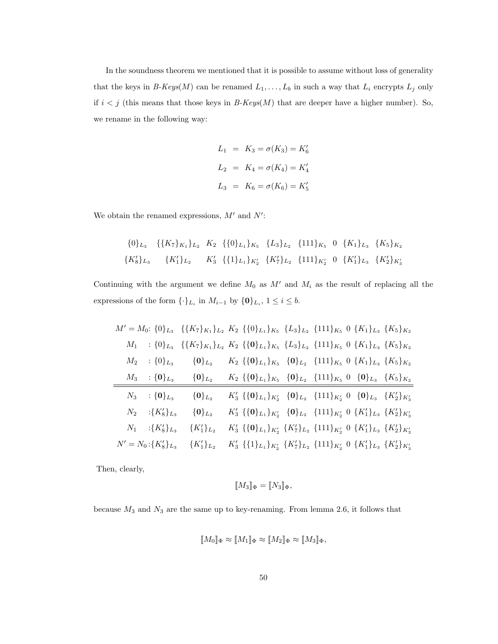In the soundness theorem we mentioned that it is possible to assume without loss of generality that the keys in  $B\text{-}Keys(M)$  can be renamed  $L_1, \ldots, L_b$  in such a way that  $L_i$  encrypts  $L_j$  only if  $i < j$  (this means that those keys in  $B-Keys(M)$  that are deeper have a higher number). So, we rename in the following way:

$$
L_1 = K_3 = \sigma(K_3) = K'_6
$$
  
\n
$$
L_2 = K_4 = \sigma(K_4) = K'_4
$$
  
\n
$$
L_3 = K_6 = \sigma(K_6) = K'_5
$$

We obtain the renamed expressions,  $M'$  and  $N'$ :

$$
\begin{aligned}\n\{0\}_{L_3} \quad & \{ \{K_7\}_{K_1} \}_{L_2} \quad K_2 \quad \{ \{0\}_{L_1} \}_{K_5} \quad \{L_3\}_{L_2} \quad \{111\}_{K_5} \quad 0 \quad \{K_1\}_{L_3} \quad \{K_5\}_{K_2} \\
\{K_8'\}_{L_3} \quad & \{K_1'\}_{L_2} \quad K_3' \quad \{ \{1\}_{L_1} \}_{K_2'} \quad \{K_7'\}_{L_2} \quad \{111\}_{K_2'} \quad 0 \quad \{K_1'\}_{L_3} \quad \{K_2'\}_{K_3'}\n\end{aligned}
$$

Continuing with the argument we define  $M_0$  as  $M'$  and  $M_i$  as the result of replacing all the expressions of the form  $\{\cdot\}_{L_i}$  in  $M_{i-1}$  by  $\{0\}_{L_i}$ ,  $1 \leq i \leq b$ .

|       |                          | $M' = M_0$ : {0} $_{L_3}$ {{ $K_7$ } $_{K_1}$ } $_{L_2}$ $K_2$ {{0} $_{L_1}$ } $_{K_5}$ { $L_3$ } $_{L_2}$ {111} $_{K_5}$ 0 { $K_1$ } $_{L_3}$ { $K_5$ } $_{K_2}$                                                                                                      |                                                                                                                                                                                                                              |  |  |  |
|-------|--------------------------|------------------------------------------------------------------------------------------------------------------------------------------------------------------------------------------------------------------------------------------------------------------------|------------------------------------------------------------------------------------------------------------------------------------------------------------------------------------------------------------------------------|--|--|--|
| $M_1$ |                          | : $\{0\}_{L_3}$ $\{\{K_7\}_{K_1}\}_{L_2}$ $K_2$ $\{\{0\}_{L_1}\}_{K_5}$ $\{L_3\}_{L_2}$ $\{111\}_{K_5}$ $0 \{K_1\}_{L_3}$ $\{K_5\}_{K_2}$                                                                                                                              |                                                                                                                                                                                                                              |  |  |  |
|       | $M_2$ : $\{0\}_{L_3}$    | $\{0\}_{L_2}$ $K_2$ $\{\{0\}_{L_1}\}_{K_5}$ $\{0\}_{L_2}$ $\{111\}_{K_5}$ $0 \{K_1\}_{L_3}$ $\{K_5\}_{K_2}$                                                                                                                                                            |                                                                                                                                                                                                                              |  |  |  |
|       |                          | $M_3$ : {0} <sub>L<sub>3</sub></sub> {0} <sub>L<sub>2</sub></sub> $K_2$ {{0} <sub>L<sub>1</sub></sub> } <sub>K<sub>5</sub></sub> {0} <sub>L<sub>2</sub></sub> {111} <sub>K<sub>5</sub></sub> 0 {0} <sub>L<sub>3</sub></sub> {K <sub>5</sub> } <sub>K<sub>2</sub></sub> |                                                                                                                                                                                                                              |  |  |  |
| $N_3$ | $\{0\}_{L_3}$            | $\{0\}_{L_2}$                                                                                                                                                                                                                                                          | $K'_3 \{\{\mathbf{0}\}_L_1\}_{K'_2} \{ \mathbf{0}\}_L_2 \{\mathbf{1}11\}_{K'_2} \mathbf{0} \{\mathbf{0}\}_L_3 \{K'_2\}_{K'_3}$                                                                                               |  |  |  |
|       | $N_2$ : $\{K'_8\}_{L_3}$ | $\{0\}_{L_2}$                                                                                                                                                                                                                                                          | $K'_3 \{\{\mathbf{0}\}_L_1\}_{K'_2} \{ \mathbf{0}\}_L_2 \{\{111\}_{K'_2} \{ \}\{K'_1\}_{L_3} \{K'_2\}_{K'_3}$                                                                                                                |  |  |  |
|       |                          | $N_1$ : $\{K'_8\}_{L_3}$ $\{K'_1\}_{L_2}$                                                                                                                                                                                                                              | $K'_3$ {{0} <sub>L1</sub> } <sub>K'2</sub> {K' <sub>7</sub> } <sub>L<sub>2</sub></sub> {111} <sub>K'2</sub> 0 {K' <sub>1</sub> } <sub>L<sub>3</sub> {K'<sub>2</sub>}<sub>K'3</sub></sub>                                     |  |  |  |
|       |                          | $N' = N_0: \{K'_8\}_{L_3} \quad \{K'_1\}_{L_2}$                                                                                                                                                                                                                        | $K'_3$ {{1} <sub>L1</sub> } <sub>K'<sub>2</sub></sub> {K' <sub>7</sub> } <sub>L<sub>2</sub></sub> {111} <sub>K'<sub>2</sub></sub> 0 {K' <sub>1</sub> } <sub>L<sub>3</sub></sub> {K' <sub>2</sub> } <sub>K'<sub>3</sub></sub> |  |  |  |

Then, clearly,

$$
[\![M_3]\!]_{\Phi} = [\![N_3]\!]_{\Phi},
$$

because  $M_3$  and  $N_3$  are the same up to key-renaming. From lemma 2.6, it follows that

$$
[\![M_0]\!]_\Phi \approx [\![M_1]\!]_\Phi \approx [\![M_2]\!]_\Phi \approx [\![M_3]\!]_\Phi,
$$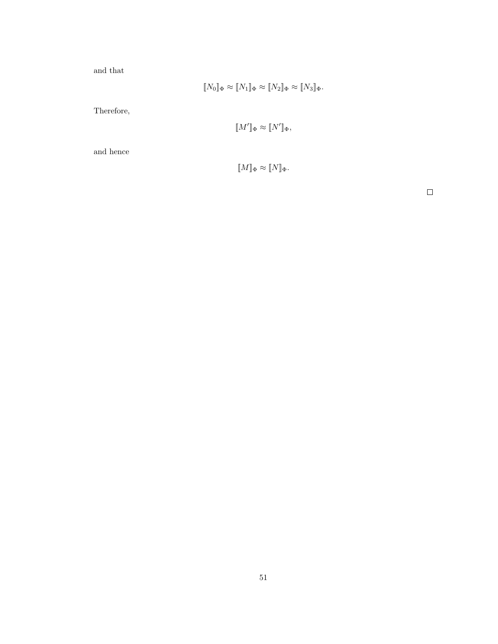and that

$$
[\![N_0]\!]_{\Phi} \approx [\![N_1]\!]_{\Phi} \approx [\![N_2]\!]_{\Phi} \approx [\![N_3]\!]_{\Phi}.
$$

Therefore,

$$
[\![M']\!]_{\Phi} \approx [\![N']\!]_{\Phi},
$$

and hence

$$
[\![M]\!]_{\Phi} \approx [\![N]\!]_{\Phi}.
$$

 $\Box$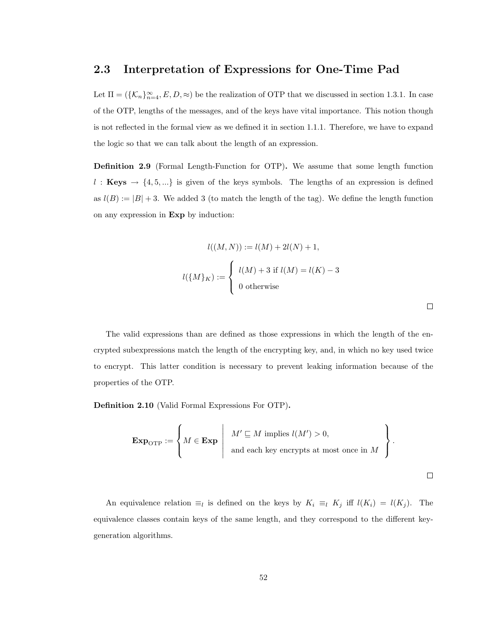#### 2.3 Interpretation of Expressions for One-Time Pad

Let  $\Pi = (\{\mathcal{K}_n\}_{n=4}^{\infty}, E, D, \approx)$  be the realization of OTP that we discussed in section 1.3.1. In case of the OTP, lengths of the messages, and of the keys have vital importance. This notion though is not reflected in the formal view as we defined it in section 1.1.1. Therefore, we have to expand the logic so that we can talk about the length of an expression.

Definition 2.9 (Formal Length-Function for OTP). We assume that some length function l: Keys  $\rightarrow$  {4,5,...} is given of the keys symbols. The lengths of an expression is defined as  $l(B) := |B| + 3$ . We added 3 (to match the length of the tag). We define the length function on any expression in Exp by induction:

$$
l((M,N)) := l(M) + 2l(N) + 1,
$$
  

$$
l(\lbrace M \rbrace_K) := \begin{cases} l(M) + 3 & \text{if } l(M) = l(K) - 3 \\ 0 & \text{otherwise} \end{cases}
$$

The valid expressions than are defined as those expressions in which the length of the encrypted subexpressions match the length of the encrypting key, and, in which no key used twice to encrypt. This latter condition is necessary to prevent leaking information because of the properties of the OTP.

 $\Box$ 

Definition 2.10 (Valid Formal Expressions For OTP).

$$
\mathbf{Exp}_{\mathrm{OTP}} := \left\{ M \in \mathbf{Exp} \mid \begin{array}{c} M' \sqsubseteq M \text{ implies } l(M') > 0, \\ \text{and each key encrypts at most once in } M \end{array} \right\}.
$$

An equivalence relation  $\equiv_l$  is defined on the keys by  $K_i \equiv_l K_j$  iff  $l(K_i) = l(K_j)$ . The equivalence classes contain keys of the same length, and they correspond to the different keygeneration algorithms.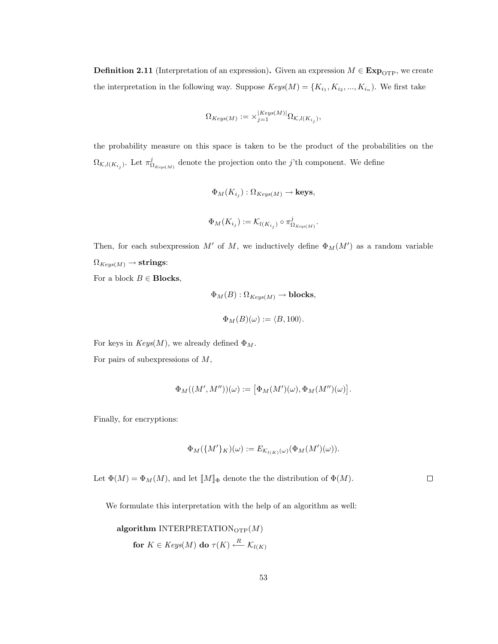**Definition 2.11** (Interpretation of an expression). Given an expression  $M \in \mathbf{Exp}_{OTP}$ , we create the interpretation in the following way. Suppose  $Keys(M) = \{K_{i_1}, K_{i_2}, ..., K_{i_n}\}$ . We first take

$$
\Omega_{Keys(M)}:=\times_{j=1}^{|Keys(M)|}\Omega_{\mathcal{K},l(K_{i_j})},
$$

the probability measure on this space is taken to be the product of the probabilities on the  $\Omega_{\mathcal{K},l(K_{i,j})}$ . Let  $\pi_{\Omega_{Keys(M)}}^j$  denote the projection onto the j'th component. We define

$$
\Phi_M(K_{i_j}) : \Omega_{Keys(M)} \to \text{keys},
$$
  

$$
\Phi_M(K_{i_j}) := \mathcal{K}_{l(K_{i_j})} \circ \pi_{\Omega_{Keys(M)}}^j.
$$

Then, for each subexpression M' of M, we inductively define  $\Phi_M(M')$  as a random variable  $\Omega_{Keys(M)} \to$  strings:

For a block  $B \in \text{Blocks}$ ,

$$
\Phi_M(B) : \Omega_{Keys(M)} \to \textbf{blocks},
$$
  

$$
\Phi_M(B)(\omega) := \langle B, 100 \rangle.
$$

For keys in  $Keys(M)$ , we already defined  $\Phi_M$ .

For pairs of subexpressions of  $M$ ,

$$
\Phi_M((M',M''))(\omega) := \big[\Phi_M(M')(\omega), \Phi_M(M'')(\omega)\big].
$$

Finally, for encryptions:

$$
\Phi_M(\{M'\}_K)(\omega) := E_{\mathcal{K}_{l(K)}(\omega)}(\Phi_M(M')(\omega)).
$$

Let  $\Phi(M) = \Phi_M(M)$ , and let  $\llbracket M \rrbracket_{\Phi}$  denote the the distribution of  $\Phi(M)$ .

 $\Box$ 

We formulate this interpretation with the help of an algorithm as well:

algorithm INTERPRETATION<sub>OTP</sub>(M)  
for 
$$
K \in Keys(M)
$$
 do  $\tau(K) \xleftarrow{R} \mathcal{K}_{l(K)}$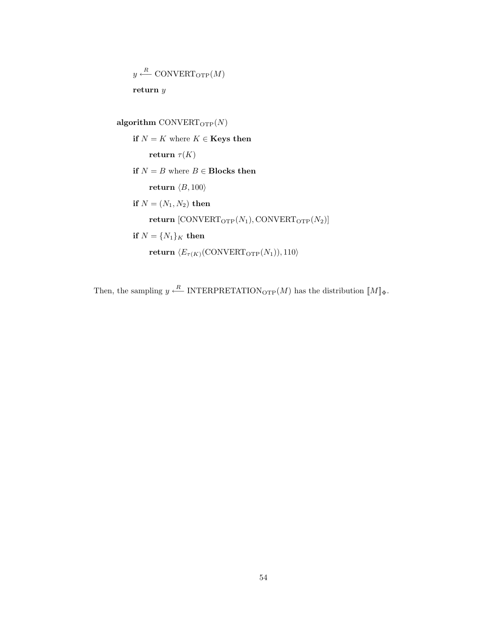$y \stackrel{R}{\longleftarrow} \text{CONVERT}_{\text{OTP}}(M)$ return y

algorithm CONVERT $_{\text{OTP}}(N)$ if  $N = K$  where  $K \in \mathbf{Keys}$  then return  $\tau(K)$ if  $N = B$  where  $B \in$  Blocks then return  $\langle B, 100 \rangle$ if  $N = (N_1, N_2)$  then return  $[CONVERT_{OTP}(N_1), CONVERT_{OTP}(N_2)]$ if  $N = \{N_1\}_K$  then return  $\langle E_{\tau(K)}(\text{CONVERT}_{\text{OTP}}(N_1)), 110 \rangle$ 

Then, the sampling  $y \stackrel{R}{\longleftarrow}$  INTERPRETATION<sub>OTP</sub> $(M)$  has the distribution  $[M]_{\Phi}$ .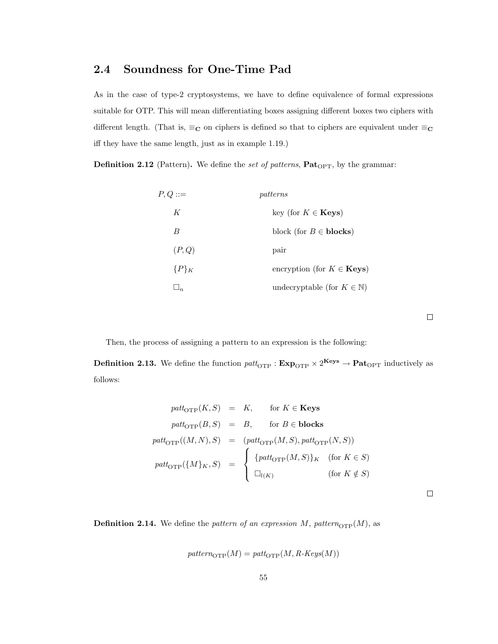# 2.4 Soundness for One-Time Pad

As in the case of type-2 cryptosystems, we have to define equivalence of formal expressions suitable for OTP. This will mean differentiating boxes assigning different boxes two ciphers with different length. (That is,  $\equiv_{\mathbf{C}}$  on ciphers is defined so that to ciphers are equivalent under  $\equiv_{\mathbf{C}}$ iff they have the same length, just as in example 1.19.)

**Definition 2.12** (Pattern). We define the set of patterns,  $\textbf{Pat}_{\text{OPT}}$ , by the grammar:

| $P,Q ::=$ | patterns                                |
|-----------|-----------------------------------------|
| K         | key (for $K \in \mathbf{Keys}$ )        |
| B         | block (for $B \in \text{blocks}$ )      |
| (P,Q)     | pair                                    |
| ${P}_{K}$ | encryption (for $K \in \mathbf{Keys}$ ) |
|           | undecryptable (for $K \in \mathbb{N}$ ) |

 $\Box$ 

Then, the process of assigning a pattern to an expression is the following:

**Definition 2.13.** We define the function  $\text{patt}_{\text{OTP}}$  :  $\text{Exp}_{\text{OTP}} \times 2^{\text{Keys}} \to \text{Pat}_{\text{OPT}}$  inductively as follows:

$$
path_{\text{OTP}}(K, S) = K, \quad \text{for } K \in \text{Keys}
$$
\n
$$
path_{\text{OTP}}(B, S) = B, \quad \text{for } B \in \text{blocks}
$$
\n
$$
path_{\text{OTP}}((M, N), S) = (path_{\text{OTP}}(M, S), path_{\text{OTP}}(N, S))
$$
\n
$$
path_{\text{OTP}}(\{M\}_K, S) = \begin{cases} \{path_{\text{OTP}}(M, S)\}_K & \text{(for } K \in S) \\ \Box_{l(K)} & \text{(for } K \notin S) \end{cases}
$$

 $\Box$ 

**Definition 2.14.** We define the pattern of an expression M, pattern<sub>OTP</sub>(M), as

$$
pattern_{\mathrm{OTP}}(M) = patt_{\mathrm{OTP}}(M, R\text{-}Keys(M))
$$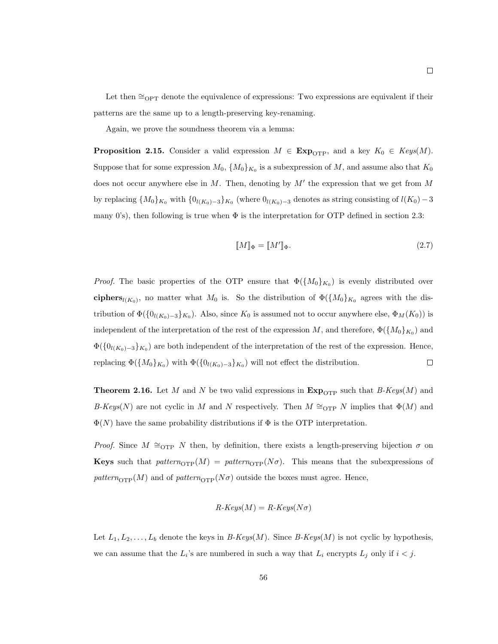Let then  $\cong_{\text{OPT}}$  denote the equivalence of expressions: Two expressions are equivalent if their patterns are the same up to a length-preserving key-renaming.

Again, we prove the soundness theorem via a lemma:

**Proposition 2.15.** Consider a valid expression  $M \in \mathbf{Exp}_{\text{OTP}}$ , and a key  $K_0 \in \text{Keys}(M)$ . Suppose that for some expression  $M_0$ ,  $\{M_0\}_{K_0}$  is a subexpression of M, and assume also that  $K_0$ does not occur anywhere else in  $M$ . Then, denoting by  $M'$  the expression that we get from  $M$ by replacing  ${M_0}_{K_0}$  with  ${0}_{l(K_0)-3}$ ,  $K_0$  (where  ${0}_{l(K_0)-3}$  denotes as string consisting of  $l(K_0)-3$ many 0's), then following is true when  $\Phi$  is the interpretation for OTP defined in section 2.3:

$$
\llbracket M \rrbracket_{\Phi} = \llbracket M' \rrbracket_{\Phi}.\tag{2.7}
$$

*Proof.* The basic properties of the OTP ensure that  $\Phi({M_0}_{K_0})$  is evenly distributed over ciphers<sub>l(K<sub>0</sub>)</sub>, no matter what  $M_0$  is. So the distribution of  $\Phi({M_0})_{K_0}$  agrees with the distribution of  $\Phi(\{0_{l(K_0)-3}\}_{K_0})$ . Also, since  $K_0$  is assumed not to occur anywhere else,  $\Phi_M(K_0)$  is independent of the interpretation of the rest of the expression M, and therefore,  $\Phi({M_0}_{K_0})$  and  $\Phi(\{0_{l(K_0)-3}\}_{K_0})$  are both independent of the interpretation of the rest of the expression. Hence,  $\Box$ replacing  $\Phi({M_0}_{K_0})$  with  $\Phi({0_{l(K_0)-3}}_{K_0})$  will not effect the distribution.

**Theorem 2.16.** Let M and N be two valid expressions in  $\text{Exp}_{\text{OTP}}$  such that  $B\text{-}Keys(M)$  and B-Keys(N) are not cyclic in M and N respectively. Then  $M \cong_{\text{OTP}} N$  implies that  $\Phi(M)$  and  $\Phi(N)$  have the same probability distributions if  $\Phi$  is the OTP interpretation.

*Proof.* Since  $M \cong_{\text{OPT}} N$  then, by definition, there exists a length-preserving bijection  $\sigma$  on **Keys** such that  $pattern_{\text{OTP}}(M) = pattern_{\text{OTP}}(N\sigma)$ . This means that the subexpressions of pattern<sub>OTP</sub>(M) and of pattern<sub>OTP</sub>(N $\sigma$ ) outside the boxes must agree. Hence,

$$
R\text{-}Keys(M) = R\text{-}Keys(N\sigma)
$$

Let  $L_1, L_2, \ldots, L_b$  denote the keys in B-Keys(M). Since B-Keys(M) is not cyclic by hypothesis, we can assume that the  $L_i$ 's are numbered in such a way that  $L_i$  encrypts  $L_j$  only if  $i < j$ .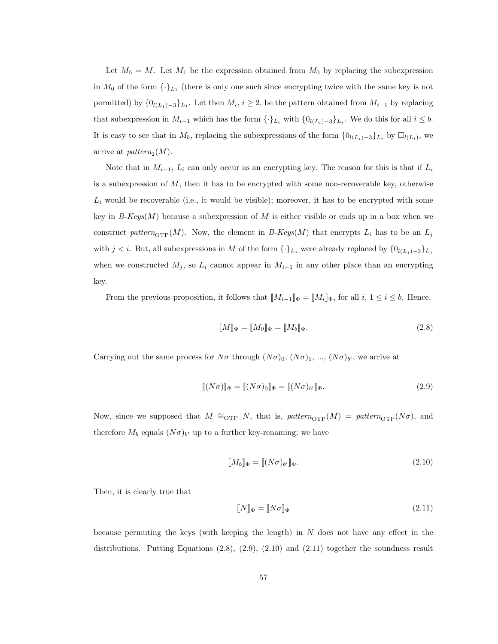Let  $M_0 = M$ . Let  $M_1$  be the expression obtained from  $M_0$  by replacing the subexpression in  $M_0$  of the form  $\{\cdot\}_{L_1}$  (there is only one such since encrypting twice with the same key is not permitted) by  $\{0_{l(L_1)-3}\}_{L_1}$ . Let then  $M_i$ ,  $i \geq 2$ , be the pattern obtained from  $M_{i-1}$  by replacing that subexpression in  $M_{i-1}$  which has the form  $\{\cdot\}_{L_i}$  with  $\{0_{l(L_i)-3}\}_{L_i}$ . We do this for all  $i \leq b$ . It is easy to see that in  $M_b$ , replacing the subexpressions of the form  $\{0_{l(L_i)-3}\}_{L_i}$  by  $\square_{l(L_i)}$ , we arrive at  $pattern_2(M)$ .

Note that in  $M_{i-1}$ ,  $L_i$  can only occur as an encrypting key. The reason for this is that if  $L_i$ is a subexpression of  $M$ , then it has to be encrypted with some non-recoverable key, otherwise  $L_i$  would be recoverable (i.e., it would be visible); moreover, it has to be encrypted with some key in  $B\text{-}Keys(M)$  because a subexpression of M is either visible or ends up in a box when we construct pattern<sub>OTP</sub>(M). Now, the element in B-Keys(M) that encrypts  $L_i$  has to be an  $L_j$ with  $j < i$ . But, all subexpressions in M of the form  $\{\cdot\}_{L_j}$  were already replaced by  $\{0_{l(L_j)-3}\}_{L_j}$ when we constructed  $M_j$ , so  $L_i$  cannot appear in  $M_{i-1}$  in any other place than an encrypting key.

From the previous proposition, it follows that  $\llbracket M_{i-1} \rrbracket_{\Phi} = \llbracket M_i \rrbracket_{\Phi}$ , for all  $i, 1 \leq i \leq b$ . Hence,

$$
\llbracket M \rrbracket_{\Phi} = \llbracket M_0 \rrbracket_{\Phi} = \llbracket M_b \rrbracket_{\Phi}.
$$
\n(2.8)

Carrying out the same process for  $N\sigma$  through  $(N\sigma)_{0}$ ,  $(N\sigma)_{1}$ , ...,  $(N\sigma)_{b'}$ , we arrive at

$$
\llbracket (N\sigma) \rrbracket_{\Phi} = \llbracket (N\sigma)_{0} \rrbracket_{\Phi} = \llbracket (N\sigma)_{b'} \rrbracket_{\Phi}.
$$
\n(2.9)

Now, since we supposed that  $M \cong_{\text{OTP}} N$ , that is,  $pattern_{\text{OTP}}(M) = pattern_{\text{OTP}}(N\sigma)$ , and therefore  $M_b$  equals  $(N\sigma)_{b'}$  up to a further key-renaming; we have

$$
\llbracket M_b \rrbracket_{\Phi} = \llbracket (N\sigma)_{b'} \rrbracket_{\Phi}.
$$
\n(2.10)

Then, it is clearly true that

$$
\llbracket N \rrbracket_{\Phi} = \llbracket N\sigma \rrbracket_{\Phi} \tag{2.11}
$$

because permuting the keys (with keeping the length) in  $N$  does not have any effect in the distributions. Putting Equations  $(2.8), (2.9), (2.10)$  and  $(2.11)$  together the soundness result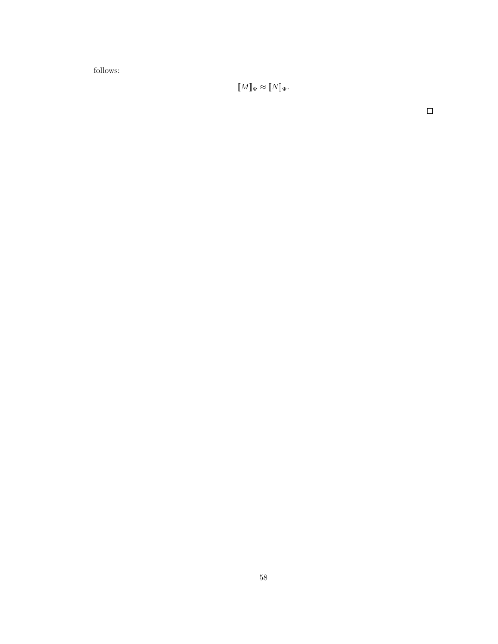follows:

 $[\![M]\!]_{\Phi} \approx [\![N]\!]_{\Phi}.$ 

 $\Box$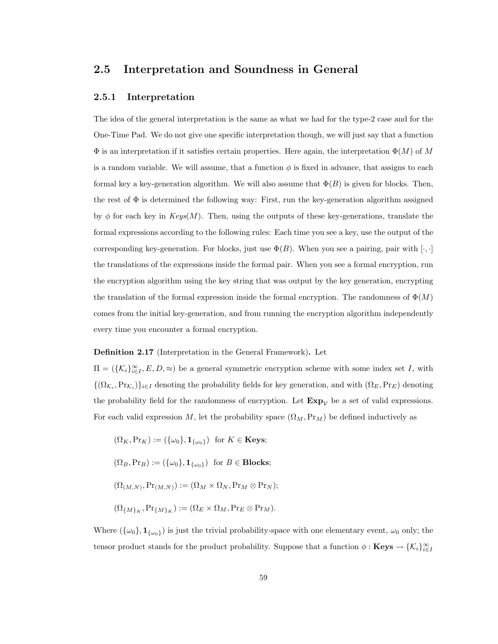## 2.5 Interpretation and Soundness in General

#### 2.5.1 Interpretation

The idea of the general interpretation is the same as what we had for the type-2 case and for the One-Time Pad. We do not give one specific interpretation though, we will just say that a function  $\Phi$  is an interpretation if it satisfies certain properties. Here again, the interpretation  $\Phi(M)$  of M is a random variable. We will assume, that a function  $\phi$  is fixed in advance, that assigns to each formal key a key-generation algorithm. We will also assume that  $\Phi(B)$  is given for blocks. Then, the rest of  $\Phi$  is determined the following way: First, run the key-generation algorithm assigned by φ for each key in  $Keys(M)$ . Then, using the outputs of these key-generations, translate the formal expressions according to the following rules: Each time you see a key, use the output of the corresponding key-generation. For blocks, just use  $\Phi(B)$ . When you see a pairing, pair with  $[\cdot, \cdot]$ the translations of the expressions inside the formal pair. When you see a formal encryption, run the encryption algorithm using the key string that was output by the key generation, encrypting the translation of the formal expression inside the formal encryption. The randomness of  $\Phi(M)$ comes from the initial key-generation, and from running the encryption algorithm independently every time you encounter a formal encryption.

#### Definition 2.17 (Interpretation in the General Framework). Let

 $\Pi = (\{\mathcal{K}_i\}_{i\in I}^{\infty}, E, D, \approx)$  be a general symmetric encryption scheme with some index set I, with  $\{(\Omega_{\mathcal{K}_i},Pr_{\mathcal{K}_i})\}_{i\in I}$  denoting the probability fields for key generation, and with  $(\Omega_E,Pr_E)$  denoting the probability field for the randomness of encryption. Let  $\mathbf{Exp}_{\mathcal{V}}$  be a set of valid expressions. For each valid expression M, let the probability space  $(\Omega_M, \text{Pr}_M)$  be defined inductively as

 $(\Omega_K, \Pr_K) := (\{\omega_0\}, \mathbf{1}_{\{\omega_0\}})$  for  $K \in \mathbf{Keys};$  $(\Omega_B, \Pr_B) := (\{\omega_0\}, \mathbf{1}_{\{\omega_0\}})$  for  $B \in \mathbf{Blocks};$  $(\Omega_{(M,N)},\Pr_{(M,N)}) := (\Omega_M \times \Omega_N, \Pr_M \otimes \Pr_N);$  $(\Omega_{\{M\}_{K}},\Pr_{\{M\}_{K}}) := (\Omega_{E} \times \Omega_{M},\Pr_{E} \otimes \Pr_{M}).$ 

Where  $(\{\omega_0\}, \mathbf{1}_{\{\omega_0\}})$  is just the trivial probability-space with one elementary event,  $\omega_0$  only; the tensor product stands for the product probability. Suppose that a function  $\phi : \mathbf{Keys} \to \{\mathcal{K}_i\}_{i \in I}^{\infty}$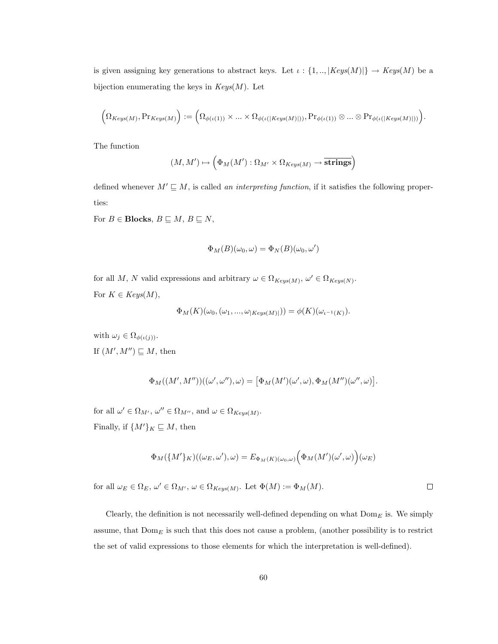is given assigning key generations to abstract keys. Let  $\iota : \{1, \ldots, |Keys(M)|\} \rightarrow Keys(M)$  be a bijection enumerating the keys in  $Keys(M)$ . Let

$$
\Big(\Omega_{Keys(M)},\Pr_{Keys(M)}\Big):=\Big(\Omega_{\phi(\iota(1))}\times\ldots\times\Omega_{\phi(\iota(|Keys(M)|))},\Pr_{\phi(\iota(1))}\otimes\ldots\otimes\Pr_{\phi(\iota(|Keys(M)|))}\Big).
$$

The function

$$
(M, M') \mapsto \left(\Phi_M(M') : \Omega_{M'} \times \Omega_{Keys(M)} \to \overline{\textbf{strings}}\right)
$$

defined whenever  $M' \sqsubseteq M$ , is called an interpreting function, if it satisfies the following properties:

For  $B \in \text{Blocks}, B \sqsubseteq M, B \sqsubseteq N,$ 

$$
\Phi_M(B)(\omega_0, \omega) = \Phi_N(B)(\omega_0, \omega')
$$

for all M, N valid expressions and arbitrary  $\omega \in \Omega_{Keys(M)}, \omega' \in \Omega_{Keys(N)}$ . For  $K \in Keys(M)$ ,

$$
\Phi_M(K)(\omega_0, (\omega_1, ..., \omega_{|Keys(M)|})) = \phi(K)(\omega_{\iota^{-1}(K)}).
$$

with  $\omega_j \in \Omega_{\phi(\iota(j))}$ . If  $(M', M'') \sqsubseteq M$ , then

$$
\Phi_M((M',M''))((\omega',\omega''),\omega) = [\Phi_M(M')(\omega',\omega),\Phi_M(M'')(\omega'',\omega)].
$$

for all  $\omega' \in \Omega_{M'}$ ,  $\omega'' \in \Omega_{M''}$ , and  $\omega \in \Omega_{Keys(M)}$ . Finally, if  $\{M'\}_K \sqsubseteq M$ , then

$$
\Phi_M(\{M'\}_K)((\omega_E, \omega'), \omega) = E_{\Phi_M(K)(\omega_0, \omega)} \Bigl(\Phi_M(M')(\omega', \omega)\Bigr)(\omega_E)
$$

for all  $\omega_E \in \Omega_E$ ,  $\omega' \in \Omega_{M'}$ ,  $\omega \in \Omega_{Keys(M)}$ . Let  $\Phi(M) := \Phi_M(M)$ .  $\Box$ 

Clearly, the definition is not necessarily well-defined depending on what  $Dom_E$  is. We simply assume, that  $Dom_E$  is such that this does not cause a problem, (another possibility is to restrict the set of valid expressions to those elements for which the interpretation is well-defined).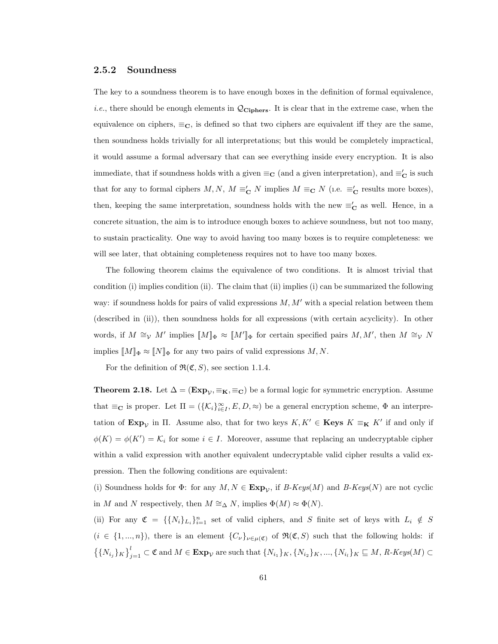#### 2.5.2 Soundness

The key to a soundness theorem is to have enough boxes in the definition of formal equivalence, *i.e.*, there should be enough elements in  $\mathcal{Q}_{Ciphers}$ . It is clear that in the extreme case, when the equivalence on ciphers,  $\equiv_{\mathbf{C}}$ , is defined so that two ciphers are equivalent iff they are the same, then soundness holds trivially for all interpretations; but this would be completely impractical, it would assume a formal adversary that can see everything inside every encryption. It is also immediate, that if soundness holds with a given  $\equiv_{\mathbf{C}}$  (and a given interpretation), and  $\equiv'_{\mathbf{C}}$  is such that for any to formal ciphers  $M, N, M \equiv_{\mathbf{C}}' N$  implies  $M \equiv_{\mathbf{C}} N$  (i.e.  $\equiv_{\mathbf{C}}'$  results more boxes), then, keeping the same interpretation, soundness holds with the new  $\equiv'_{\mathbf{C}}$  as well. Hence, in a concrete situation, the aim is to introduce enough boxes to achieve soundness, but not too many, to sustain practicality. One way to avoid having too many boxes is to require completeness: we will see later, that obtaining completeness requires not to have too many boxes.

The following theorem claims the equivalence of two conditions. It is almost trivial that condition (i) implies condition (ii). The claim that (ii) implies (i) can be summarized the following way: if soundness holds for pairs of valid expressions  $M, M'$  with a special relation between them (described in (ii)), then soundness holds for all expressions (with certain acyclicity). In other words, if  $M \cong_{\mathcal{V}} M'$  implies  $[M]_{\Phi} \approx [M']_{\Phi}$  for certain specified pairs  $M, M'$ , then  $M \cong_{\mathcal{V}} N$ implies  $[M]_{\Phi} \approx [N]_{\Phi}$  for any two pairs of valid expressions M, N.

For the definition of  $\mathfrak{R}(\mathfrak{C},S)$ , see section 1.1.4.

**Theorem 2.18.** Let  $\Delta = (\mathbf{Exp}_{\mathcal{V}}, \equiv_{\mathbf{K}}, \equiv_{\mathbf{C}})$  be a formal logic for symmetric encryption. Assume that  $\equiv_{\mathbf{C}}$  is proper. Let  $\Pi = (\{\mathcal{K}_i\}_{i\in I}^{\infty}, E, D, \approx)$  be a general encryption scheme,  $\Phi$  an interpretation of  $\mathbf{Exp}_{\mathcal{V}}$  in  $\Pi$ . Assume also, that for two keys  $K, K' \in \mathbf{Keys}$   $K \equiv_K K'$  if and only if  $\phi(K) = \phi(K') = \mathcal{K}_i$  for some  $i \in I$ . Moreover, assume that replacing an undecryptable cipher within a valid expression with another equivalent undecryptable valid cipher results a valid expression. Then the following conditions are equivalent:

(i) Soundness holds for  $\Phi$ : for any  $M, N \in \mathbf{Exp}_{\mathcal{V}}$ , if  $B\text{-}Keys(M)$  and  $B\text{-}Keys(N)$  are not cyclic in  $M$  and  $N$  respectively, then  $M \cong_{\Delta} N,$  implies  $\Phi(M) \approx \Phi(N).$ 

(ii) For any  $\mathfrak{C} = \{ \{N_i\}_{L_i} \}_{i=1}^n$  set of valid ciphers, and S finite set of keys with  $L_i \notin S$  $(i \in \{1, ..., n\})$ , there is an element  $\{C_{\nu}\}_{\nu \in \mu(\mathfrak{C})}$  of  $\mathfrak{R}(\mathfrak{C}, S)$  such that the following holds: if  $\{ \{ N_{i_j} \}_{K} \}_{j=1}^l \subset \mathfrak{C}$  and  $M \in \mathbf{Exp}_{\mathcal{V}}$  are such that  $\{ N_{i_1} \}_{K}, \{ N_{i_2} \}_{K}, ..., \{ N_{i_l} \}_{K} \sqsubseteq M$ ,  $R$ -Keys $(M) \subset$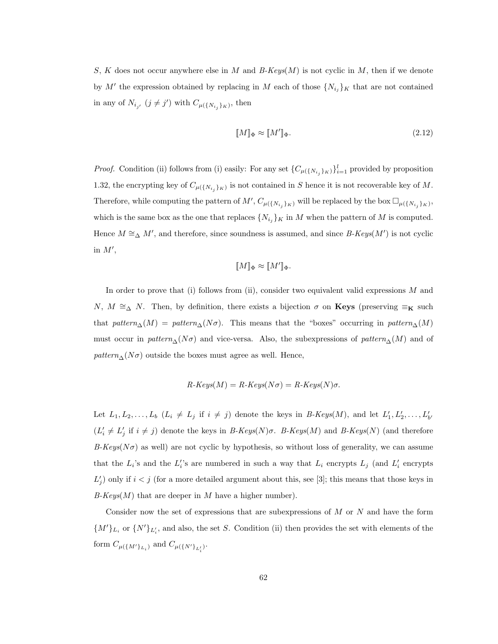S, K does not occur anywhere else in M and  $B-Keys(M)$  is not cyclic in M, then if we denote by M' the expression obtained by replacing in M each of those  $\{N_{i_j}\}_K$  that are not contained in any of  $N_{i_{j'}}$   $(j \neq j')$  with  $C_{\mu(\lbrace N_{i_j} \rbrace_K)}$ , then

$$
\llbracket M \rrbracket_{\Phi} \approx \llbracket M' \rrbracket_{\Phi}.\tag{2.12}
$$

*Proof.* Condition (ii) follows from (i) easily: For any set  $\{C_{\mu(\{N_{i_j}\}_K)}\}_{i=1}^l$  provided by proposition 1.32, the encrypting key of  $C_{\mu(\{N_{i_j}\}_K)}$  is not contained in S hence it is not recoverable key of M. Therefore, while computing the pattern of  $M', C_{\mu(\{N_{i_j}\}_K)}$  will be replaced by the box  $\Box_{\mu(\{N_{i_j}\}_K)}$ , which is the same box as the one that replaces  $\{N_{i_j}\}_K$  in M when the pattern of M is computed. Hence  $M \cong_{\Delta} M'$ , and therefore, since soundness is assumed, and since B-Keys(M') is not cyclic in  $M'$ ,

$$
[\![M]\!]_{\Phi} \approx [\![M']\!]_{\Phi}.
$$

In order to prove that (i) follows from (ii), consider two equivalent valid expressions  $M$  and N,  $M \cong_{\Delta} N$ . Then, by definition, there exists a bijection  $\sigma$  on **Keys** (preserving  $\equiv_{\mathbf{K}}$  such that pattern<sub>∆</sub>(M) = pattern<sub>∆</sub>(N $\sigma$ ). This means that the "boxes" occurring in pattern<sub>∆</sub>(M) must occur in  $pattern_{\Delta}(N\sigma)$  and vice-versa. Also, the subexpressions of  $pattern_{\Delta}(M)$  and of  $pattern_{\Delta}(N\sigma)$  outside the boxes must agree as well. Hence,

$$
R\text{-}Keys(M) = R\text{-}Keys(N\sigma) = R\text{-}Keys(N)\sigma.
$$

Let  $L_1, L_2, \ldots, L_b$   $(L_i \neq L_j \text{ if } i \neq j)$  denote the keys in B-Keys(M), and let  $L'_1, L'_2, \ldots, L'_{b'}$  $(L'_i \neq L'_j \text{ if } i \neq j)$  denote the keys in B-Keys(N) $\sigma$ . B-Keys(M) and B-Keys(N) (and therefore  $B-Keys(N\sigma)$  as well) are not cyclic by hypothesis, so without loss of generality, we can assume that the  $L_i$ 's and the  $L_i'$ 's are numbered in such a way that  $L_i$  encrypts  $L_j$  (and  $L_i'$  encrypts  $L'_{j}$  only if  $i < j$  (for a more detailed argument about this, see [3]; this means that those keys in  $B-Keys(M)$  that are deeper in M have a higher number).

Consider now the set of expressions that are subexpressions of  $M$  or  $N$  and have the form  $\{M'\}_{L_i}$  or  $\{N'\}_{L'_i}$ , and also, the set S. Condition (ii) then provides the set with elements of the form  $C_{\mu({M'}_l L_i)}$  and  $C_{\mu({N'}_l L'_i)}$ .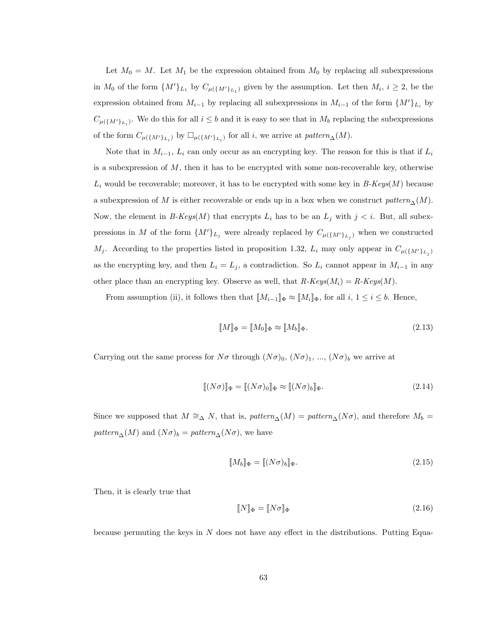Let  $M_0 = M$ . Let  $M_1$  be the expression obtained from  $M_0$  by replacing all subexpressions in  $M_0$  of the form  $\{M'\}_{L_1}$  by  $C_{\mu(\{M'\}_{L_1})}$  given by the assumption. Let then  $M_i$ ,  $i \geq 2$ , be the expression obtained from  $M_{i-1}$  by replacing all subexpressions in  $M_{i-1}$  of the form  $\{M'\}_{L_i}$  by  $C_{\mu(\lbrace M' \rbrace_{L_i})}$ . We do this for all  $i \leq b$  and it is easy to see that in  $M_b$  replacing the subexpressions of the form  $C_{\mu({M'}_L_i)}$  by  $\Box_{\mu({M'}_L_i)}$  for all *i*, we arrive at *pattern*<sub>△</sub>(*M*).

Note that in  $M_{i-1}$ ,  $L_i$  can only occur as an encrypting key. The reason for this is that if  $L_i$ is a subexpression of  $M$ , then it has to be encrypted with some non-recoverable key, otherwise  $L_i$  would be recoverable; moreover, it has to be encrypted with some key in  $B\text{-}Keys(M)$  because a subexpression of M is either recoverable or ends up in a box when we construct  $pattern_\Delta(M)$ . Now, the element in B-Keys(M) that encrypts  $L_i$  has to be an  $L_j$  with  $j < i$ . But, all subexpressions in M of the form  $\{M'\}_{L_j}$  were already replaced by  $C_{\mu(\{M'\}_{L_j})}$  when we constructed  $M_j$ . According to the properties listed in proposition 1.32,  $L_i$  may only appear in  $C_{\mu(\lbrace M' \rbrace_{L_j})}$ as the encrypting key, and then  $L_i = L_j$ , a contradiction. So  $L_i$  cannot appear in  $M_{i-1}$  in any other place than an encrypting key. Observe as well, that  $R\text{-}Keys(M_i) = R\text{-}Keys(M)$ .

From assumption (ii), it follows then that  $\llbracket M_{i-1} \rrbracket_{\Phi} \approx \llbracket M_i \rrbracket_{\Phi}$ , for all  $i, 1 \leq i \leq b$ . Hence,

$$
\llbracket M \rrbracket_{\Phi} = \llbracket M_0 \rrbracket_{\Phi} \approx \llbracket M_b \rrbracket_{\Phi}.
$$
\n(2.13)

Carrying out the same process for  $N\sigma$  through  $(N\sigma)_0$ ,  $(N\sigma)_1$ , ...,  $(N\sigma)_b$  we arrive at

$$
[[(N\sigma)]]_{\Phi} = [[N\sigma]_{0}]_{\Phi} \approx [[(N\sigma)_{b}]_{\Phi}.
$$
\n(2.14)

Since we supposed that  $M \cong_{\Delta} N$ , that is,  $pattern_{\Delta}(M) = pattern_{\Delta}(N\sigma)$ , and therefore  $M_b =$ pattern<sub>∆</sub>(*M*) and  $(N\sigma)_b = pattern_{\Delta}(N\sigma)$ , we have

$$
\llbracket M_b \rrbracket_{\Phi} = \llbracket (N\sigma)_b \rrbracket_{\Phi}.
$$
\n(2.15)

Then, it is clearly true that

$$
\llbracket N \rrbracket_{\Phi} = \llbracket N\sigma \rrbracket_{\Phi} \tag{2.16}
$$

because permuting the keys in  $N$  does not have any effect in the distributions. Putting Equa-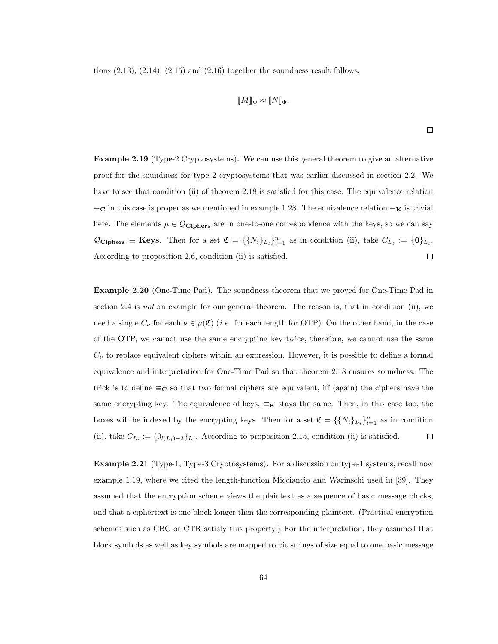tions  $(2.13)$ ,  $(2.14)$ ,  $(2.15)$  and  $(2.16)$  together the soundness result follows:

$$
\llbracket M \rrbracket_{\Phi} \approx \llbracket N \rrbracket_{\Phi}.
$$

 $\Box$ 

Example 2.19 (Type-2 Cryptosystems). We can use this general theorem to give an alternative proof for the soundness for type 2 cryptosystems that was earlier discussed in section 2.2. We have to see that condition (ii) of theorem 2.18 is satisfied for this case. The equivalence relation  $\equiv_{\mathbf{C}}$  in this case is proper as we mentioned in example 1.28. The equivalence relation  $\equiv_{\mathbf{K}}$  is trivial here. The elements  $\mu \in \mathcal{Q}_{\text{Ciphers}}$  are in one-to-one correspondence with the keys, so we can say  $\mathcal{Q}_{\text{Ciphers}} \equiv \text{Keys.}$  Then for a set  $\mathfrak{C} = \{ \{N_i\}_{L_i} \}_{i=1}^n$  as in condition (ii), take  $C_{L_i} := \{0\}_{L_i}$ .  $\Box$ According to proposition 2.6, condition (ii) is satisfied.

Example 2.20 (One-Time Pad). The soundness theorem that we proved for One-Time Pad in section 2.4 is not an example for our general theorem. The reason is, that in condition (ii), we need a single  $C_{\nu}$  for each  $\nu \in \mu(\mathfrak{C})$  (*i.e.* for each length for OTP). On the other hand, in the case of the OTP, we cannot use the same encrypting key twice, therefore, we cannot use the same  $C_{\nu}$  to replace equivalent ciphers within an expression. However, it is possible to define a formal equivalence and interpretation for One-Time Pad so that theorem 2.18 ensures soundness. The trick is to define  $\equiv_{\mathbb{C}}$  so that two formal ciphers are equivalent, iff (again) the ciphers have the same encrypting key. The equivalence of keys,  $\equiv_{\mathbf{K}}$  stays the same. Then, in this case too, the boxes will be indexed by the encrypting keys. Then for a set  $\mathfrak{C} = \{\{N_i\}_{L_i}\}_{i=1}^n$  as in condition (ii), take  $C_{L_i} := \{0_{l(L_i)-3}\}_{L_i}$ . According to proposition 2.15, condition (ii) is satisfied.  $\Box$ 

Example 2.21 (Type-1, Type-3 Cryptosystems). For a discussion on type-1 systems, recall now example 1.19, where we cited the length-function Micciancio and Warinschi used in [39]. They assumed that the encryption scheme views the plaintext as a sequence of basic message blocks, and that a ciphertext is one block longer then the corresponding plaintext. (Practical encryption schemes such as CBC or CTR satisfy this property.) For the interpretation, they assumed that block symbols as well as key symbols are mapped to bit strings of size equal to one basic message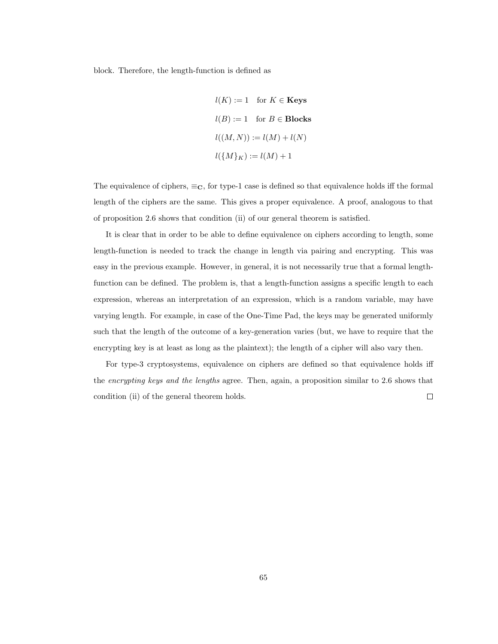block. Therefore, the length-function is defined as

$$
l(K) := 1 \quad \text{for } K \in \textbf{Keys}
$$

$$
l(B) := 1 \quad \text{for } B \in \textbf{Blocks}
$$

$$
l((M, N)) := l(M) + l(N)
$$

$$
l(\{M\}_K) := l(M) + 1
$$

The equivalence of ciphers,  $\equiv_{\mathbf{C}}$ , for type-1 case is defined so that equivalence holds iff the formal length of the ciphers are the same. This gives a proper equivalence. A proof, analogous to that of proposition 2.6 shows that condition (ii) of our general theorem is satisfied.

It is clear that in order to be able to define equivalence on ciphers according to length, some length-function is needed to track the change in length via pairing and encrypting. This was easy in the previous example. However, in general, it is not necessarily true that a formal lengthfunction can be defined. The problem is, that a length-function assigns a specific length to each expression, whereas an interpretation of an expression, which is a random variable, may have varying length. For example, in case of the One-Time Pad, the keys may be generated uniformly such that the length of the outcome of a key-generation varies (but, we have to require that the encrypting key is at least as long as the plaintext); the length of a cipher will also vary then.

For type-3 cryptosystems, equivalence on ciphers are defined so that equivalence holds iff the encrypting keys and the lengths agree. Then, again, a proposition similar to 2.6 shows that condition (ii) of the general theorem holds.  $\Box$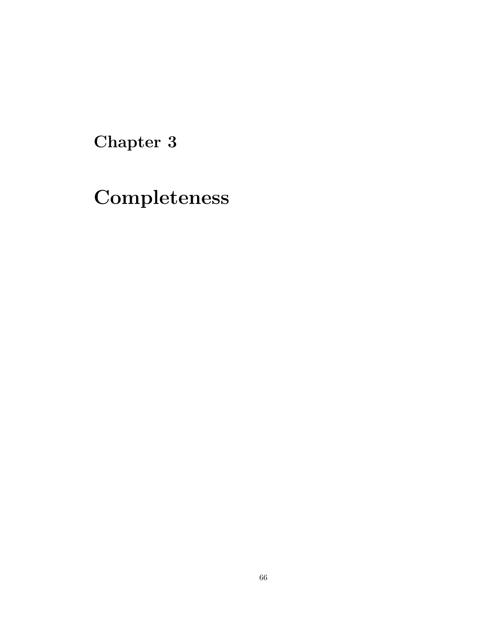Chapter 3

Completeness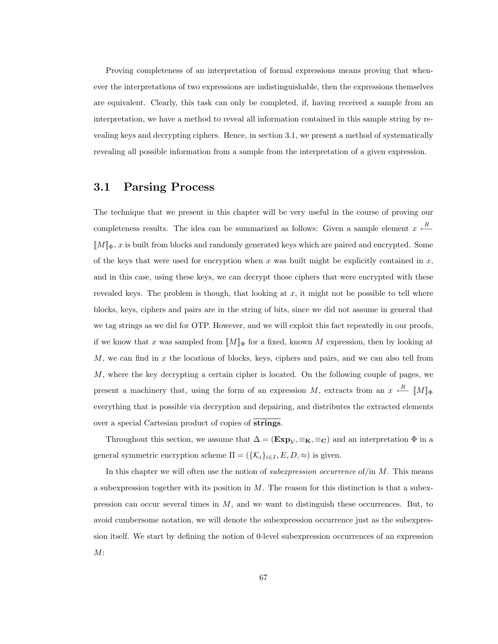Proving completeness of an interpretation of formal expressions means proving that whenever the interpretations of two expressions are indistinguishable, then the expressions themselves are equivalent. Clearly, this task can only be completed, if, having received a sample from an interpretation, we have a method to reveal all information contained in this sample string by revealing keys and decrypting ciphers. Hence, in section 3.1, we present a method of systematically revealing all possible information from a sample from the interpretation of a given expression.

### 3.1 Parsing Process

The technique that we present in this chapter will be very useful in the course of proving our completeness results. The idea can be summarized as follows: Given a sample element  $x \stackrel{R}{\longleftarrow}$  $\llbracket M \rrbracket_{\Phi}$ , x is built from blocks and randomly generated keys which are paired and encrypted. Some of the keys that were used for encryption when x was built might be explicitly contained in  $x$ , and in this case, using these keys, we can decrypt those ciphers that were encrypted with these revealed keys. The problem is though, that looking at  $x$ , it might not be possible to tell where blocks, keys, ciphers and pairs are in the string of bits, since we did not assume in general that we tag strings as we did for OTP. However, and we will exploit this fact repeatedly in our proofs, if we know that x was sampled from  $\llbracket M \rrbracket_{\Phi}$  for a fixed, known M expression, then by looking at  $M$ , we can find in x the locations of blocks, keys, ciphers and pairs, and we can also tell from M, where the key decrypting a certain cipher is located. On the following couple of pages, we present a machinery that, using the form of an expression M, extracts from an  $x \stackrel{R}{\longleftarrow} [M]_{\Phi}$ everything that is possible via decryption and depairing, and distributes the extracted elements over a special Cartesian product of copies of strings.

Throughout this section, we assume that  $\Delta = (\mathbf{Exp}_{\mathcal{V}}, \equiv_{\mathbf{K}}, \equiv_{\mathbf{C}})$  and an interpretation  $\Phi$  in a general symmetric encryption scheme  $\Pi = (\{\mathcal{K}_i\}_{i \in I}, E, D, \approx)$  is given.

In this chapter we will often use the notion of *subexpression occurrence* of/in  $M$ . This means a subexpression together with its position in  $M$ . The reason for this distinction is that a subexpression can occur several times in M, and we want to distinguish these occurrences. But, to avoid cumbersome notation, we will denote the subexpression occurrence just as the subexpression itself. We start by defining the notion of 0-level subexpression occurrences of an expression  $M$ :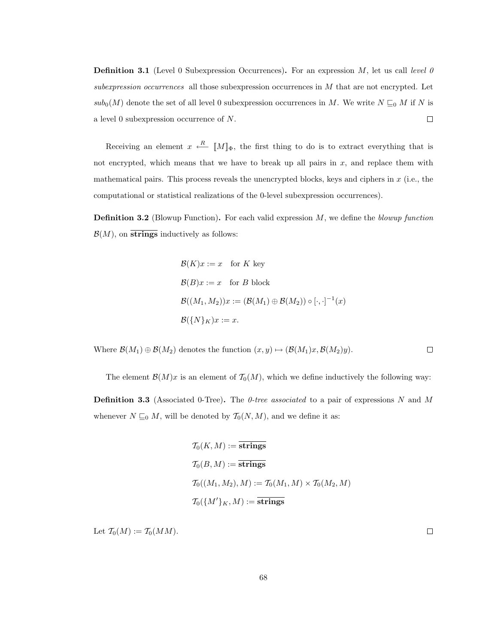**Definition 3.1** (Level 0 Subexpression Occurrences). For an expression  $M$ , let us call level 0 subexpression occurrences all those subexpression occurrences in M that are not encrypted. Let  $sub_0(M)$  denote the set of all level 0 subexpression occurrences in M. We write  $N \sqsubseteq_0 M$  if N is a level 0 subexpression occurrence of N.  $\Box$ 

Receiving an element  $x \stackrel{R}{\longleftarrow} [M]_{\Phi}$ , the first thing to do is to extract everything that is not encrypted, which means that we have to break up all pairs in  $x$ , and replace them with mathematical pairs. This process reveals the unencrypted blocks, keys and ciphers in x (i.e., the computational or statistical realizations of the 0-level subexpression occurrences).

**Definition 3.2** (Blowup Function). For each valid expression  $M$ , we define the blowup function  $\mathcal{B}(M)$ , on strings inductively as follows:

$$
\mathcal{B}(K)x := x \text{ for } K \text{ key}
$$
  
\n
$$
\mathcal{B}(B)x := x \text{ for } B \text{ block}
$$
  
\n
$$
\mathcal{B}((M_1, M_2))x := (\mathcal{B}(M_1) \oplus \mathcal{B}(M_2)) \circ [\cdot, \cdot]^{-1}(x)
$$
  
\n
$$
\mathcal{B}(\{N\}_K)x := x.
$$

Where  $\mathcal{B}(M_1) \oplus \mathcal{B}(M_2)$  denotes the function  $(x, y) \mapsto (\mathcal{B}(M_1)x, \mathcal{B}(M_2)y)$ .  $\Box$ 

The element  $\mathcal{B}(M)x$  is an element of  $\mathcal{T}_0(M)$ , which we define inductively the following way:

**Definition 3.3** (Associated 0-Tree). The 0-tree associated to a pair of expressions N and M whenever  $N \sqsubseteq_0 M$ , will be denoted by  $\mathcal{T}_0(N, M)$ , and we define it as:

$$
T_0(K, M) := \overline{\text{strings}}
$$
  
\n
$$
T_0(B, M) := \overline{\text{strings}}
$$
  
\n
$$
T_0((M_1, M_2), M) := T_0(M_1, M) \times T_0(M_2, M)
$$
  
\n
$$
T_0(\{M'\}_K, M) := \overline{\text{strings}}
$$

Let  $\mathcal{T}_0(M) := \mathcal{T}_0(MM)$ .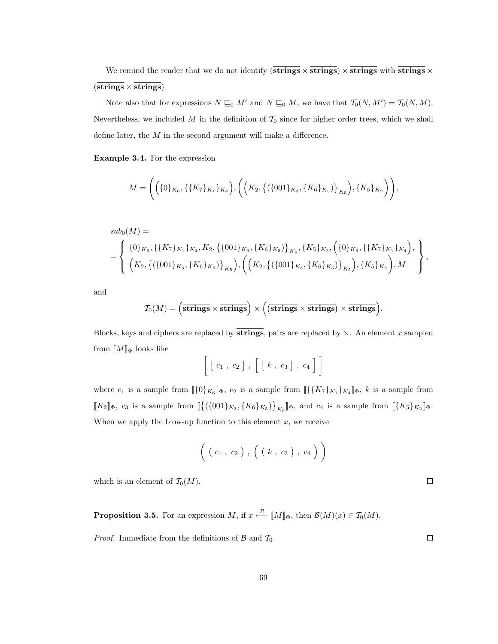We remind the reader that we do not identify (strings  $\times$  strings)  $\times$  strings with strings  $\times$  $(strings \times strings)$ 

Note also that for expressions  $N \sqsubseteq_0 M'$  and  $N \sqsubseteq_0 M$ , we have that  $\mathcal{T}_0(N, M') = \mathcal{T}_0(N, M)$ . Nevertheless, we included  $M$  in the definition of  $\mathcal{T}_0$  since for higher order trees, which we shall define later, the M in the second argument will make a difference.

Example 3.4. For the expression

$$
M = \Bigg(\Big(\{0\}_{K_6}, \{\{K_7\}_{K_1}\}_{K_4}\Big), \Bigg(\Big(K_2, \big\{\left(\{001\}_{K_3}, \{K_6\}_{K_5}\right)\}_{K_5}\Big), \{K_5\}_{K_2}\Bigg)\Bigg),
$$

$$
sub_{0}(M) = \begin{cases} \{0\}_{K_{6}}, \{\{K_{7}\}_{K_{1}}\}_{K_{4}}, K_{2}, \{\{001\}_{K_{3}}, \{K_{6}\}_{K_{5}}\}\}_{K_{5}}, \{K_{5}\}_{K_{2}}, \left(\{0\}_{K_{6}}, \{\{K_{7}\}_{K_{1}}\}_{K_{4}}\right), \\ \left(K_{2}, \{\{\{001\}_{K_{3}}, \{K_{6}\}_{K_{5}}\}\}_{K_{5}}\right), \left(\left(K_{2}, \{\{\{001\}_{K_{3}}, \{K_{6}\}_{K_{5}}\}\}_{K_{5}}\right), \{K_{5}\}_{K_{2}}\right), M \end{cases},
$$

and

$$
\mathcal{T}_0(M)=\left(\overline{\text{strings}}\times\overline{\text{strings}}\right)\times\Big(\big(\overline{\text{strings}}\times\overline{\text{strings}}\big)\times\overline{\text{strings}}\Big).
$$

Blocks, keys and ciphers are replaced by strings, pairs are replaced by  $\times$ . An element x sampled from  $\llbracket M \rrbracket_{\Phi}$  looks like

$$
\left[ \begin{array}{c} c_1, c_2 \end{array} \right], \begin{array}{c} c_1, c_3 \end{array} \right], c_4 \right]
$$

where  $c_1$  is a sample from  $[\![\{0\}_{K_6}]\!]_{\Phi}$ ,  $c_2$  is a sample from  $[\![\{K_7\}_{K_1}]\}_{K_4}]\!]_{\Phi}$ , k is a sample from  $[[K_2]]_{\Phi}$ ,  $c_3$  is a sample from  $\left[ \{ (\{001\}_{K_3}, \{K_6\}_{K_5}) \}_{K_5} \right]_{\Phi}$ , and  $c_4$  is a sample from  $\left[ \{K_5\}_{K_2} \right]_{\Phi}$ . When we apply the blow-up function to this element  $x$ , we receive

$$
\Big( \; (c_1 \; , \; c_2 \; ) \; , \; \Big( \; ( \; k \; , \; c_3 \; ) \; , \; c_4 \; \Big) \; \Big)
$$

which is an element of  $\mathcal{T}_0(M)$ .

**Proposition 3.5.** For an expression M, if  $x \stackrel{R}{\longleftarrow} [M]_{\Phi}$ , then  $\mathcal{B}(M)(x) \in \mathcal{T}_0(M)$ .

*Proof.* Immediate from the definitions of  $\beta$  and  $\mathcal{T}_0$ .

 $\Box$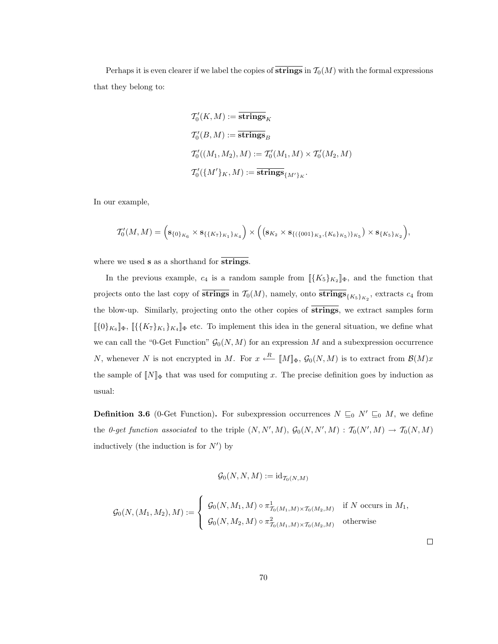Perhaps it is even clearer if we label the copies of  $\overline{\text{strings}}$  in  $\mathcal{T}_0(M)$  with the formal expressions that they belong to:

$$
T'_{0}(K, M) := \overline{\text{strings}}_{K}
$$
  
\n
$$
T'_{0}(B, M) := \overline{\text{strings}}_{B}
$$
  
\n
$$
T'_{0}((M_{1}, M_{2}), M) := T'_{0}(M_{1}, M) \times T'_{0}(M_{2}, M)
$$
  
\n
$$
T'_{0}(\{M'\}_{K}, M) := \overline{\text{strings}}_{\{M'\}_{K}}.
$$

In our example,

$$
T'_{0}(M,M) = \left(\mathbf{s}_{\{0\}_{K_{6}}}\times\mathbf{s}_{\{\{K_{7}\}_{K_{1}}\}_{K_{4}}}\right)\times\left(\left(\mathbf{s}_{K_{2}}\times\mathbf{s}_{\{\{\{001\}_{K_{3}},\{K_{6}\}_{K_{5}}\}_{K_{5}}}\right)\times\mathbf{s}_{\{K_{5}\}_{K_{2}}}\right),
$$

where we used **s** as a shorthand for **strings**.

In the previous example,  $c_4$  is a random sample from  $\langle [K_5]_{K_2} ]_{\Phi}$ , and the function that projects onto the last copy of strings in  $\mathcal{T}_0(M)$ , namely, onto strings $\{K_5\}_{K_2}$ , extracts  $c_4$  from the blow-up. Similarly, projecting onto the other copies of strings, we extract samples form  $\langle [\{0\}_{K_6}]\rangle$ <sub>b</sub>,  $[\{\{K_7\}_{K_1}\}_{K_4}]\rangle$ <sub>b</sub> etc. To implement this idea in the general situation, we define what we can call the "0-Get Function"  $\mathcal{G}_0(N,M)$  for an expression M and a subexpression occurrence N, whenever N is not encrypted in M. For  $x \stackrel{R}{\longleftarrow} [M]_{\Phi}$ ,  $\mathcal{G}_0(N,M)$  is to extract from  $\mathcal{B}(M)x$ the sample of  $[N]_{\Phi}$  that was used for computing x. The precise definition goes by induction as usual:

**Definition 3.6** (0-Get Function). For subexpression occurrences  $N \sqsubseteq_0 N' \sqsubseteq_0 M$ , we define the 0-get function associated to the triple  $(N, N', M)$ ,  $\mathcal{G}_0(N, N', M)$  :  $\mathcal{T}_0(N', M) \to \mathcal{T}_0(N, M)$ inductively (the induction is for  $N'$ ) by

$$
\mathcal{G}_0(N,N,M):=\mathrm{id}_{\mathcal{T}_0(N,M)}
$$

$$
\mathcal{G}_0(N,(M_1,M_2),M) := \begin{cases} \mathcal{G}_0(N,M_1,M) \circ \pi^1_{\mathcal{T}_0(M_1,M) \times \mathcal{T}_0(M_2,M)} & \text{if } N \text{ occurs in } M_1, \\ \mathcal{G}_0(N,M_2,M) \circ \pi^2_{\mathcal{T}_0(M_1,M) \times \mathcal{T}_0(M_2,M)} & \text{otherwise} \end{cases}
$$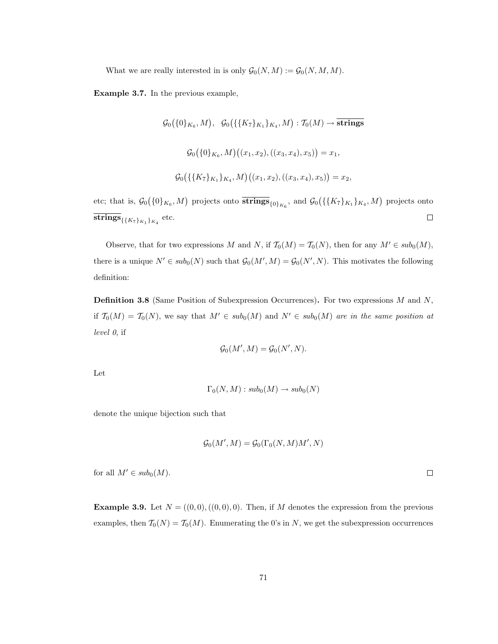What we are really interested in is only  $\mathcal{G}_0(N,M) := \mathcal{G}_0(N,M,M)$ .

Example 3.7. In the previous example,

$$
G_0(\{0\}_{K_6}, M), G_0(\{\{K_7\}_{K_1}\}_{K_4}, M) : T_0(M) \to \overline{\text{strings}}
$$
  

$$
G_0(\{0\}_{K_6}, M) ((x_1, x_2), ((x_3, x_4), x_5)) = x_1,
$$
  

$$
G_0(\{\{K_7\}_{K_1}\}_{K_4}, M) ((x_1, x_2), ((x_3, x_4), x_5)) = x_2,
$$

etc; that is,  $\mathcal{G}_0(\{0\}_{K_6}, M)$  projects onto  $\overline{strings}_{\{0\}_{K_6}}$ , and  $\mathcal{G}_0(\{\{K_7\}_{K_1}\}_{K_4}, M)$  projects onto  $\operatorname{strings}_{\{\{K_7\}_{K_1}\}_{K_4}}$  etc.  $\Box$ 

Observe, that for two expressions M and N, if  $\mathcal{T}_0(M) = \mathcal{T}_0(N)$ , then for any  $M' \in sub_0(M)$ , there is a unique  $N' \in sub_0(N)$  such that  $\mathcal{G}_0(M',M) = \mathcal{G}_0(N',N)$ . This motivates the following definition:

**Definition 3.8** (Same Position of Subexpression Occurrences). For two expressions  $M$  and  $N$ , if  $\mathcal{T}_0(M) = \mathcal{T}_0(N)$ , we say that  $M' \in sub_0(M)$  and  $N' \in sub_0(M)$  are in the same position at level 0, if

$$
\mathcal{G}_0(M',M) = \mathcal{G}_0(N',N).
$$

Let

$$
\Gamma_0(N,M): sub_0(M) \to sub_0(N)
$$

denote the unique bijection such that

$$
\mathcal{G}_0(M',M) = \mathcal{G}_0(\Gamma_0(N,M)M',N)
$$

for all  $M' \in sub_0(M)$ .

**Example 3.9.** Let  $N = ((0,0),((0,0),0)$ . Then, if M denotes the expression from the previous examples, then  $T_0(N) = T_0(M)$ . Enumerating the 0's in N, we get the subexpression occurrences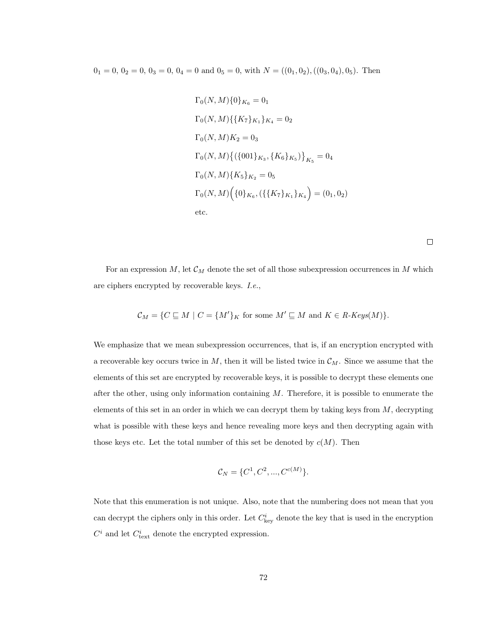$0_1 = 0, 0_2 = 0, 0_3 = 0, 0_4 = 0$  and  $0_5 = 0$ , with  $N = ((0_1, 0_2), ((0_3, 0_4), 0_5)$ . Then

$$
\Gamma_0(N, M) \{0\}_{K_6} = 0_1
$$
  
\n
$$
\Gamma_0(N, M) \{ \{K_7\}_{K_1} \}_{K_4} = 0_2
$$
  
\n
$$
\Gamma_0(N, M) K_2 = 0_3
$$
  
\n
$$
\Gamma_0(N, M) \{ (\{001\}_{K_3}, \{K_6\}_{K_5}) \}_{K_5} = 0_4
$$
  
\n
$$
\Gamma_0(N, M) \{K_5\}_{K_2} = 0_5
$$
  
\n
$$
\Gamma_0(N, M) \{ \{0\}_{K_6}, (\{\{K_7\}_{K_1}\}_{K_4}) = (0_1, 0_2)
$$
  
\netc.

For an expression  $M$ , let  $\mathcal{C}_M$  denote the set of all those subexpression occurrences in M which are ciphers encrypted by recoverable keys. I.e.,

$$
\mathcal{C}_M = \{ C \sqsubseteq M \mid C = \{M'\}_K \text{ for some } M' \sqsubseteq M \text{ and } K \in R\text{-}Keys(M) \}.
$$

We emphasize that we mean subexpression occurrences, that is, if an encryption encrypted with a recoverable key occurs twice in  $M$ , then it will be listed twice in  $\mathcal{C}_M$ . Since we assume that the elements of this set are encrypted by recoverable keys, it is possible to decrypt these elements one after the other, using only information containing  $M$ . Therefore, it is possible to enumerate the elements of this set in an order in which we can decrypt them by taking keys from  $M$ , decrypting what is possible with these keys and hence revealing more keys and then decrypting again with those keys etc. Let the total number of this set be denoted by  $c(M)$ . Then

$$
\mathcal{C}_N = \{C^1, C^2, ..., C^{c(M)}\}.
$$

Note that this enumeration is not unique. Also, note that the numbering does not mean that you can decrypt the ciphers only in this order. Let  $C_{\text{key}}^i$  denote the key that is used in the encryption  $C<sup>i</sup>$  and let  $C<sup>i</sup><sub>text</sub>$  denote the encrypted expression.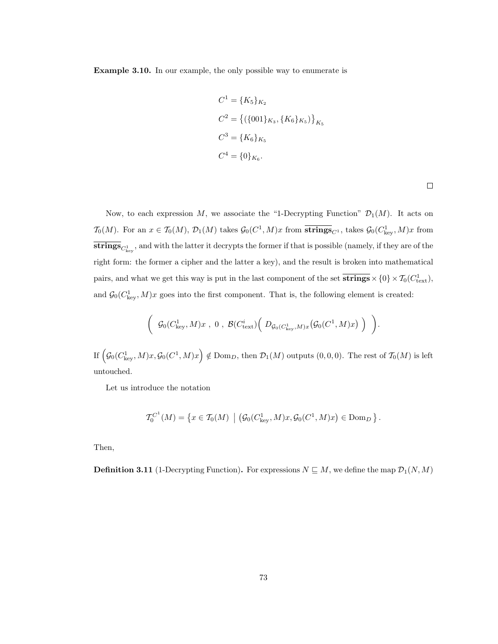Example 3.10. In our example, the only possible way to enumerate is

$$
C^{1} = \{K_{5}\}_{K_{2}}
$$
  
\n
$$
C^{2} = \{(\{001\}_{K_{3}}, \{K_{6}\}_{K_{5}})\}_{K_{5}}
$$
  
\n
$$
C^{3} = \{K_{6}\}_{K_{5}}
$$
  
\n
$$
C^{4} = \{0\}_{K_{6}}.
$$

 $\Box$ 

.

Now, to each expression M, we associate the "1-Decrypting Function"  $\mathcal{D}_1(M)$ . It acts on  $\mathcal{T}_0(M)$ . For an  $x \in \mathcal{T}_0(M)$ ,  $\mathcal{D}_1(M)$  takes  $\mathcal{G}_0(C^1, M)x$  from  $\overline{\textbf{strings}}_{C^1}$ , takes  $\mathcal{G}_0(C^1_{\text{key}}, M)x$  from **strings** $C_{\text{key}}^1$ , and with the latter it decrypts the former if that is possible (namely, if they are of the right form: the former a cipher and the latter a key), and the result is broken into mathematical pairs, and what we get this way is put in the last component of the set  $\overline{strings} \times \{0\} \times T_0(C_{text}^1)$ , and  $\mathcal{G}_0(C_{\text{key}}^1, M)x$  goes into the first component. That is, the following element is created:

$$
\left(\begin{array}{c} \mathcal{G}_0(C_{\mathrm{key}}^1,M)x \ , \ 0 \ , \ \mathcal{B}(C_{\mathrm{text}}^i)\Big(\begin{array}{c} D_{\mathcal{G}_0(C_{\mathrm{key}}^1,M)x}\big(\mathcal{G}_0(C^1,M)x\big) \end{array}\Big) \end{array}\right)
$$

If  $\left(\mathcal{G}_0(C_{\text{key}}^1, M)x, \mathcal{G}_0(C^1, M)x\right) \notin \text{Dom}_D$ , then  $\mathcal{D}_1(M)$  outputs  $(0, 0, 0)$ . The rest of  $\mathcal{T}_0(M)$  is left untouched.

Let us introduce the notation

$$
\mathcal{T}_0^{C^1}(M) = \left\{ x \in \mathcal{T}_0(M) \mid \left( \mathcal{G}_0(C_{\text{key}}^1, M) x, \mathcal{G}_0(C^1, M) x \right) \in \text{Dom}_D \right\}.
$$

Then,

**Definition 3.11** (1-Decrypting Function). For expressions  $N \subseteq M$ , we define the map  $\mathcal{D}_1(N, M)$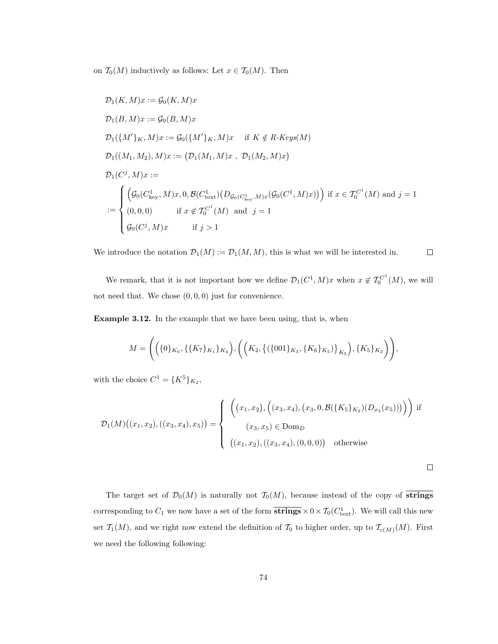on  $\mathcal{T}_0(M)$  inductively as follows: Let  $x \in \mathcal{T}_0(M)$ . Then

$$
D_1(K, M)x := \mathcal{G}_0(K, M)x
$$
  
\n
$$
D_1(B, M)x := \mathcal{G}_0(B, M)x
$$
  
\n
$$
D_1(\{M'\}_K, M)x := \mathcal{G}_0(\{M'\}_K, M)x \text{ if } K \notin R \text{-}Keys(M)
$$
  
\n
$$
D_1((M_1, M_2), M)x := (D_1(M_1, M)x, D_1(M_2, M)x)
$$
  
\n
$$
D_1(C^j, M)x :=
$$
  
\n
$$
\mathcal{G}_0(C^1_{\text{key}}, M)x, 0, \mathcal{B}(C^1_{\text{text}})(D_{\mathcal{G}_0(C^1_{\text{key}}, M)x}(\mathcal{G}_0(C^1, M)x)) \text{ if } x \in \mathcal{T}_0^{C^1}(M) \text{ and } j = 1
$$
  
\n
$$
:= \begin{cases} \left( \mathcal{G}_0(C^1_{\text{key}}, M)x, 0, \mathcal{B}(C^1_{\text{text}})(D_{\mathcal{G}_0(C^1_{\text{key}}, M)x}(\mathcal{G}_0(C^1, M)x)) \right) \text{ if } x \in \mathcal{T}_0^{C^1}(M) \text{ and } j = 1 \\ \mathcal{G}_0(C^j, M)x \text{ if } j > 1 \end{cases}
$$

We introduce the notation  $\mathcal{D}_1(M) := \mathcal{D}_1(M, M)$ , this is what we will be interested in.  $\Box$ 

We remark, that it is not important how we define  $\mathcal{D}_1(C^1, M)x$  when  $x \notin \mathcal{T}_0^{C^1}(M)$ , we will not need that. We chose  $(0, 0, 0)$  just for convenience.

Example 3.12. In the example that we have been using, that is, when

$$
M = \Bigg(\Big(\{0\}_{K_6}, \{\{K_7\}_{K_1}\}_{K_4}\Big), \Bigg(\Big(K_2, \big\{\{\{001\}_{K_3}, \{K_6\}_{K_5}\}\Big\}_{K_5}\Big), \{K_5\}_{K_2}\Bigg)\Bigg),
$$

with the choice  $C^1 = \{K^5\}_{K_2}$ ,

$$
\mathcal{D}_1(M)\big((x_1, x_2), ((x_3, x_4), x_5)\big) = \begin{cases} \left( \left( x_1, x_2 \right), \left( (x_3, x_4), (x_3, 0, \mathcal{B}(\{K_5\}_{K_2})(D_{x_3}(x_5))) \right) \right) \text{ if } \\ (x_3, x_5) \in \text{Dom}_D \\ \left( (x_1, x_2), ((x_3, x_4), (0, 0, 0)) \right) \text{ otherwise } \end{cases}
$$

 $\Box$ 

The target set of  $\mathcal{D}_0(M)$  is naturally not  $\mathcal{T}_0(M)$ , because instead of the copy of strings corresponding to  $C_1$  we now have a set of the form  $\overline{strings} \times 0 \times T_0(C_{text}^1)$ . We will call this new set  $\mathcal{T}_1(M)$ , and we right now extend the definition of  $\mathcal{T}_0$  to higher order, up to  $\mathcal{T}_{c(M)}(M)$ . First we need the following following: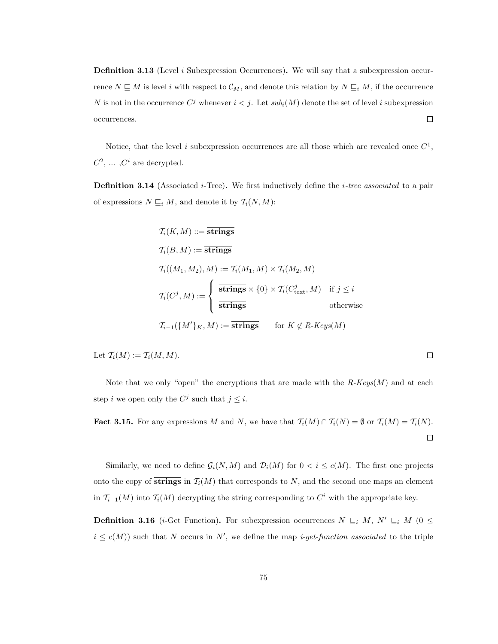**Definition 3.13** (Level *i* Subexpression Occurrences). We will say that a subexpression occurrence  $N \subseteq M$  is level i with respect to  $\mathcal{C}_M$ , and denote this relation by  $N \subseteq_i M$ , if the occurrence N is not in the occurrence  $C^j$  whenever  $i < j$ . Let  $sub_i(M)$  denote the set of level i subexpression  $\Box$ occurrences.

Notice, that the level i subexpression occurrences are all those which are revealed once  $C^1$ ,  $C^2$ , ...,  $C^i$  are decrypted.

**Definition 3.14** (Associated *i*-Tree). We first inductively define the *i*-tree associated to a pair of expressions  $N \sqsubseteq_i M$ , and denote it by  $\mathcal{T}_i(N, M)$ :

$$
T_i(K, M) ::= \text{strings}
$$
  
\n
$$
T_i(B, M) := \text{strings}
$$
  
\n
$$
T_i((M_1, M_2), M) := T_i(M_1, M) \times T_i(M_2, M)
$$
  
\n
$$
T_i(C^j, M) := \begin{cases} \frac{}{\text{strings}} \times \{0\} \times T_i(C^j_{\text{text}}, M) & \text{if } j \leq i \\ \frac{}{\text{strings}} \end{cases}
$$
  
\n
$$
T_{i-1}(\{M'\}_K, M) := \text{strings} \quad \text{for } K \notin R \text{-}Keys(M)
$$

Let  $\mathcal{T}_i(M) := \mathcal{T}_i(M,M)$ .

Note that we only "open" the encryptions that are made with the  $R\text{-}Keys(M)$  and at each step *i* we open only the  $C^j$  such that  $j \leq i$ .

**Fact 3.15.** For any expressions M and N, we have that  $\mathcal{T}_i(M) \cap \mathcal{T}_i(N) = \emptyset$  or  $\mathcal{T}_i(M) = \mathcal{T}_i(N)$ .  $\Box$ 

Similarly, we need to define  $\mathcal{G}_i(N,M)$  and  $\mathcal{D}_i(M)$  for  $0 < i \leq c(M)$ . The first one projects onto the copy of  $\overline{\text{strings}}$  in  $\mathcal{T}_i(M)$  that corresponds to N, and the second one maps an element in  $\mathcal{T}_{i-1}(M)$  into  $\mathcal{T}_i(M)$  decrypting the string corresponding to  $C^i$  with the appropriate key.

**Definition 3.16** (*i*-Get Function). For subexpression occurrences  $N \subseteq_i M$ ,  $N' \subseteq_i M$  (0  $\leq$  $i \leq c(M)$  such that N occurs in N', we define the map *i-get-function associated* to the triple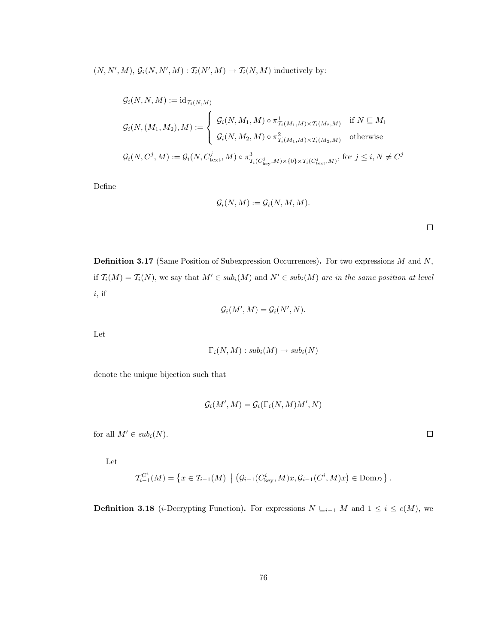$(N, N', M), G_i(N, N', M) : T_i(N', M) \to T_i(N, M)$  inductively by:

$$
G_i(N, N, M) := id_{\mathcal{T}_i(N, M)}
$$
  
\n
$$
G_i(N, (M_1, M_2), M) := \begin{cases} \mathcal{G}_i(N, M_1, M) \circ \pi^1_{\mathcal{T}_i(M_1, M) \times \mathcal{T}_i(M_2, M)} & \text{if } N \subseteq M_1 \\ \mathcal{G}_i(N, M_2, M) \circ \pi^2_{\mathcal{T}_i(M_1, M) \times \mathcal{T}_i(M_2, M)} & \text{otherwise} \end{cases}
$$
  
\n
$$
G_i(N, C^j, M) := G_i(N, C^j_{\text{text}}, M) \circ \pi^3_{\mathcal{T}_i(C^j_{\text{key}}, M) \times \{0\} \times \mathcal{T}_i(C^j_{\text{text}}, M)}, \text{for } j \leq i, N \neq C^j
$$

Define

$$
\mathcal{G}_i(N,M) := \mathcal{G}_i(N,M,M).
$$

 $\Box$ 

Definition 3.17 (Same Position of Subexpression Occurrences). For two expressions M and N, if  $\mathcal{T}_i(M) = \mathcal{T}_i(N)$ , we say that  $M' \in sub_i(M)$  and  $N' \in sub_i(M)$  are in the same position at level  $i$ , if

$$
\mathcal{G}_i(M',M) = \mathcal{G}_i(N',N).
$$

Let

$$
\Gamma_i(N, M) : sub_i(M) \to sub_i(N)
$$

denote the unique bijection such that

$$
\mathcal{G}_i(M',M) = \mathcal{G}_i(\Gamma_i(N,M)M',N)
$$

for all  $M' \in sub_i(N)$ .

Let

$$
\mathcal{T}_{i-1}^{C^i}(M) = \left\{ x \in \mathcal{T}_{i-1}(M) \mid \left( \mathcal{G}_{i-1}(C_{\text{key}}^i, M) x, \mathcal{G}_{i-1}(C^i, M) x \right) \in \text{Dom}_D \right\}.
$$

**Definition 3.18** (*i*-Decrypting Function). For expressions  $N \subseteq_{i-1} M$  and  $1 \le i \le c(M)$ , we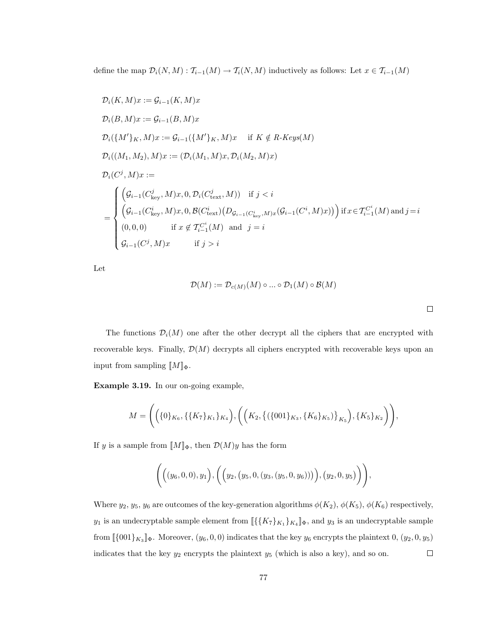define the map  $\mathcal{D}_i(N, M) : \mathcal{T}_{i-1}(M) \to \mathcal{T}_i(N, M)$  inductively as follows: Let  $x \in \mathcal{T}_{i-1}(M)$ 

$$
\mathcal{D}_{i}(K, M)x := \mathcal{G}_{i-1}(K, M)x
$$
\n
$$
\mathcal{D}_{i}(B, M)x := \mathcal{G}_{i-1}(B, M)x
$$
\n
$$
\mathcal{D}_{i}(\{M'\}_{K}, M)x := \mathcal{G}_{i-1}(\{M'\}_{K}, M)x \quad \text{if } K \notin R \text{-}Keys(M)
$$
\n
$$
\mathcal{D}_{i}((M_{1}, M_{2}), M)x := (\mathcal{D}_{i}(M_{1}, M)x, \mathcal{D}_{i}(M_{2}, M)x)
$$
\n
$$
\mathcal{D}_{i}(C^{j}, M)x :=
$$
\n
$$
\mathcal{D}_{i}(C^{j}, M)x :=
$$
\n
$$
\left(\mathcal{G}_{i-1}(C_{\text{key}}^{j}, M)x, 0, \mathcal{D}_{i}(C_{\text{text}}^{j}, M)) \quad \text{if } j < i
$$
\n
$$
\left(\mathcal{G}_{i-1}(C_{\text{key}}^{i}, M)x, 0, \mathcal{B}(C_{\text{text}}^{i})\left(D_{\mathcal{G}_{i-1}(C_{\text{key}}^{i}, M)x}(\mathcal{G}_{i-1}(C^{i}, M)x)\right)\right) \text{if } x \in \mathcal{T}_{i-1}^{C^{i}}(M) \text{ and } j = i
$$
\n
$$
\left(\mathcal{G}_{i-1}(C^{j}, M)x \quad \text{if } j > i
$$

Let

$$
\mathcal{D}(M) := \mathcal{D}_{c(M)}(M) \circ \dots \circ \mathcal{D}_1(M) \circ \mathcal{B}(M)
$$

 $\Box$ 

The functions  $\mathcal{D}_i(M)$  one after the other decrypt all the ciphers that are encrypted with recoverable keys. Finally,  $\mathcal{D}(M)$  decrypts all ciphers encrypted with recoverable keys upon an input from sampling  $\llbracket M \rrbracket_{\Phi}$ .

Example 3.19. In our on-going example,

$$
M = \Bigg(\Big(\{0\}_{K_6}, \{\{K_7\}_{K_1}\}_{K_4}\Big), \Bigg(\Big(K_2, \big\{\{\{001\}_{K_3}, \{K_6\}_{K_5}\}\Big\}_{K_5}\Big), \{K_5\}_{K_2}\Bigg)\Bigg),
$$

If y is a sample from  $[M]_{\Phi}$ , then  $\mathcal{D}(M)y$  has the form

$$
\Bigg(\Big((y_6,0,0),y_1\Big),\Big(\Big(y_2,(y_5,0,(y_3,(y_5,0,y_6)))\Big),\big(y_2,0,y_5\Big)\Big)\Bigg),
$$

Where  $y_2, y_5, y_6$  are outcomes of the key-generation algorithms  $\phi(K_2), \phi(K_5), \phi(K_6)$  respectively,  $y_1$  is an undecryptable sample element from  $\llbracket \{\{K_7\}_{K_1}\}_{K_4} \rrbracket_{\Phi}$ , and  $y_3$  is an undecryptable sample from  $\llbracket \{001\}_{K_3} \rrbracket_{\Phi}$ . Moreover,  $(y_6, 0, 0)$  indicates that the key  $y_6$  encrypts the plaintext  $0, (y_2, 0, y_5)$ indicates that the key  $y_2$  encrypts the plaintext  $y_5$  (which is also a key), and so on.  $\Box$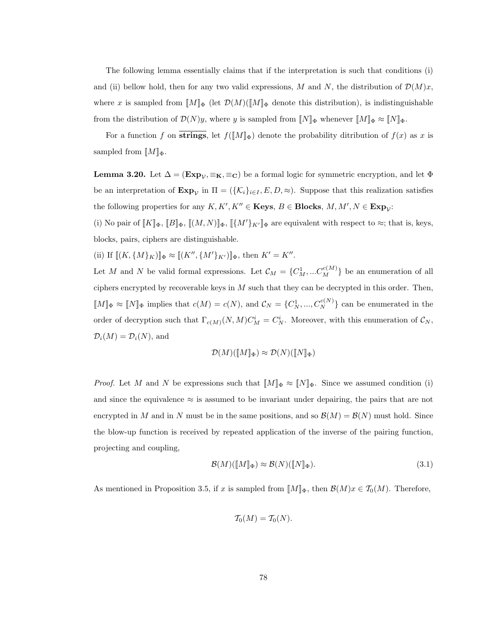The following lemma essentially claims that if the interpretation is such that conditions (i) and (ii) bellow hold, then for any two valid expressions, M and N, the distribution of  $\mathcal{D}(M)x$ , where x is sampled from  $[M]_{\Phi}$  (let  $\mathcal{D}(M)([M]_{\Phi}$  denote this distribution), is indistinguishable from the distribution of  $\mathcal{D}(N)y$ , where y is sampled from  $\llbracket N \rrbracket_{\Phi}$  whenever  $\llbracket M \rrbracket_{\Phi} \approx \llbracket N \rrbracket_{\Phi}$ .

For a function f on strings, let  $f([M]_{\Phi})$  denote the probability ditribution of  $f(x)$  as x is sampled from  $\llbracket M \rrbracket_{\Phi}$ .

**Lemma 3.20.** Let  $\Delta = (\mathbf{Exp}_{\mathcal{V}}, \equiv_{\mathbf{K}}, \equiv_{\mathbf{C}})$  be a formal logic for symmetric encryption, and let  $\Phi$ be an interpretation of  $\text{Exp}_{\mathcal{V}}$  in  $\Pi = (\{\mathcal{K}_i\}_{i\in I}, E, D, \approx)$ . Suppose that this realization satisfies the following properties for any  $K, K', K'' \in \mathbf{Keys}, B \in \mathbf{Blocks}, M, M', N \in \mathbf{Exp}_{\mathcal{V}}$ :

(i) No pair of  $[[K]]_{\Phi}$ ,  $[[B]]_{\Phi}$ ,  $[[(M, N)]]_{\Phi}$ ,  $[[\{M'\}_{K'}]]_{\Phi}$  are equivalent with respect to  $\approx$ ; that is, keys, blocks, pairs, ciphers are distinguishable.

(ii) If  $[[(K, {M}_K)]]_{\Phi} \approx [[(K'', {M'}_{K'})]]_{\Phi}$ , then  $K' = K''$ .

Let M and N be valid formal expressions. Let  $\mathcal{C}_M = \{C_M^1, ... C_M^{c(M)}\}$  be an enumeration of all ciphers encrypted by recoverable keys in  $M$  such that they can be decrypted in this order. Then,  $\llbracket M \rrbracket_{\Phi} \approx \llbracket N \rrbracket_{\Phi}$  implies that  $c(M) = c(N)$ , and  $\mathcal{C}_N = \{C_N^1, ..., C_N^{c(N)}\}$  can be enumerated in the order of decryption such that  $\Gamma_{c(M)}(N,M)C_M^i = C_N^i$ . Moreover, with this enumeration of  $\mathcal{C}_N$ ,  $\mathcal{D}_i(M) = \mathcal{D}_i(N)$ , and

$$
\mathcal{D}(M)(\llbracket M \rrbracket_{\Phi}) \approx \mathcal{D}(N)(\llbracket N \rrbracket_{\Phi})
$$

*Proof.* Let M and N be expressions such that  $[M]_{\Phi} \approx [N]_{\Phi}$ . Since we assumed condition (i) and since the equivalence  $\approx$  is assumed to be invariant under depairing, the pairs that are not encrypted in M and in N must be in the same positions, and so  $\mathcal{B}(M) = \mathcal{B}(N)$  must hold. Since the blow-up function is received by repeated application of the inverse of the pairing function, projecting and coupling,

$$
\mathcal{B}(M)(\llbracket M \rrbracket_{\Phi}) \approx \mathcal{B}(N)(\llbracket N \rrbracket_{\Phi}).\tag{3.1}
$$

As mentioned in Proposition 3.5, if x is sampled from  $\llbracket M \rrbracket_{\Phi}$ , then  $\mathcal{B}(M)x \in \mathcal{T}_0(M)$ . Therefore,

$$
\mathcal{T}_0(M) = \mathcal{T}_0(N).
$$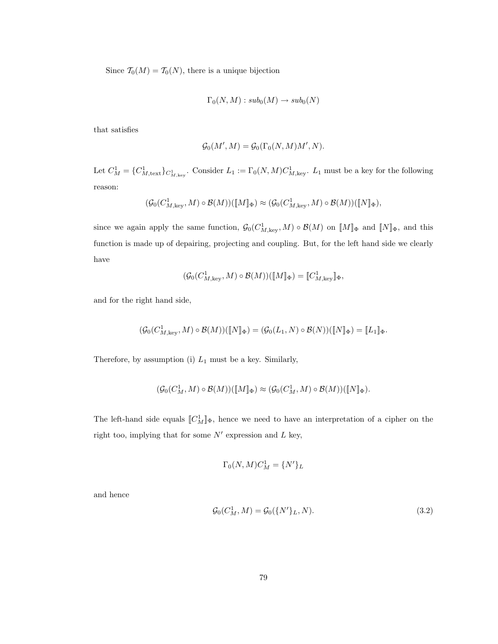Since  $\mathcal{T}_0(M) = \mathcal{T}_0(N)$ , there is a unique bijection

$$
\Gamma_0(N,M): sub_0(M) \to sub_0(N)
$$

that satisfies

$$
\mathcal{G}_0(M',M) = \mathcal{G}_0(\Gamma_0(N,M)M',N).
$$

Let  $C_M^1 = \{C_{M,\text{text}}^1\}_{C_{M,\text{key}}^1}$ . Consider  $L_1 := \Gamma_0(N,M)C_{M,\text{key}}^1$ .  $L_1$  must be a key for the following reason:

$$
(\mathcal{G}_0(C^1_{M,\text{key}},M)\circ\mathcal{B}(M))([\![M]\!]_{\Phi})\approx (\mathcal{G}_0(C^1_{M,\text{key}},M)\circ\mathcal{B}(M))([\![N]\!]_{\Phi}),
$$

since we again apply the same function,  $\mathcal{G}_0(C^1_{M,\text{key}}, M) \circ \mathcal{B}(M)$  on  $\llbracket M \rrbracket_{\Phi}$  and  $\llbracket N \rrbracket_{\Phi}$ , and this function is made up of depairing, projecting and coupling. But, for the left hand side we clearly have

$$
(\mathcal{G}_0(C^1_{M,\text{key}},M)\circ\mathcal{B}(M))([\![M]\!]_{\Phi})=[\![C^1_{M,\text{key}}]\!]_{\Phi},
$$

and for the right hand side,

$$
(\mathcal{G}_0(C^1_{M,\mathrm{key}},M)\circ\mathcal{B}(M))([\![N]\!]_{\Phi})=(\mathcal{G}_0(L_1,N)\circ\mathcal{B}(N))([\![N]\!]_{\Phi})=[\![L_1]\!]_{\Phi}.
$$

Therefore, by assumption (i)  $L_1$  must be a key. Similarly,

$$
(\mathcal{G}_0(C^1_M,M)\circ\mathcal{B}(M))([\![M]\!]_{\Phi})\approx (\mathcal{G}_0(C^1_M,M)\circ\mathcal{B}(M))([\![N]\!]_{\Phi}).
$$

The left-hand side equals  $[[C_M^1]]\Phi$ , hence we need to have an interpretation of a cipher on the right too, implying that for some  $N'$  expression and  $L$  key,

$$
\Gamma_0(N,M)C_M^1 = \{N'\}_L
$$

and hence

$$
\mathcal{G}_0(C_M^1, M) = \mathcal{G}_0(\{N'\}_L, N). \tag{3.2}
$$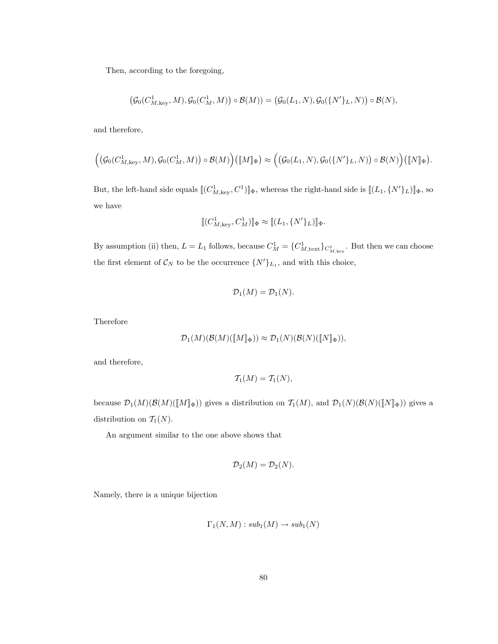Then, according to the foregoing,

$$
\left(\mathcal{G}_0(C^1_{M,\mathrm{key}},M),\mathcal{G}_0(C^1_M,M)\right)\circ\mathcal{B}(M))=\left(\mathcal{G}_0(L_1,N),\mathcal{G}_0(\{N'\}_L,N)\right)\circ\mathcal{B}(N),
$$

and therefore,

$$
\Bigl(\bigl(\mathcal{G}_0(C^1_{M,\mathrm{key}},M),\mathcal{G}_0(C^1_M,M)\bigr)\circ\mathcal{B}(M)\Bigr)\Bigl([\![M]\!]_{\Phi}\Bigr)\approx\Bigl(\bigl(\mathcal{G}_0(L_1,N),\mathcal{G}_0(\{N'\}_L,N)\bigr)\circ\mathcal{B}(N)\Bigr)\bigl([\![N]\!]_{\Phi}\Bigr).
$$

But, the left-hand side equals  $[\![ (C^1_{M,\text{key}}, C^1) ]\!]_{\Phi}$ , whereas the right-hand side is  $[\![ (L_1, \{N'\}_L) ]\!]_{\Phi}$ , so we have

$$
[\![ (C_{M,\mathrm{key}}^1,C_M^1) ]\!]_{\Phi} \approx [\![ (L_1,\{N'\}_L) ]\!]_{\Phi}.
$$

By assumption (ii) then,  $L = L_1$  follows, because  $C_M^1 = \{C_{M,\text{text}}^1\}_{C_{M,\text{key}}^1}$ . But then we can choose the first element of  $\mathcal{C}_N$  to be the occurrence  $\{N'\}_{L_1}$ , and with this choice,

$$
\mathcal{D}_1(M) = \mathcal{D}_1(N).
$$

Therefore

$$
\mathcal{D}_1(M)(\mathcal{B}(M)(\llbracket M \rrbracket_{\Phi})) \approx \mathcal{D}_1(N)(\mathcal{B}(N)(\llbracket N \rrbracket_{\Phi})),
$$

and therefore,

$$
\mathcal{T}_1(M)=\mathcal{T}_1(N),
$$

because  $\mathcal{D}_1(M)(\mathcal{B}(M)(\llbracket M \rrbracket_{\Phi}))$  gives a distribution on  $\mathcal{T}_1(M)$ , and  $\mathcal{D}_1(N)(\mathcal{B}(N)(\llbracket N \rrbracket_{\Phi}))$  gives a distribution on  $T_1(N)$ .

An argument similar to the one above shows that

$$
\mathcal{D}_2(M) = \mathcal{D}_2(N).
$$

Namely, there is a unique bijection

$$
\Gamma_1(N,M): sub_1(M) \to sub_1(N)
$$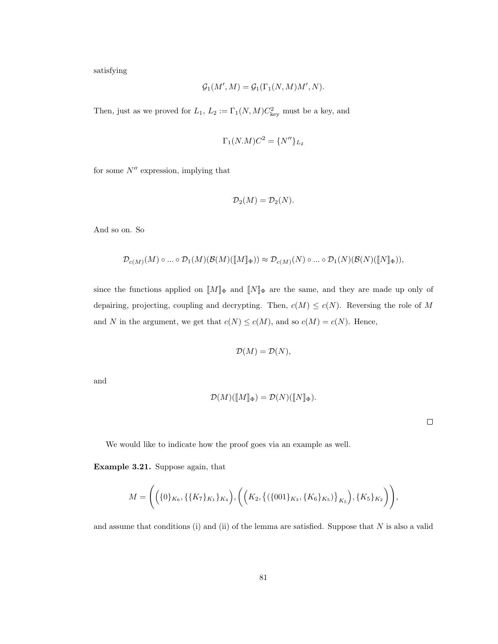satisfying

$$
\mathcal{G}_1(M',M) = \mathcal{G}_1(\Gamma_1(N,M)M',N).
$$

Then, just as we proved for  $L_1$ ,  $L_2 := \Gamma_1(N,M)C_{\text{key}}^2$  must be a key, and

$$
\Gamma_1(N.M)C^2 = \{N''\}_{L_2}
$$

for some  $N''$  expression, implying that

$$
\mathcal{D}_2(M) = \mathcal{D}_2(N).
$$

And so on. So

$$
\mathcal{D}_{c(M)}(M)\circ ...\circ \mathcal{D}_1(M)(\mathcal{B}(M)(\llbracket M\rrbracket_\Phi)) \approx \mathcal{D}_{c(M)}(N)\circ ...\circ \mathcal{D}_1(N)(\mathcal{B}(N)(\llbracket N\rrbracket_\Phi)),
$$

since the functions applied on  $[\![M]\!]_{\Phi}$  and  $[\![N]\!]_{\Phi}$  are the same, and they are made up only of depairing, projecting, coupling and decrypting. Then,  $c(M) \leq c(N)$ . Reversing the role of M and N in the argument, we get that  $c(N) \leq c(M)$ , and so  $c(M) = c(N)$ . Hence,

$$
\mathcal{D}(M) = \mathcal{D}(N),
$$

and

$$
\mathcal{D}(M)(\llbracket M \rrbracket_{\Phi}) = \mathcal{D}(N)(\llbracket N \rrbracket_{\Phi}).
$$

 $\Box$ 

We would like to indicate how the proof goes via an example as well.

Example 3.21. Suppose again, that

$$
M = \Bigg(\Big(\{0\}_{K_6}, \{\{K_7\}_{K_1}\}_{K_4}\Big), \Bigg(\Big(K_2, \big\{\left(\{001\}_{K_3}, \{K_6\}_{K_5}\right)\}_{K_5}\Big), \{K_5\}_{K_2}\Bigg)\Bigg),
$$

and assume that conditions (i) and (ii) of the lemma are satisfied. Suppose that  $N$  is also a valid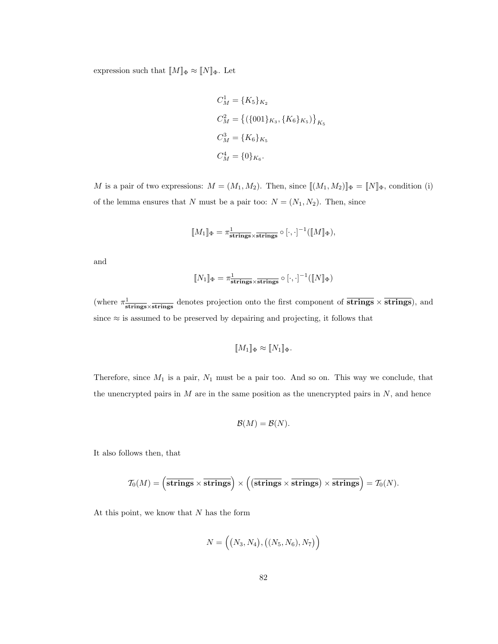expression such that  $[\![M]\!]_{\Phi} \approx [\![N]\!]_{\Phi}.$  Let

$$
C_M^1 = \{K_5\}_{K_2}
$$
  
\n
$$
C_M^2 = \{ (\{001\}_{K_3}, \{K_6\}_{K_5}) \}_{K_5}
$$
  
\n
$$
C_M^3 = \{K_6\}_{K_5}
$$
  
\n
$$
C_M^4 = \{0\}_{K_6}.
$$

M is a pair of two expressions:  $M = (M_1, M_2)$ . Then, since  $\llbracket (M_1, M_2) \rrbracket_{\Phi} = \llbracket N \rrbracket_{\Phi}$ , condition (i) of the lemma ensures that N must be a pair too:  $N = (N_1, N_2)$ . Then, since

$$
[\![M_1]\!]_{\Phi} = \pi^1_{\text{strings} \times \text{strings}} \circ [\cdot, \cdot]^{-1}([\![M]\!]_{\Phi}),
$$

and

$$
[\![N_1]\!]_{\Phi} = \pi^{\underline{1}}_{\overline{\text{strings}} \times \overline{\text{strings}} } \circ [\cdot, \cdot]^{-1}([\![N]\!]_{\Phi})
$$

(where  $\pi^1_{\text{strings}} \times \text{strings}}$  denotes projection onto the first component of  $\overline{\text{strings}} \times \overline{\text{strings}}$ ), and since  $\approx$  is assumed to be preserved by depairing and projecting, it follows that

$$
[\![M_1]\!]_{\Phi} \approx [\![N_1]\!]_{\Phi}.
$$

Therefore, since  $M_1$  is a pair,  $N_1$  must be a pair too. And so on. This way we conclude, that the unencrypted pairs in  $M$  are in the same position as the unencrypted pairs in  $N$ , and hence

$$
\mathcal{B}(M) = \mathcal{B}(N).
$$

It also follows then, that

$$
\mathcal{T}_0(M) = \left(\overline{\text{strings}} \times \overline{\text{strings}}\right) \times \left(\left(\overline{\text{strings}} \times \overline{\text{strings}}\right) \times \overline{\text{strings}}\right) = \mathcal{T}_0(N).
$$

At this point, we know that  $N$  has the form

$$
N = ((N_3, N_4), ((N_5, N_6), N_7))
$$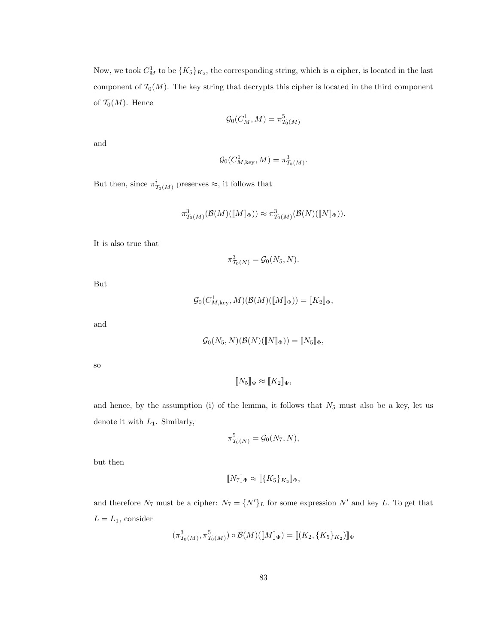Now, we took  $C_M^1$  to be  $\{K_5\}_{K_2}$ , the corresponding string, which is a cipher, is located in the last component of  $\mathcal{T}_0(M)$ . The key string that decrypts this cipher is located in the third component of  $\mathcal{T}_0(M)$ . Hence

$$
\mathcal{G}_0(C^1_M, M) = \pi^5_{\mathcal{T}_0(M)}
$$

and

$$
\mathcal{G}_0(C^1_{M,\text{key}}, M) = \pi^3_{\mathcal{T}_0(M)}.
$$

But then, since  $\pi^i_{\mathcal{I}_0(M)}$  preserves  $\approx$ , it follows that

$$
\pi^3_{\mathcal{T}_0(M)}(\mathcal{B}(M)(\llbracket M \rrbracket_\Phi)) \approx \pi^3_{\mathcal{T}_0(M)}(\mathcal{B}(N)(\llbracket N \rrbracket_\Phi)).
$$

It is also true that

$$
\pi^3_{\mathcal{T}_0(N)} = \mathcal{G}_0(N_5, N).
$$

But

$$
\mathcal{G}_0(C^1_{M,\text{key}},M)(\mathcal{B}(M)(\llbracket M \rrbracket_{\Phi})) = \llbracket K_2 \rrbracket_{\Phi},
$$

and

$$
\mathcal{G}_0(N_5, N)(\mathcal{B}(N)(\llbracket N \rrbracket_{\Phi})) = \llbracket N_5 \rrbracket_{\Phi},
$$

so

$$
[\![N_5]\!]_{\Phi} \approx [\![K_2]\!]_{\Phi},
$$

and hence, by the assumption (i) of the lemma, it follows that  $N_5$  must also be a key, let us denote it with  $L_1$ . Similarly,

$$
\pi^5_{T_0(N)} = \mathcal{G}_0(N_7, N),
$$

but then

$$
\llbracket N_7 \rrbracket_{\Phi} \approx \llbracket \{ K_5 \}_{K_2} \rrbracket_{\Phi},
$$

and therefore  $N_7$  must be a cipher:  $N_7 = \{N'\}_L$  for some expression  $N'$  and key L. To get that  ${\cal L}={\cal L}_1,$  consider

$$
(\pi_{\mathcal{T}_0(M)}^3, \pi_{\mathcal{T}_0(M)}^5) \circ \mathcal{B}(M)([\![M]\!]_{\Phi}) = [\![ (K_2, \{K_5\}_{K_2}) ]\!]_{\Phi}
$$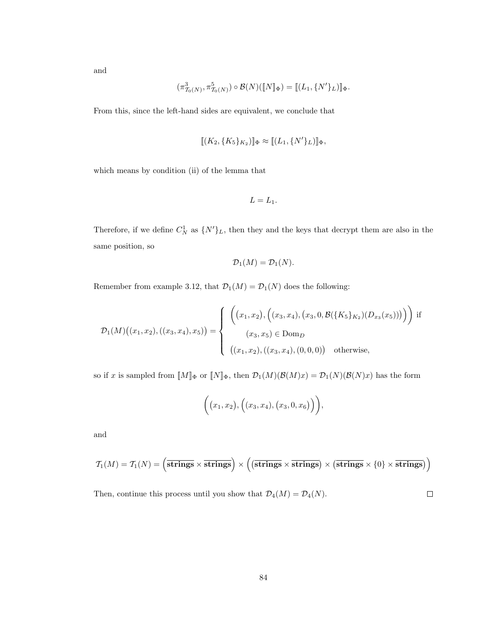and

$$
(\pi^3_{\mathcal{T}_0(N)}, \pi^5_{\mathcal{T}_0(N)}) \circ \mathcal{B}(N)(\llbracket N \rrbracket_{\Phi}) = \llbracket (L_1, \{N'\}_L) \rrbracket_{\Phi}.
$$

From this, since the left-hand sides are equivalent, we conclude that

$$
[\![ (K_2, \{K_5\}_{K_2}) ]\!]_{\Phi} \approx [\![ (L_1, \{N'\}_L)]\!]_{\Phi},
$$

which means by condition (ii) of the lemma that

$$
L=L_1.
$$

Therefore, if we define  $C_N^1$  as  $\{N'\}_L$ , then they and the keys that decrypt them are also in the same position, so

$$
\mathcal{D}_1(M) = \mathcal{D}_1(N).
$$

Remember from example 3.12, that  $\mathcal{D}_1(M) = \mathcal{D}_1(N)$  does the following:

$$
\mathcal{D}_1(M)\big((x_1, x_2), ((x_3, x_4), x_5)\big) = \begin{cases} \left( \left( x_1, x_2 \right), \left( (x_3, x_4), (x_3, 0, \mathcal{B}(\{K_5\}_{K_2})(D_{x_3}(x_5))) \right) \right) & \text{if } \\ \left( x_3, x_5 \right) \in \text{Dom}_D \\ \left( (x_1, x_2), ((x_3, x_4), (0, 0, 0)) & \text{otherwise,} \end{cases}
$$

so if x is sampled from  $[M]_{\Phi}$  or  $[N]_{\Phi}$ , then  $\mathcal{D}_1(M)(\mathcal{B}(M)x) = \mathcal{D}_1(N)(\mathcal{B}(N)x)$  has the form

$$
(x_1,x_2), ((x_3,x_4), (x_3,0,x_6)),
$$

and

$$
\mathcal{T}_1(M) = \mathcal{T}_1(N) = \left(\overline{\text{strings}} \times \overline{\text{strings}}\right) \times \left(\left(\overline{\text{strings}} \times \overline{\text{strings}}\right) \times \left(\overline{\text{strings}} \times \{0\} \times \overline{\text{strings}}\right)\right)
$$

Then, continue this process until you show that  $\mathcal{D}_4(M) = \mathcal{D}_4(N)$ .  $\Box$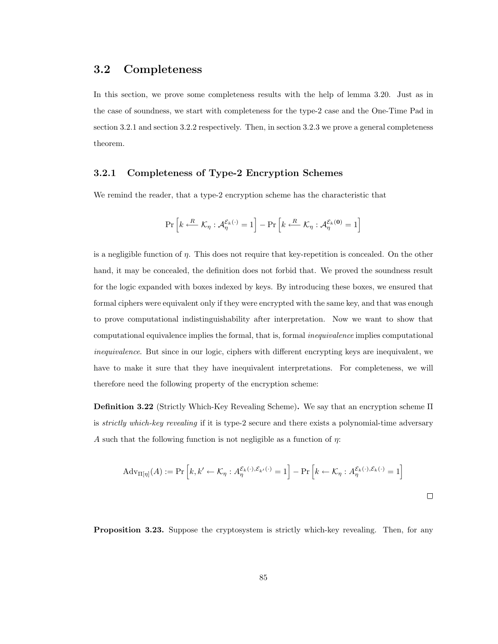## 3.2 Completeness

In this section, we prove some completeness results with the help of lemma 3.20. Just as in the case of soundness, we start with completeness for the type-2 case and the One-Time Pad in section 3.2.1 and section 3.2.2 respectively. Then, in section 3.2.3 we prove a general completeness theorem.

#### 3.2.1 Completeness of Type-2 Encryption Schemes

We remind the reader, that a type-2 encryption scheme has the characteristic that

$$
\Pr\left[k \xleftarrow{R} \mathcal{K}_{\eta}: \mathcal{A}^{\mathcal{E}_{k}(\cdot)}_{\eta} = 1\right] - \Pr\left[k \xleftarrow{R} \mathcal{K}_{\eta}: \mathcal{A}^{\mathcal{E}_{k}(\mathbf{0})}_{\eta} = 1\right]
$$

is a negligible function of η. This does not require that key-repetition is concealed. On the other hand, it may be concealed, the definition does not forbid that. We proved the soundness result for the logic expanded with boxes indexed by keys. By introducing these boxes, we ensured that formal ciphers were equivalent only if they were encrypted with the same key, and that was enough to prove computational indistinguishability after interpretation. Now we want to show that computational equivalence implies the formal, that is, formal inequivalence implies computational inequivalence. But since in our logic, ciphers with different encrypting keys are inequivalent, we have to make it sure that they have inequivalent interpretations. For completeness, we will therefore need the following property of the encryption scheme:

Definition 3.22 (Strictly Which-Key Revealing Scheme). We say that an encryption scheme Π is strictly which-key revealing if it is type-2 secure and there exists a polynomial-time adversary A such that the following function is not negligible as a function of  $\eta$ :

$$
Adv_{\Pi[\eta]}(A) := \Pr\left[k, k' \leftarrow \mathcal{K}_{\eta} : A_{\eta}^{\varepsilon_k(\cdot), \varepsilon_{k'}(\cdot)} = 1\right] - \Pr\left[k \leftarrow \mathcal{K}_{\eta} : A_{\eta}^{\varepsilon_k(\cdot), \varepsilon_k(\cdot)} = 1\right]
$$

Proposition 3.23. Suppose the cryptosystem is strictly which-key revealing. Then, for any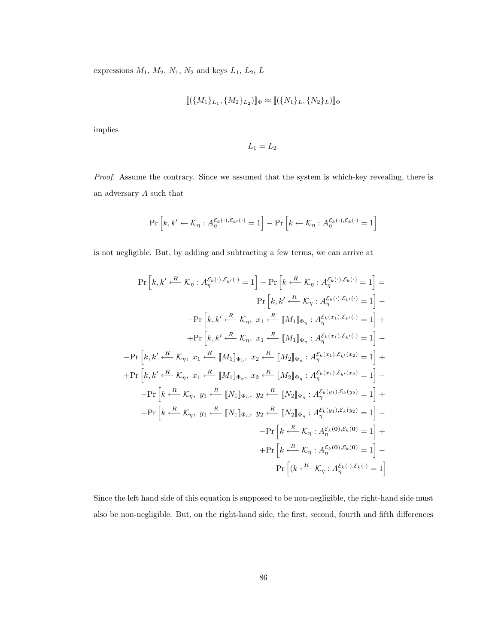expressions  $M_1$ ,  $M_2$ ,  $N_1$ ,  $N_2$  and keys  $L_1$ ,  $L_2$ ,  $L$ 

$$
[\![(\{M_1\}_L, \{M_2\}_L)]\!]_{\Phi} \approx [\![(\{N_1\}_L, \{N_2\}_L)]\!]_{\Phi}
$$

implies

$$
L_1=L_2.
$$

Proof. Assume the contrary. Since we assumed that the system is which-key revealing, there is an adversary A such that

$$
\Pr\left[k, k' \leftarrow \mathcal{K}_{\eta}: A^{\mathcal{E}_k(\cdot), \mathcal{E}_{k'}(\cdot)}_{\eta} = 1\right] - \Pr\left[k \leftarrow \mathcal{K}_{\eta}: A^{\mathcal{E}_k(\cdot), \mathcal{E}_k(\cdot)}_{\eta} = 1\right]
$$

is not negligible. But, by adding and subtracting a few terms, we can arrive at

$$
\Pr\left[k, k' \xleftarrow{R} \mathcal{K}_{\eta}: A_{\eta}^{\mathcal{E}_{k}(\cdot), \mathcal{E}_{k'}(\cdot)} = 1\right] - \Pr\left[k \xleftarrow{R} \mathcal{K}_{\eta}: A_{\eta}^{\mathcal{E}_{k}(\cdot), \mathcal{E}_{k}(\cdot)} = 1\right] =
$$
\n
$$
\Pr\left[k, k' \xleftarrow{R} \mathcal{K}_{\eta}: A_{\eta}^{\mathcal{E}_{k}(\cdot), \mathcal{E}_{k'}(\cdot)} = 1\right] -
$$
\n
$$
-\Pr\left[k, k' \xleftarrow{R} \mathcal{K}_{\eta}, x_{1} \xleftarrow{R} [M_{1}]_{\Phi_{\eta}}: A_{\eta}^{\mathcal{E}_{k}(x_{1}), \mathcal{E}_{k'}(\cdot)} = 1\right] +
$$
\n
$$
+\Pr\left[k, k' \xleftarrow{R} \mathcal{K}_{\eta}, x_{1} \xleftarrow{R} [M_{1}]_{\Phi_{\eta}}: A_{\eta}^{\mathcal{E}_{k}(x_{1}), \mathcal{E}_{k'}(\cdot)} = 1\right] -
$$
\n
$$
-\Pr\left[k, k' \xleftarrow{R} \mathcal{K}_{\eta}, x_{1} \xleftarrow{R} [M_{1}]_{\Phi_{\eta}}, x_{2} \xleftarrow{R} [M_{2}]_{\Phi_{\eta}}: A_{\eta}^{\mathcal{E}_{k}(x_{1}), \mathcal{E}_{k'}(x_{2})} = 1\right] +
$$
\n
$$
+\Pr\left[k, k' \xleftarrow{R} \mathcal{K}_{\eta}, x_{1} \xleftarrow{R} [M_{1}]_{\Phi_{\eta}}, x_{2} \xleftarrow{R} [M_{2}]_{\Phi_{\eta}}: A_{\eta}^{\mathcal{E}_{k}(x_{1}), \mathcal{E}_{k'}(x_{2})} = 1\right] -
$$
\n
$$
-\Pr\left[k \xleftarrow{R} \mathcal{K}_{\eta}, y_{1} \xleftarrow{R} [N_{1}]_{\Phi_{\eta}}, y_{2} \xleftarrow{R} [N_{2}]_{\Phi_{\eta}}: A_{\eta}^{\mathcal{E}_{k}(y_{1}), \mathcal{E}_{k}(y_{2})} = 1\right] -
$$
\n
$$
-\Pr\left[k \xleftarrow{R} \mathcal{K}_{\eta}, y_{
$$

Since the left hand side of this equation is supposed to be non-negligible, the right-hand side must also be non-negligible. But, on the right-hand side, the first, second, fourth and fifth differences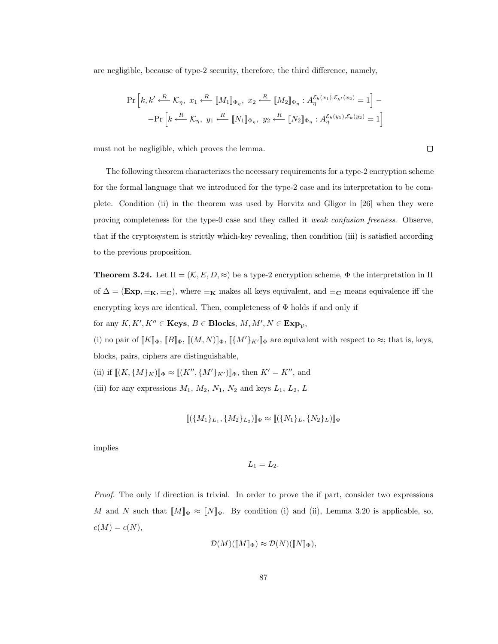are negligible, because of type-2 security, therefore, the third difference, namely,

$$
\Pr\left[k, k' \xleftarrow{R} \mathcal{K}_{\eta}, x_1 \xleftarrow{R} [M_1]_{\Phi_{\eta}}, x_2 \xleftarrow{R} [M_2]_{\Phi_{\eta}} : A_{\eta}^{\mathcal{E}_k(x_1), \mathcal{E}_{k'}(x_2)} = 1\right] - \Pr\left[k \xleftarrow{R} \mathcal{K}_{\eta}, y_1 \xleftarrow{R} [N_1]_{\Phi_{\eta}}, y_2 \xleftarrow{R} [N_2]_{\Phi_{\eta}} : A_{\eta}^{\mathcal{E}_k(y_1), \mathcal{E}_k(y_2)} = 1\right]\right]
$$

must not be negligible, which proves the lemma.

The following theorem characterizes the necessary requirements for a type-2 encryption scheme for the formal language that we introduced for the type-2 case and its interpretation to be complete. Condition (ii) in the theorem was used by Horvitz and Gligor in [26] when they were proving completeness for the type-0 case and they called it weak confusion freeness. Observe, that if the cryptosystem is strictly which-key revealing, then condition (iii) is satisfied according to the previous proposition.

**Theorem 3.24.** Let  $\Pi = (K, E, D, \approx)$  be a type-2 encryption scheme,  $\Phi$  the interpretation in  $\Pi$ of  $\Delta = (Exp, \equiv_K, \equiv_C)$ , where  $\equiv_K$  makes all keys equivalent, and  $\equiv_C$  means equivalence iff the encrypting keys are identical. Then, completeness of  $\Phi$  holds if and only if

for any  $K, K', K'' \in \mathbf{Keys}, B \in \mathbf{Blocks}, M, M', N \in \mathbf{Exp}_\mathcal{V},$ 

(i) no pair of  $[[K]]_{\Phi}$ ,  $[[B]]_{\Phi}$ ,  $[[(M,N)]]_{\Phi}$ ,  $[[\{M'\}_{K'}]]_{\Phi}$  are equivalent with respect to  $\approx$ ; that is, keys, blocks, pairs, ciphers are distinguishable,

(ii) if  $[[(K, \{M\}_{K})]]_{\Phi} \approx [[(K'', \{M'\}_{K'})]]_{\Phi}$ , then  $K' = K''$ , and

(iii) for any expressions  $M_1$ ,  $M_2$ ,  $N_1$ ,  $N_2$  and keys  $L_1$ ,  $L_2$ ,  $L_1$ 

$$
[\![(\{M_1\}_L, \{M_2\}_L)]\!]_{\Phi} \approx [\![(\{N_1\}_L, \{N_2\}_L)]\!]_{\Phi}
$$

implies

$$
L_1=L_2.
$$

Proof. The only if direction is trivial. In order to prove the if part, consider two expressions M and N such that  $[M]_{\Phi} \approx [N]_{\Phi}$ . By condition (i) and (ii), Lemma 3.20 is applicable, so,  $c(M) = c(N),$ 

$$
\mathcal{D}(M)(\llbracket M \rrbracket_{\Phi}) \approx \mathcal{D}(N)(\llbracket N \rrbracket_{\Phi}),
$$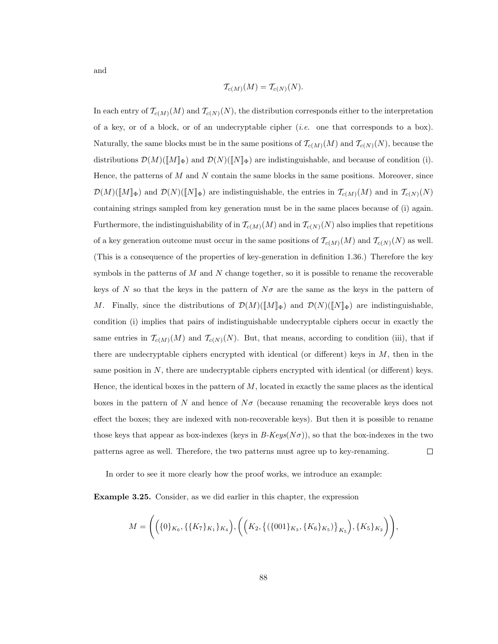and

$$
\mathcal{T}_{c(M)}(M) = \mathcal{T}_{c(N)}(N).
$$

In each entry of  $\mathcal{T}_{c(M)}(M)$  and  $\mathcal{T}_{c(N)}(N)$ , the distribution corresponds either to the interpretation of a key, or of a block, or of an undecryptable cipher  $(i.e.$  one that corresponds to a box). Naturally, the same blocks must be in the same positions of  $\mathcal{T}_{c(M)}(M)$  and  $\mathcal{T}_{c(N)}(N)$ , because the distributions  $\mathcal{D}(M)(\llbracket M \rrbracket_{\Phi})$  and  $\mathcal{D}(N)(\llbracket N \rrbracket_{\Phi})$  are indistinguishable, and because of condition (i). Hence, the patterns of  $M$  and  $N$  contain the same blocks in the same positions. Moreover, since  $\mathcal{D}(M)(\llbracket M \rrbracket_{\Phi})$  and  $\mathcal{D}(N)(\llbracket N \rrbracket_{\Phi})$  are indistinguishable, the entries in  $\mathcal{T}_{c(M)}(M)$  and in  $\mathcal{T}_{c(N)}(N)$ containing strings sampled from key generation must be in the same places because of (i) again. Furthermore, the indistinguishability of in  $\mathcal{T}_{c(M)}(M)$  and in  $\mathcal{T}_{c(N)}(N)$  also implies that repetitions of a key generation outcome must occur in the same positions of  $\mathcal{T}_{c(M)}(M)$  and  $\mathcal{T}_{c(N)}(N)$  as well. (This is a consequence of the properties of key-generation in definition 1.36.) Therefore the key symbols in the patterns of  $M$  and  $N$  change together, so it is possible to rename the recoverable keys of N so that the keys in the pattern of  $N\sigma$  are the same as the keys in the pattern of M. Finally, since the distributions of  $\mathcal{D}(M)(\llbracket M \rrbracket_{\Phi})$  and  $\mathcal{D}(N)(\llbracket N \rrbracket_{\Phi})$  are indistinguishable, condition (i) implies that pairs of indistinguishable undecryptable ciphers occur in exactly the same entries in  $\mathcal{T}_{c(M)}(M)$  and  $\mathcal{T}_{c(N)}(N)$ . But, that means, according to condition (iii), that if there are undecryptable ciphers encrypted with identical (or different) keys in  $M$ , then in the same position in  $N$ , there are undecryptable ciphers encrypted with identical (or different) keys. Hence, the identical boxes in the pattern of  $M$ , located in exactly the same places as the identical boxes in the pattern of N and hence of  $N\sigma$  (because renaming the recoverable keys does not effect the boxes; they are indexed with non-recoverable keys). But then it is possible to rename those keys that appear as box-indexes (keys in  $B\text{-}Keys(N\sigma)$ ), so that the box-indexes in the two patterns agree as well. Therefore, the two patterns must agree up to key-renaming.  $\Box$ 

In order to see it more clearly how the proof works, we introduce an example:

Example 3.25. Consider, as we did earlier in this chapter, the expression

$$
M = \Bigg(\Big(\{0\}_{K_6}, \{\{K_7\}_{K_1}\}_{K_4}\Big), \Bigg(\Big(K_2, \{\{\{001\}_{K_3}, \{K_6\}_{K_5}\}\Big)_{K_5}\Big), \{K_5\}_{K_2}\Bigg)\Bigg),
$$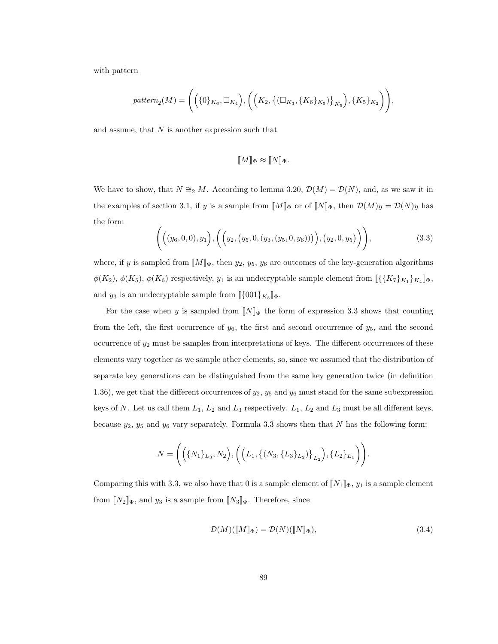with pattern

$$
pattern_2(M) = \Bigg(\Big(\{0\}_{K_6}, \Box_{K_4}\Big), \Bigg(\Big(K_2, \big\{(\Box_{K_3}, \{K_6\}_{K_5})\big\}_{K_5}\Big), \{K_5\}_{K_2}\Bigg)\Bigg),
$$

and assume, that  $N$  is another expression such that

$$
[\![M]\!]_{\Phi} \approx [\![N]\!]_{\Phi}.
$$

We have to show, that  $N \cong_2 M$ . According to lemma 3.20,  $\mathcal{D}(M) = \mathcal{D}(N)$ , and, as we saw it in the examples of section 3.1, if y is a sample from  $[M]_{\Phi}$  or of  $[N]_{\Phi}$ , then  $\mathcal{D}(M)y = \mathcal{D}(N)y$  has the form

$$
\left( \Big( (y_6, 0, 0), y_1 \Big), \Big( \Big( y_2, (y_5, 0, (y_3, (y_5, 0, y_6))) \Big), (y_2, 0, y_5) \Big) \right), \tag{3.3}
$$

where, if y is sampled from  $\llbracket M \rrbracket_{\Phi}$ , then  $y_2, y_5, y_6$  are outcomes of the key-generation algorithms  $\phi(K_2)$ ,  $\phi(K_5)$ ,  $\phi(K_6)$  respectively,  $y_1$  is an undecryptable sample element from  $\llbracket \{K_7\}_{K_1}\}_{K_4} \rrbracket_{\Phi}$ , and  $y_3$  is an undecryptable sample from  $[\{001\}_{K_3}]\Phi$ .

For the case when y is sampled from  $[N]_{\Phi}$  the form of expression 3.3 shows that counting from the left, the first occurrence of  $y_6$ , the first and second occurrence of  $y_5$ , and the second occurrence of  $y_2$  must be samples from interpretations of keys. The different occurrences of these elements vary together as we sample other elements, so, since we assumed that the distribution of separate key generations can be distinguished from the same key generation twice (in definition 1.36), we get that the different occurrences of  $y_2$ ,  $y_5$  and  $y_6$  must stand for the same subexpression keys of N. Let us call them  $L_1$ ,  $L_2$  and  $L_3$  respectively.  $L_1$ ,  $L_2$  and  $L_3$  must be all different keys, because  $y_2$ ,  $y_5$  and  $y_6$  vary separately. Formula 3.3 shows then that N has the following form:

$$
N = \Bigg(\Big(\big\{N_1\}_{L_3}, N_2\Big), \Bigg(\Big(L_1, \big\{(N_3, \{L_3\}_{L_2})\big\}_{L_2}\Big), \{L_2\}_{L_1}\Bigg)\Bigg).
$$

Comparing this with 3.3, we also have that 0 is a sample element of  $\|N_1\|_{\Phi}$ ,  $y_1$  is a sample element from  $[[N_2]]\Phi$ , and  $y_3$  is a sample from  $[[N_3]]\Phi$ . Therefore, since

$$
\mathcal{D}(M)(\llbracket M \rrbracket_{\Phi}) = \mathcal{D}(N)(\llbracket N \rrbracket_{\Phi}),\tag{3.4}
$$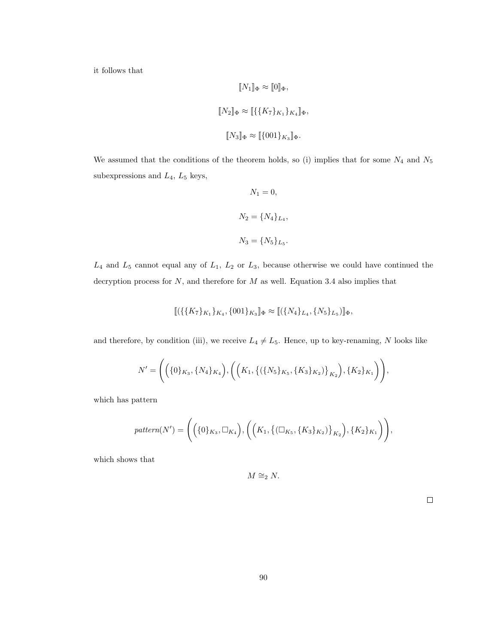it follows that

$$
[\![N_1]\!]_{\Phi} \approx [\![0]\!]_{\Phi},
$$
  

$$
[\![N_2]\!]_{\Phi} \approx [\![\{\{K_7\}_{K_1}\}_{K_4}]\!]_{\Phi},
$$
  

$$
[\![N_3]\!]_{\Phi} \approx [\![\{001\}_{K_3}]\!]_{\Phi}.
$$

We assumed that the conditions of the theorem holds, so (i) implies that for some  $N_4$  and  $N_5$ subexpressions and  $L_4$ ,  $L_5$  keys,

$$
N_1 = 0,
$$
  

$$
N_2 = \{N_4\}_{L_4},
$$
  

$$
N_3 = \{N_5\}_{L_5}.
$$

 $L_4$  and  $L_5$  cannot equal any of  $L_1$ ,  $L_2$  or  $L_3$ , because otherwise we could have continued the decryption process for  $N$ , and therefore for  $M$  as well. Equation 3.4 also implies that

$$
[\![ (\{\{K_7\}_{K_1}\}_{K_4}, \{001\}_{K_3}]\!]_{\Phi} \approx [\![ (\{N_4\}_{L_4}, \{N_5\}_{L_5})]\!]_{\Phi},
$$

and therefore, by condition (iii), we receive  $L_4 \neq L_5$ . Hence, up to key-renaming, N looks like

$$
N' = \Bigg(\Big(\{0\}_{K_3}, \{N_4\}_{K_4}\Big), \Bigg(\Big(K_1, \big\{\left(\{N_5\}_{K_5}, \{K_3\}_{K_2}\right)\}_{K_2}\Big), \{K_2\}_{K_1}\Bigg)\Bigg),
$$

which has pattern

$$
pattern(N') = \Bigg(\Big(\{0\}_{K_3}, \Box_{K_4}\Big), \Bigg(\Big(K_1, \big\{(\Box_{K_5}, \{K_3\}_{K_2})\big\}_{K_2}\Big), \{K_2\}_{K_1}\Bigg)\Bigg),
$$

which shows that

$$
M \cong_2 N.
$$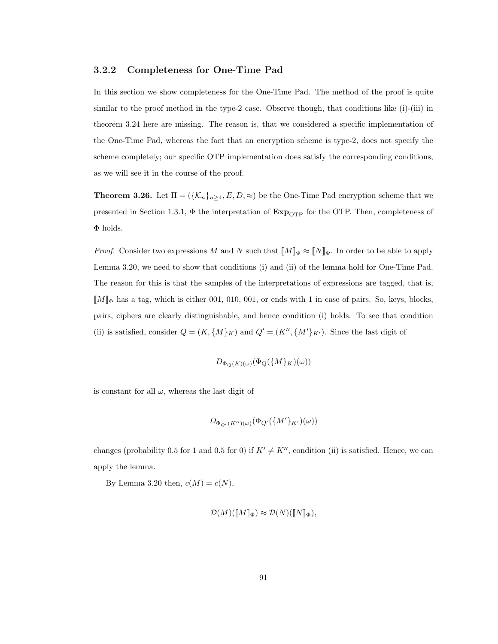#### 3.2.2 Completeness for One-Time Pad

In this section we show completeness for the One-Time Pad. The method of the proof is quite similar to the proof method in the type-2 case. Observe though, that conditions like (i)-(iii) in theorem 3.24 here are missing. The reason is, that we considered a specific implementation of the One-Time Pad, whereas the fact that an encryption scheme is type-2, does not specify the scheme completely; our specific OTP implementation does satisfy the corresponding conditions, as we will see it in the course of the proof.

**Theorem 3.26.** Let  $\Pi = (\{\mathcal{K}_n\}_{n\geq 4}, E, D, \approx)$  be the One-Time Pad encryption scheme that we presented in Section 1.3.1,  $\Phi$  the interpretation of  $\mathbf{Exp}_{\text{OTP}}$  for the OTP. Then, completeness of Φ holds.

*Proof.* Consider two expressions M and N such that  $[M]_{\Phi} \approx [N]_{\Phi}$ . In order to be able to apply Lemma 3.20, we need to show that conditions (i) and (ii) of the lemma hold for One-Time Pad. The reason for this is that the samples of the interpretations of expressions are tagged, that is,  $\llbracket M \rrbracket_{\Phi}$  has a tag, which is either 001, 010, 001, or ends with 1 in case of pairs. So, keys, blocks, pairs, ciphers are clearly distinguishable, and hence condition (i) holds. To see that condition (ii) is satisfied, consider  $Q = (K, \{M\}_K)$  and  $Q' = (K'', \{M'\}_{K'})$ . Since the last digit of

$$
D_{\Phi_Q(K)(\omega)}(\Phi_Q(\{M\}_K)(\omega))
$$

is constant for all  $\omega$ , whereas the last digit of

$$
D_{\Phi_{Q'}(K'')(\omega)}(\Phi_{Q'}(\{M'\}_{K'})(\omega))
$$

changes (probability 0.5 for 1 and 0.5 for 0) if  $K' \neq K''$ , condition (ii) is satisfied. Hence, we can apply the lemma.

By Lemma 3.20 then,  $c(M) = c(N)$ ,

$$
\mathcal{D}(M)(\llbracket M \rrbracket_{\Phi}) \approx \mathcal{D}(N)(\llbracket N \rrbracket_{\Phi}),
$$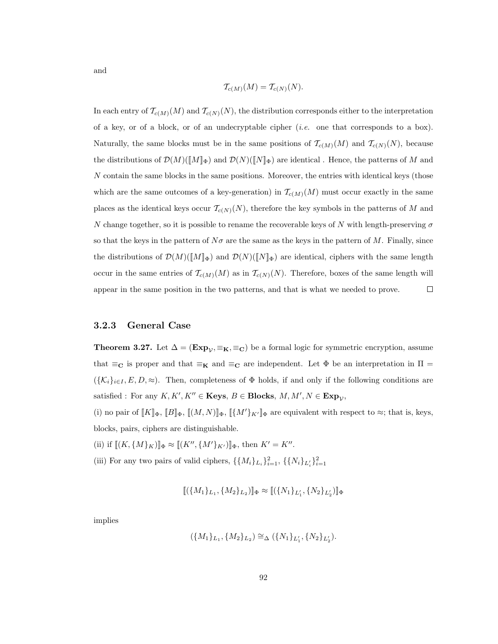$$
\mathcal{T}_{c(M)}(M) = \mathcal{T}_{c(N)}(N).
$$

In each entry of  $\mathcal{T}_{c(M)}(M)$  and  $\mathcal{T}_{c(N)}(N)$ , the distribution corresponds either to the interpretation of a key, or of a block, or of an undecryptable cipher  $(i.e.$  one that corresponds to a box). Naturally, the same blocks must be in the same positions of  $\mathcal{T}_{c(M)}(M)$  and  $\mathcal{T}_{c(N)}(N)$ , because the distributions of  $\mathcal{D}(M)(\llbracket M \rrbracket_{\Phi})$  and  $\mathcal{D}(N)(\llbracket N \rrbracket_{\Phi})$  are identical . Hence, the patterns of M and N contain the same blocks in the same positions. Moreover, the entries with identical keys (those which are the same outcomes of a key-generation) in  $\mathcal{T}_{c(M)}(M)$  must occur exactly in the same places as the identical keys occur  $\mathcal{T}_{c(N)}(N)$ , therefore the key symbols in the patterns of M and N change together, so it is possible to rename the recoverable keys of N with length-preserving  $\sigma$ so that the keys in the pattern of  $N\sigma$  are the same as the keys in the pattern of M. Finally, since the distributions of  $\mathcal{D}(M)(\llbracket M \rrbracket_{\Phi})$  and  $\mathcal{D}(N)(\llbracket N \rrbracket_{\Phi})$  are identical, ciphers with the same length occur in the same entries of  $\mathcal{T}_{c(M)}(M)$  as in  $\mathcal{T}_{c(N)}(N)$ . Therefore, boxes of the same length will appear in the same position in the two patterns, and that is what we needed to prove.  $\Box$ 

#### 3.2.3 General Case

**Theorem 3.27.** Let  $\Delta = (\mathbf{Exp}_{\mathcal{V}}, \equiv_{\mathbf{K}}, \equiv_{\mathbf{C}})$  be a formal logic for symmetric encryption, assume that  $\equiv_{\mathbf{C}}$  is proper and that  $\equiv_{\mathbf{K}}$  and  $\equiv_{\mathbf{C}}$  are independent. Let  $\Phi$  be an interpretation in  $\Pi$  $({K_i}_{i\in I}, E, D, \approx)$ . Then, completeness of  $\Phi$  holds, if and only if the following conditions are satisfied : For any  $K, K', K'' \in \mathbf{Keys}, B \in \mathbf{Blocks}, M, M', N \in \mathbf{Exp}_\mathcal{V},$ 

(i) no pair of  $[[K]]_{\Phi}$ ,  $[[B]]_{\Phi}$ ,  $[[(M,N)]]_{\Phi}$ ,  $[[\{M'\}_{K'}]]_{\Phi}$  are equivalent with respect to  $\approx$ ; that is, keys, blocks, pairs, ciphers are distinguishable.

- (ii) if  $[[(K, \{M\}_K)]]_{\Phi} \approx [[(K'', \{M'\}_K')]]_{\Phi}$ , then  $K' = K''$ .
- (iii) For any two pairs of valid ciphers,  $\{\{M_i\}_{L_i}\}_{i=1}^2$ ,  $\{\{N_i\}_{L'_i}\}_{i=1}^2$

$$
[\![(\{M_1\}_L,\{M_2\}_L_2)]\!]_\Phi \approx [\![(\{N_1\}_L,\{N_2\}_L_2')]\!]_\Phi
$$

implies

$$
(\{M_1\}_{L_1}, \{M_2\}_{L_2}) \cong_{\Delta} (\{N_1\}_{L'_1}, \{N_2\}_{L'_2}).
$$

and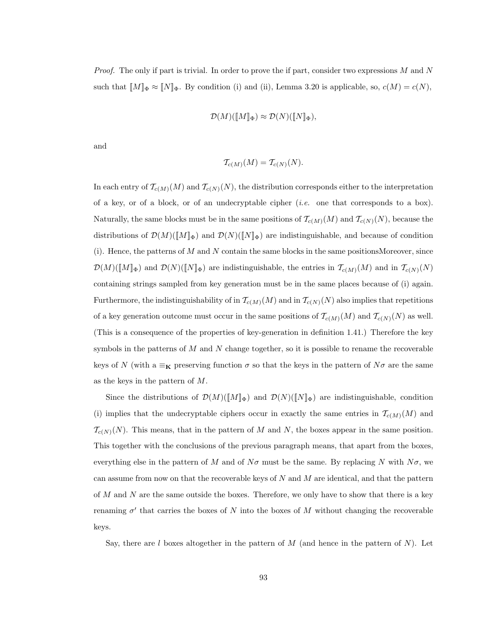*Proof.* The only if part is trivial. In order to prove the if part, consider two expressions  $M$  and  $N$ such that  $[M]_{\Phi} \approx [N]_{\Phi}$ . By condition (i) and (ii), Lemma 3.20 is applicable, so,  $c(M) = c(N)$ ,

$$
\mathcal{D}(M)(\llbracket M \rrbracket_{\Phi}) \approx \mathcal{D}(N)(\llbracket N \rrbracket_{\Phi}),
$$

and

$$
\mathcal{T}_{c(M)}(M) = \mathcal{T}_{c(N)}(N).
$$

In each entry of  $\mathcal{T}_{c(M)}(M)$  and  $\mathcal{T}_{c(N)}(N)$ , the distribution corresponds either to the interpretation of a key, or of a block, or of an undecryptable cipher (*i.e.* one that corresponds to a box). Naturally, the same blocks must be in the same positions of  $\mathcal{T}_{c(M)}(M)$  and  $\mathcal{T}_{c(N)}(N)$ , because the distributions of  $\mathcal{D}(M)(\llbracket M \rrbracket_{\Phi})$  and  $\mathcal{D}(N)(\llbracket N \rrbracket_{\Phi})$  are indistinguishable, and because of condition  $(i)$ . Hence, the patterns of M and N contain the same blocks in the same positionsMoreover, since  $\mathcal{D}(M)(\llbracket M \rrbracket_{\Phi})$  and  $\mathcal{D}(N)(\llbracket N \rrbracket_{\Phi})$  are indistinguishable, the entries in  $\mathcal{T}_{c(M)}(M)$  and in  $\mathcal{T}_{c(N)}(N)$ containing strings sampled from key generation must be in the same places because of (i) again. Furthermore, the indistinguishability of in  $\mathcal{T}_{c(M)}(M)$  and in  $\mathcal{T}_{c(N)}(N)$  also implies that repetitions of a key generation outcome must occur in the same positions of  $\mathcal{T}_{c(M)}(M)$  and  $\mathcal{T}_{c(N)}(N)$  as well. (This is a consequence of the properties of key-generation in definition 1.41.) Therefore the key symbols in the patterns of  $M$  and  $N$  change together, so it is possible to rename the recoverable keys of N (with a  $\equiv_{\mathbf{K}}$  preserving function  $\sigma$  so that the keys in the pattern of  $N\sigma$  are the same as the keys in the pattern of M.

Since the distributions of  $\mathcal{D}(M)(\llbracket M \rrbracket_{\Phi})$  and  $\mathcal{D}(N)(\llbracket N \rrbracket_{\Phi})$  are indistinguishable, condition (i) implies that the undecryptable ciphers occur in exactly the same entries in  $\mathcal{T}_{c(M)}(M)$  and  $\mathcal{T}_{c(N)}(N)$ . This means, that in the pattern of M and N, the boxes appear in the same position. This together with the conclusions of the previous paragraph means, that apart from the boxes, everything else in the pattern of M and of  $N\sigma$  must be the same. By replacing N with  $N\sigma$ , we can assume from now on that the recoverable keys of  $N$  and  $M$  are identical, and that the pattern of  $M$  and  $N$  are the same outside the boxes. Therefore, we only have to show that there is a key renaming  $\sigma'$  that carries the boxes of N into the boxes of M without changing the recoverable keys.

Say, there are l boxes altogether in the pattern of  $M$  (and hence in the pattern of  $N$ ). Let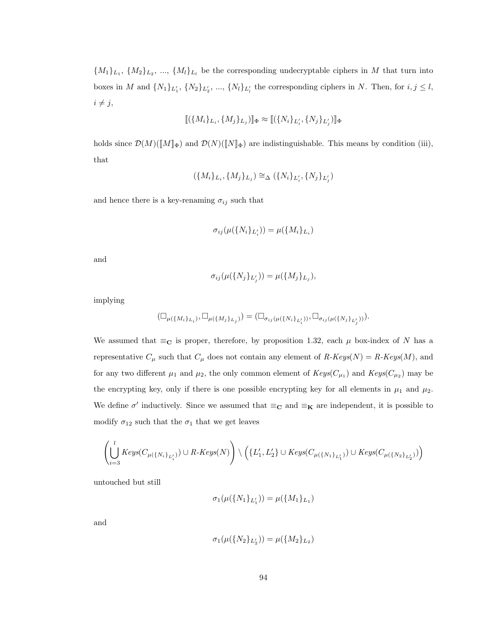${M_1}_{L_1}, {M_2}_{L_2}, ..., {M_l}_{L_l}$  be the corresponding undecryptable ciphers in M that turn into boxes in M and  $\{N_1\}_{L'_1}, \{N_2\}_{L'_2}, \dots, \{N_l\}_{L'_l}$  the corresponding ciphers in N. Then, for  $i, j \leq l$ ,  $i \neq j$ ,

$$
[\![(\{M_i\}_L, \{M_j\}_L,)]\!]_{\Phi} \approx [\![(\{N_i\}_L, \{N_j\}_L,)]\!]_{\Phi}
$$

holds since  $\mathcal{D}(M)(\llbracket M \rrbracket_{\Phi})$  and  $\mathcal{D}(N)(\llbracket N \rrbracket_{\Phi})$  are indistinguishable. This means by condition (iii), that

$$
(\{M_i\}_{L_i}, \{M_j\}_{L_j}) \cong_{\Delta} (\{N_i\}_{L'_i}, \{N_j\}_{L'_j})
$$

and hence there is a key-renaming  $\sigma_{ij}$  such that

$$
\sigma_{ij}(\mu(\{N_i\}_{L'_i}))=\mu(\{M_i\}_{L_i})
$$

and

$$
\sigma_{ij}(\mu(\{N_j\}_{L'_j})) = \mu(\{M_j\}_{L_j}),
$$

implying

$$
(\Box_{\mu(\{M_i\}_{L_i})}, \Box_{\mu(\{M_j\}_{L_j})}) = (\Box_{\sigma_{ij}(\mu(\{N_i\}_{L'_i}))}, \Box_{\sigma_{ij}(\mu(\{N_j\}_{L'_j})})
$$

We assumed that  $\equiv_{\mathbf{C}}$  is proper, therefore, by proposition 1.32, each  $\mu$  box-index of N has a representative  $C_{\mu}$  such that  $C_{\mu}$  does not contain any element of  $R\text{-}Keys(N) = R\text{-}Keys(M)$ , and for any two different  $\mu_1$  and  $\mu_2$ , the only common element of  $Keys(C_{\mu_1})$  and  $Keys(C_{\mu_2})$  may be the encrypting key, only if there is one possible encrypting key for all elements in  $\mu_1$  and  $\mu_2$ . We define  $\sigma'$  inductively. Since we assumed that  $\equiv_{\mathbf{C}}$  and  $\equiv_{\mathbf{K}}$  are independent, it is possible to modify  $\sigma_{12}$  such that the  $\sigma_1$  that we get leaves

$$
\left(\bigcup_{i=3}^{l} Keys(C_{\mu(\{N_i\}_{L'_i})}) \cup R\text{-}Keys(N)\right) \setminus \left(\{L'_1,L'_2\} \cup Keys(C_{\mu(\{N_1\}_{L'_1})}) \cup Keys(C_{\mu(\{N_2\}_{L'_2})})\right)
$$

untouched but still

$$
\sigma_1(\mu(\{N_1\}_{L'_1})) = \mu(\{M_1\}_{L_1})
$$

and

$$
\sigma_1(\mu(\{N_2\}_{L'_2})) = \mu(\{M_2\}_{L_2})
$$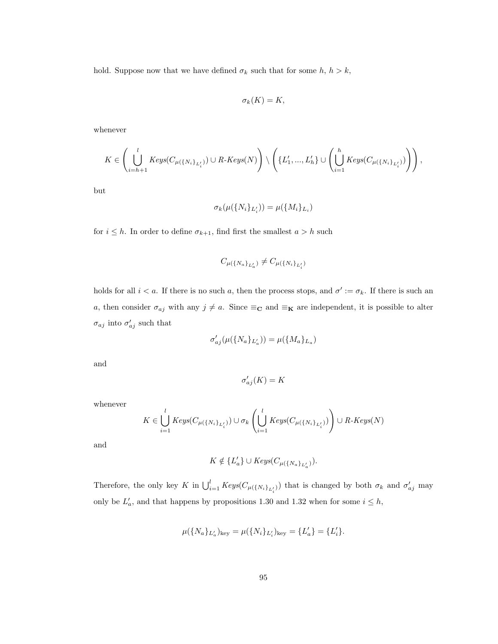hold. Suppose now that we have defined  $\sigma_k$  such that for some  $h, h > k$ ,

$$
\sigma_k(K)=K,
$$

whenever

$$
K\in \left( \bigcup_{i=h+1}^{l} Keys(C_{\mu(\{N_i\}_{L'_i})})\cup R\text{-}Keys(N)\right) \setminus \left(\{L'_1,...,L'_h\}\cup \left(\bigcup_{i=1}^{h} Keys(C_{\mu(\{N_i\}_{L'_i})})\right)\right),
$$

but

$$
\sigma_k(\mu(\{N_i\}_{L'_i})) = \mu(\{M_i\}_{L_i})
$$

for  $i \leq h$ . In order to define  $\sigma_{k+1}$ , find first the smallest  $a > h$  such

$$
C_{\mu(\{N_a\}_{L'_a})} \neq C_{\mu(\{N_i\}_{L'_i})}
$$

holds for all  $i < a$ . If there is no such a, then the process stops, and  $\sigma' := \sigma_k$ . If there is such an a, then consider  $\sigma_{aj}$  with any  $j \neq a$ . Since  $\equiv_{\mathbf{C}}$  and  $\equiv_{\mathbf{K}}$  are independent, it is possible to alter  $\sigma_{aj}$  into  $\sigma'_{aj}$  such that

$$
\sigma'_{aj}(\mu(\{N_a\}_{L_a'})) = \mu(\{M_a\}_{L_a})
$$

and

$$
\sigma'_{aj}(K)=K
$$

whenever

$$
K \in \bigcup_{i=1}^{l} Keys(C_{\mu(\{N_i\}_{L'_i})}) \cup \sigma_k\left(\bigcup_{i=1}^{l} Keys(C_{\mu(\{N_i\}_{L'_i})})\right) \cup R\text{-}Keys(N)
$$

and

$$
K \notin \{L'_a\} \cup Keys(C_{\mu({N_a\}}_{L'_a})).
$$

Therefore, the only key K in  $\bigcup_{i=1}^{l} Keys(C_{\mu({N_i})_{L'_i}})$  that is changed by both  $\sigma_k$  and  $\sigma'_{aj}$  may only be  $L'_a$ , and that happens by propositions 1.30 and 1.32 when for some  $i \leq h$ ,

$$
\mu(\{N_a\}_{L_a'})_{\rm key} = \mu(\{N_i\}_{L_i'})_{\rm key} = \{L_a'\} = \{L_i'\}.
$$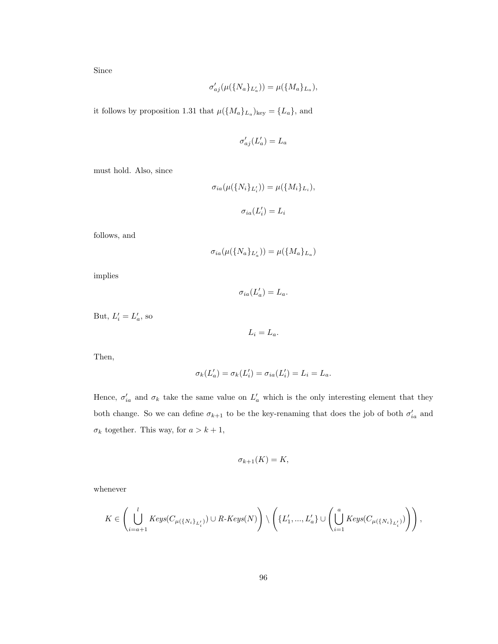Since

$$
\sigma'_{aj}(\mu(\{N_a\}_{L'_a})) = \mu(\{M_a\}_{L_a}),
$$

it follows by proposition 1.31 that  $\mu({M_a}_{L_a})_{\text{key}} = {L_a}$ , and

$$
\sigma'_{aj}(L'_a)=L_a
$$

must hold. Also, since

$$
\sigma_{ia}(\mu(\{N_i\}_{L'_i})) = \mu(\{M_i\}_{L_i}),
$$

$$
\sigma_{ia}(L'_i) = L_i
$$

follows, and

$$
\sigma_{ia}(\mu(\lbrace N_a \rbrace_{L'_a})) = \mu(\lbrace M_a \rbrace_{L_a})
$$

implies

 $\sigma_{ia}(L'_a) = L_a.$ 

But,  $L'_i = L'_a$ , so

 $L_i = L_a.$ 

Then,

$$
\sigma_k(L'_a) = \sigma_k(L'_i) = \sigma_{ia}(L'_i) = L_i = L_a.
$$

Hence,  $\sigma'_{ia}$  and  $\sigma_k$  take the same value on  $L'_a$  which is the only interesting element that they both change. So we can define  $\sigma_{k+1}$  to be the key-renaming that does the job of both  $\sigma'_{ia}$  and  $\sigma_k$  together. This way, for  $a>k+1,$ 

$$
\sigma_{k+1}(K) = K,
$$

whenever

$$
K\in \left( \bigcup_{i=a+1}^{l} Keys(C_{\mu(\{N_i\}_{L'_i})})\cup R\text{-}Keys(N)\right) \setminus \left(\{L'_1,...,L'_a\}\cup \left(\bigcup_{i=1}^{a} Keys(C_{\mu(\{N_i\}_{L'_i})})\right)\right),
$$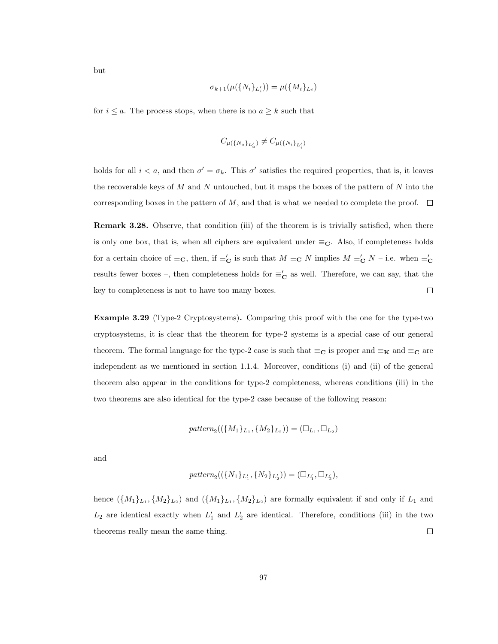$$
\sigma_{k+1}(\mu(\{N_i\}_{L'_i})) = \mu(\{M_i\}_{L_i})
$$

for  $i \leq a$ . The process stops, when there is no  $a \geq k$  such that

$$
C_{\mu(\{N_a\}_{L_a'})} \neq C_{\mu(\{N_i\}_{L_i'})}
$$

holds for all  $i < a$ , and then  $\sigma' = \sigma_k$ . This  $\sigma'$  satisfies the required properties, that is, it leaves the recoverable keys of  $M$  and  $N$  untouched, but it maps the boxes of the pattern of  $N$  into the corresponding boxes in the pattern of M, and that is what we needed to complete the proof.  $\Box$ 

Remark 3.28. Observe, that condition (iii) of the theorem is is trivially satisfied, when there is only one box, that is, when all ciphers are equivalent under  $\equiv_C$ . Also, if completeness holds for a certain choice of  $\equiv_{\mathbf{C}}$ , then, if  $\equiv'_{\mathbf{C}}$  is such that  $M \equiv_{\mathbf{C}} N$  implies  $M \equiv'_{\mathbf{C}} N$  - i.e. when  $\equiv'_{\mathbf{C}}$ results fewer boxes –, then completeness holds for  $\equiv'_\mathbf{C}$  as well. Therefore, we can say, that the  $\Box$ key to completeness is not to have too many boxes.

Example 3.29 (Type-2 Cryptosystems). Comparing this proof with the one for the type-two cryptosystems, it is clear that the theorem for type-2 systems is a special case of our general theorem. The formal language for the type-2 case is such that  $\equiv_{\mathbf{C}}$  is proper and  $\equiv_{\mathbf{K}}$  and  $\equiv_{\mathbf{C}}$  are independent as we mentioned in section 1.1.4. Moreover, conditions (i) and (ii) of the general theorem also appear in the conditions for type-2 completeness, whereas conditions (iii) in the two theorems are also identical for the type-2 case because of the following reason:

$$
pattern_2((\{M_1\}_{L_1}, \{M_2\}_{L_2})) = (\Box_{L_1}, \Box_{L_2})
$$

and

$$
pattern_2((\{N_1\}_{L'_1}, \{N_2\}_{L'_2})) = (\Box_{L'_1}, \Box_{L'_2}),
$$

hence  $(\{M_1\}_{L_1}, \{M_2\}_{L_2})$  and  $(\{M_1\}_{L_1}, \{M_2\}_{L_2})$  are formally equivalent if and only if  $L_1$  and  $L_2$  are identical exactly when  $L'_1$  and  $L'_2$  are identical. Therefore, conditions (iii) in the two  $\Box$ theorems really mean the same thing.

but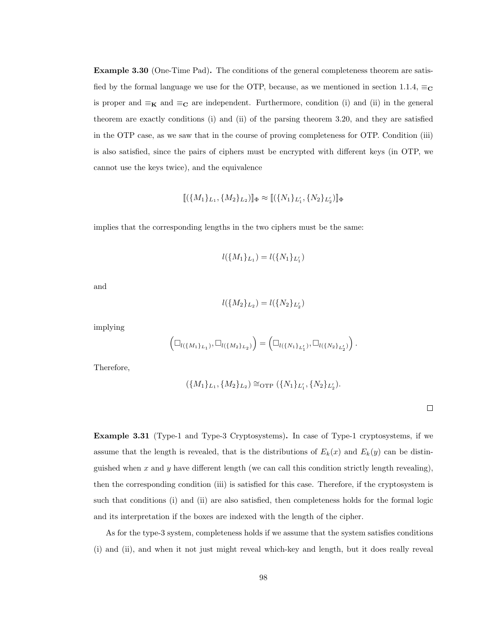Example 3.30 (One-Time Pad). The conditions of the general completeness theorem are satisfied by the formal language we use for the OTP, because, as we mentioned in section 1.1.4,  $\equiv_C$ is proper and  $\equiv_{\mathbf{K}}$  and  $\equiv_{\mathbf{C}}$  are independent. Furthermore, condition (i) and (ii) in the general theorem are exactly conditions (i) and (ii) of the parsing theorem 3.20, and they are satisfied in the OTP case, as we saw that in the course of proving completeness for OTP. Condition (iii) is also satisfied, since the pairs of ciphers must be encrypted with different keys (in OTP, we cannot use the keys twice), and the equivalence

$$
[\![(\{M_1\}_L, \{M_2\}_L_2)]\!]_{\Phi} \approx [\![(\{N_1\}_L', \{N_2\}_L'_2)]\!]_{\Phi}
$$

implies that the corresponding lengths in the two ciphers must be the same:

$$
l(\{M_1\}_{L_1}) = l(\{N_1\}_{L'_1})
$$

and

$$
l(\{M_2\}_{L_2})=l(\{N_2\}_{L_2'})
$$

implying

$$
\left(\Box_{l(\{M_1\}_{L_1})}, \Box_{l(\{M_2\}_{L_2})}\right) = \left(\Box_{l(\{N_1\}_{L'_1})}, \Box_{l(\{N_2\}_{L'_2})}\right).
$$

Therefore,

$$
(\{M_1\}_{L_1}, \{M_2\}_{L_2}) \cong_{\mathrm{OTP}} (\{N_1\}_{L'_1}, \{N_2\}_{L'_2}).
$$

Example 3.31 (Type-1 and Type-3 Cryptosystems). In case of Type-1 cryptosystems, if we assume that the length is revealed, that is the distributions of  $E_k(x)$  and  $E_k(y)$  can be distinguished when x and y have different length (we can call this condition strictly length revealing), then the corresponding condition (iii) is satisfied for this case. Therefore, if the cryptosystem is such that conditions (i) and (ii) are also satisfied, then completeness holds for the formal logic and its interpretation if the boxes are indexed with the length of the cipher.

As for the type-3 system, completeness holds if we assume that the system satisfies conditions (i) and (ii), and when it not just might reveal which-key and length, but it does really reveal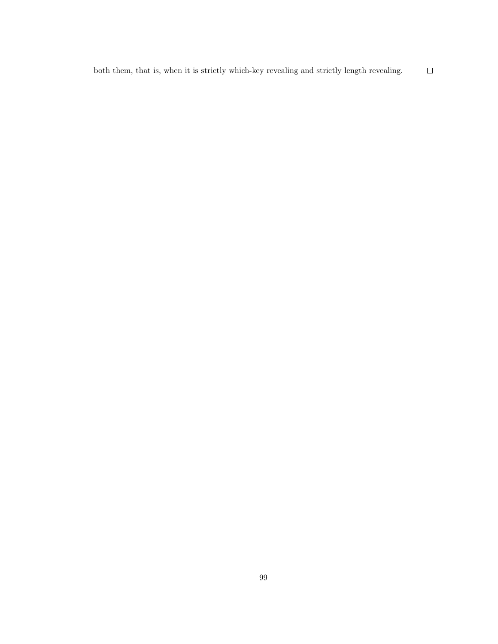both them, that is, when it is strictly which-key revealing and strictly length revealing.  $\Box$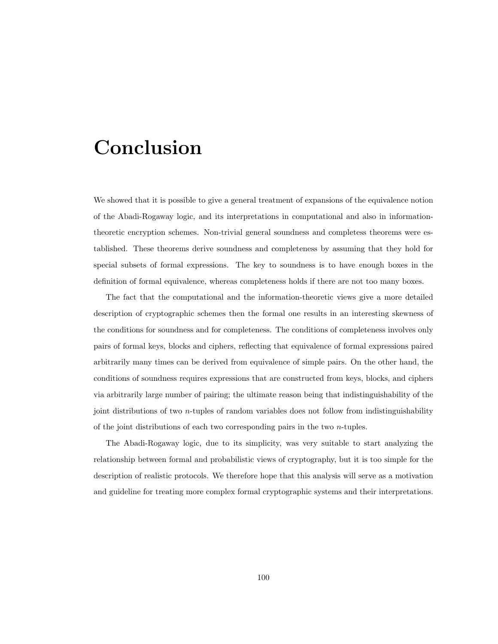## Conclusion

We showed that it is possible to give a general treatment of expansions of the equivalence notion of the Abadi-Rogaway logic, and its interpretations in computational and also in informationtheoretic encryption schemes. Non-trivial general soundness and completess theorems were established. These theorems derive soundness and completeness by assuming that they hold for special subsets of formal expressions. The key to soundness is to have enough boxes in the definition of formal equivalence, whereas completeness holds if there are not too many boxes.

The fact that the computational and the information-theoretic views give a more detailed description of cryptographic schemes then the formal one results in an interesting skewness of the conditions for soundness and for completeness. The conditions of completeness involves only pairs of formal keys, blocks and ciphers, reflecting that equivalence of formal expressions paired arbitrarily many times can be derived from equivalence of simple pairs. On the other hand, the conditions of soundness requires expressions that are constructed from keys, blocks, and ciphers via arbitrarily large number of pairing; the ultimate reason being that indistinguishability of the joint distributions of two n-tuples of random variables does not follow from indistinguishability of the joint distributions of each two corresponding pairs in the two n-tuples.

The Abadi-Rogaway logic, due to its simplicity, was very suitable to start analyzing the relationship between formal and probabilistic views of cryptography, but it is too simple for the description of realistic protocols. We therefore hope that this analysis will serve as a motivation and guideline for treating more complex formal cryptographic systems and their interpretations.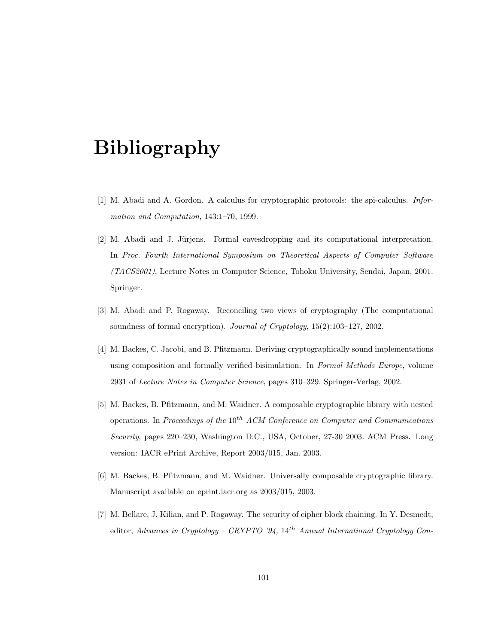# Bibliography

- [1] M. Abadi and A. Gordon. A calculus for cryptographic protocols: the spi-calculus. Information and Computation, 143:1–70, 1999.
- [2] M. Abadi and J. Jürjens. Formal eavesdropping and its computational interpretation. In Proc. Fourth International Symposium on Theoretical Aspects of Computer Software (TACS2001), Lecture Notes in Computer Science, Tohoku University, Sendai, Japan, 2001. Springer.
- [3] M. Abadi and P. Rogaway. Reconciling two views of cryptography (The computational soundness of formal encryption). Journal of Cryptology, 15(2):103–127, 2002.
- [4] M. Backes, C. Jacobi, and B. Pfitzmann. Deriving cryptographically sound implementations using composition and formally verified bisimulation. In Formal Methods Europe, volume 2931 of Lecture Notes in Computer Science, pages 310–329. Springer-Verlag, 2002.
- [5] M. Backes, B. Pfitzmann, and M. Waidner. A composable cryptographic library with nested operations. In Proceedings of the  $10^{th}$  ACM Conference on Computer and Communications Security, pages 220–230, Washington D.C., USA, October, 27-30 2003. ACM Press. Long version: IACR ePrint Archive, Report 2003/015, Jan. 2003.
- [6] M. Backes, B. Pfitzmann, and M. Waidner. Universally composable cryptographic library. Manuscript available on eprint.iacr.org as 2003/015, 2003.
- [7] M. Bellare, J. Kilian, and P. Rogaway. The security of cipher block chaining. In Y. Desmedt, editor, Advances in Cryptology - CRYPTO '94, 14<sup>th</sup> Annual International Cryptology Con-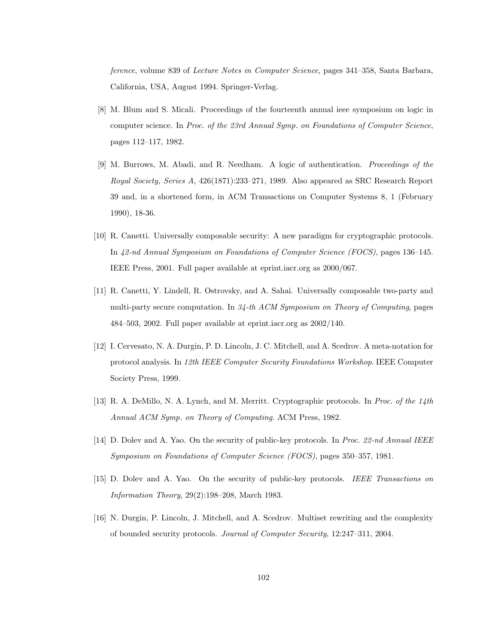ference, volume 839 of Lecture Notes in Computer Science, pages 341–358, Santa Barbara, California, USA, August 1994. Springer-Verlag.

- [8] M. Blum and S. Micali. Proceedings of the fourteenth annual ieee symposium on logic in computer science. In Proc. of the 23rd Annual Symp. on Foundations of Computer Science, pages 112–117, 1982.
- [9] M. Burrows, M. Abadi, and R. Needham. A logic of authentication. Proceedings of the Royal Society, Series A, 426(1871):233–271, 1989. Also appeared as SRC Research Report 39 and, in a shortened form, in ACM Transactions on Computer Systems 8, 1 (February 1990), 18-36.
- [10] R. Canetti. Universally composable security: A new paradigm for cryptographic protocols. In 42-nd Annual Symposium on Foundations of Computer Science (FOCS), pages 136–145. IEEE Press, 2001. Full paper available at eprint.iacr.org as 2000/067.
- [11] R. Canetti, Y. Lindell, R. Ostrovsky, and A. Sahai. Universally composable two-party and multi-party secure computation. In  $34$ -th ACM Symposium on Theory of Computing, pages 484–503, 2002. Full paper available at eprint.iacr.org as 2002/140.
- [12] I. Cervesato, N. A. Durgin, P. D. Lincoln, J. C. Mitchell, and A. Scedrov. A meta-notation for protocol analysis. In 12th IEEE Computer Security Foundations Workshop. IEEE Computer Society Press, 1999.
- [13] R. A. DeMillo, N. A. Lynch, and M. Merritt. Cryptographic protocols. In Proc. of the 14th Annual ACM Symp. on Theory of Computing. ACM Press, 1982.
- [14] D. Dolev and A. Yao. On the security of public-key protocols. In Proc. 22-nd Annual IEEE Symposium on Foundations of Computer Science (FOCS), pages 350–357, 1981.
- [15] D. Dolev and A. Yao. On the security of public-key protocols. IEEE Transactions on Information Theory, 29(2):198–208, March 1983.
- [16] N. Durgin, P. Lincoln, J. Mitchell, and A. Scedrov. Multiset rewriting and the complexity of bounded security protocols. Journal of Computer Security, 12:247–311, 2004.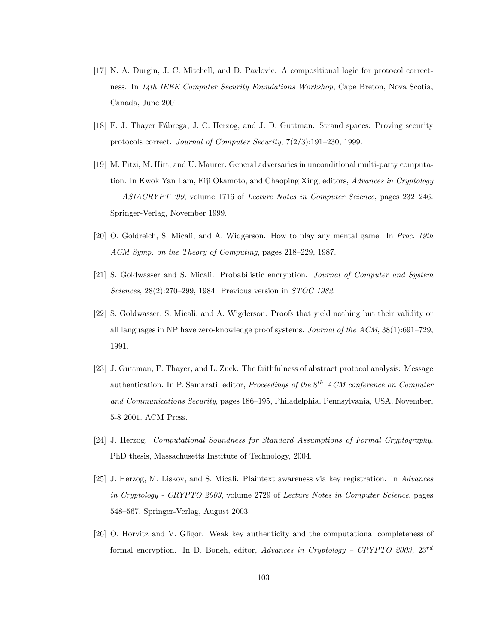- [17] N. A. Durgin, J. C. Mitchell, and D. Pavlovic. A compositional logic for protocol correctness. In 14th IEEE Computer Security Foundations Workshop, Cape Breton, Nova Scotia, Canada, June 2001.
- [18] F. J. Thayer Fábrega, J. C. Herzog, and J. D. Guttman. Strand spaces: Proving security protocols correct. Journal of Computer Security, 7(2/3):191–230, 1999.
- [19] M. Fitzi, M. Hirt, and U. Maurer. General adversaries in unconditional multi-party computation. In Kwok Yan Lam, Eiji Okamoto, and Chaoping Xing, editors, Advances in Cryptology — ASIACRYPT '99, volume 1716 of Lecture Notes in Computer Science, pages 232–246. Springer-Verlag, November 1999.
- [20] O. Goldreich, S. Micali, and A. Widgerson. How to play any mental game. In Proc. 19th ACM Symp. on the Theory of Computing, pages 218–229, 1987.
- [21] S. Goldwasser and S. Micali. Probabilistic encryption. Journal of Computer and System Sciences, 28(2):270–299, 1984. Previous version in STOC 1982.
- [22] S. Goldwasser, S. Micali, and A. Wigderson. Proofs that yield nothing but their validity or all languages in NP have zero-knowledge proof systems. Journal of the ACM, 38(1):691–729, 1991.
- [23] J. Guttman, F. Thayer, and L. Zuck. The faithfulness of abstract protocol analysis: Message authentication. In P. Samarati, editor, *Proceedings of the*  $8^{th}$  ACM conference on Computer and Communications Security, pages 186–195, Philadelphia, Pennsylvania, USA, November, 5-8 2001. ACM Press.
- [24] J. Herzog. Computational Soundness for Standard Assumptions of Formal Cryptography. PhD thesis, Massachusetts Institute of Technology, 2004.
- [25] J. Herzog, M. Liskov, and S. Micali. Plaintext awareness via key registration. In Advances in Cryptology - CRYPTO 2003, volume 2729 of Lecture Notes in Computer Science, pages 548–567. Springer-Verlag, August 2003.
- [26] O. Horvitz and V. Gligor. Weak key authenticity and the computational completeness of formal encryption. In D. Boneh, editor, Advances in Cryptology – CRYPTO 2003,  $23^{rd}$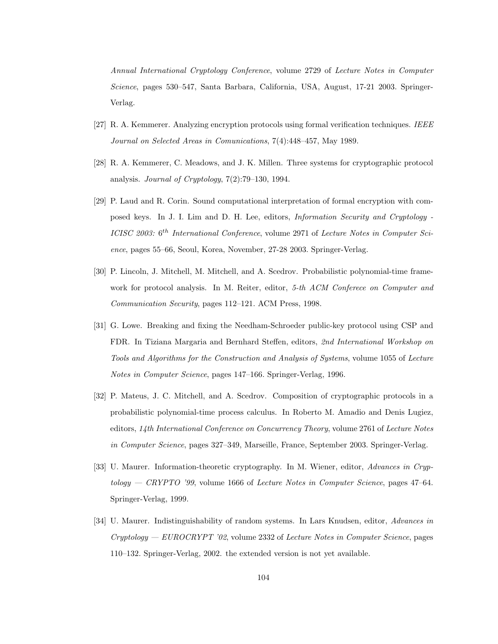Annual International Cryptology Conference, volume 2729 of Lecture Notes in Computer Science, pages 530–547, Santa Barbara, California, USA, August, 17-21 2003. Springer-Verlag.

- [27] R. A. Kemmerer. Analyzing encryption protocols using formal verification techniques. IEEE Journal on Selected Areas in Comunications, 7(4):448–457, May 1989.
- [28] R. A. Kemmerer, C. Meadows, and J. K. Millen. Three systems for cryptographic protocol analysis. Journal of Cryptology, 7(2):79–130, 1994.
- [29] P. Laud and R. Corin. Sound computational interpretation of formal encryption with composed keys. In J. I. Lim and D. H. Lee, editors, Information Security and Cryptology - ICISC 2003: 6<sup>th</sup> International Conference, volume 2971 of Lecture Notes in Computer Science, pages 55–66, Seoul, Korea, November, 27-28 2003. Springer-Verlag.
- [30] P. Lincoln, J. Mitchell, M. Mitchell, and A. Scedrov. Probabilistic polynomial-time framework for protocol analysis. In M. Reiter, editor, 5-th ACM Conferece on Computer and Communication Security, pages 112–121. ACM Press, 1998.
- [31] G. Lowe. Breaking and fixing the Needham-Schroeder public-key protocol using CSP and FDR. In Tiziana Margaria and Bernhard Steffen, editors, 2nd International Workshop on Tools and Algorithms for the Construction and Analysis of Systems, volume 1055 of Lecture Notes in Computer Science, pages 147–166. Springer-Verlag, 1996.
- [32] P. Mateus, J. C. Mitchell, and A. Scedrov. Composition of cryptographic protocols in a probabilistic polynomial-time process calculus. In Roberto M. Amadio and Denis Lugiez, editors, 14th International Conference on Concurrency Theory, volume 2761 of Lecture Notes in Computer Science, pages 327–349, Marseille, France, September 2003. Springer-Verlag.
- [33] U. Maurer. Information-theoretic cryptography. In M. Wiener, editor, Advances in Cryptology — CRYPTO '99, volume 1666 of Lecture Notes in Computer Science, pages 47–64. Springer-Verlag, 1999.
- [34] U. Maurer. Indistinguishability of random systems. In Lars Knudsen, editor, Advances in Cryptology — EUROCRYPT '02, volume 2332 of Lecture Notes in Computer Science, pages 110–132. Springer-Verlag, 2002. the extended version is not yet available.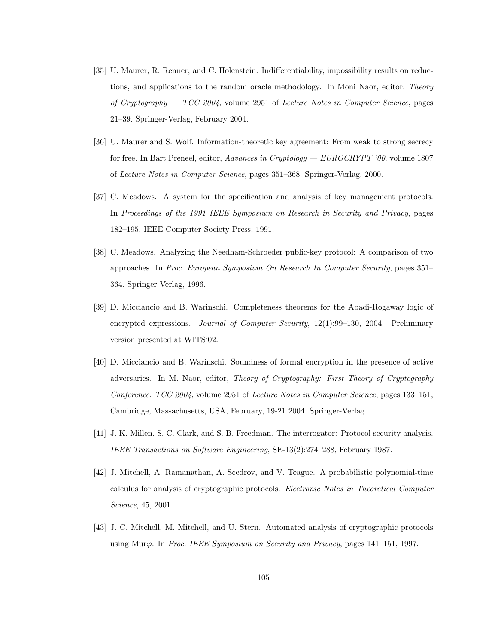- [35] U. Maurer, R. Renner, and C. Holenstein. Indifferentiability, impossibility results on reductions, and applications to the random oracle methodology. In Moni Naor, editor, *Theory* of Cryptography — TCC 2004, volume 2951 of Lecture Notes in Computer Science, pages 21–39. Springer-Verlag, February 2004.
- [36] U. Maurer and S. Wolf. Information-theoretic key agreement: From weak to strong secrecy for free. In Bart Preneel, editor, Advances in Cryptology — EUROCRYPT '00, volume 1807 of Lecture Notes in Computer Science, pages 351–368. Springer-Verlag, 2000.
- [37] C. Meadows. A system for the specification and analysis of key management protocols. In Proceedings of the 1991 IEEE Symposium on Research in Security and Privacy, pages 182–195. IEEE Computer Society Press, 1991.
- [38] C. Meadows. Analyzing the Needham-Schroeder public-key protocol: A comparison of two approaches. In Proc. European Symposium On Research In Computer Security, pages 351– 364. Springer Verlag, 1996.
- [39] D. Micciancio and B. Warinschi. Completeness theorems for the Abadi-Rogaway logic of encrypted expressions. *Journal of Computer Security*, 12(1):99–130, 2004. Preliminary version presented at WITS'02.
- [40] D. Micciancio and B. Warinschi. Soundness of formal encryption in the presence of active adversaries. In M. Naor, editor, Theory of Cryptography: First Theory of Cryptography Conference, TCC 2004, volume 2951 of Lecture Notes in Computer Science, pages 133–151, Cambridge, Massachusetts, USA, February, 19-21 2004. Springer-Verlag.
- [41] J. K. Millen, S. C. Clark, and S. B. Freedman. The interrogator: Protocol security analysis. IEEE Transactions on Software Engineering, SE-13(2):274–288, February 1987.
- [42] J. Mitchell, A. Ramanathan, A. Scedrov, and V. Teague. A probabilistic polynomial-time calculus for analysis of cryptographic protocols. Electronic Notes in Theoretical Computer Science, 45, 2001.
- [43] J. C. Mitchell, M. Mitchell, and U. Stern. Automated analysis of cryptographic protocols using Mur $\varphi$ . In Proc. IEEE Symposium on Security and Privacy, pages 141–151, 1997.